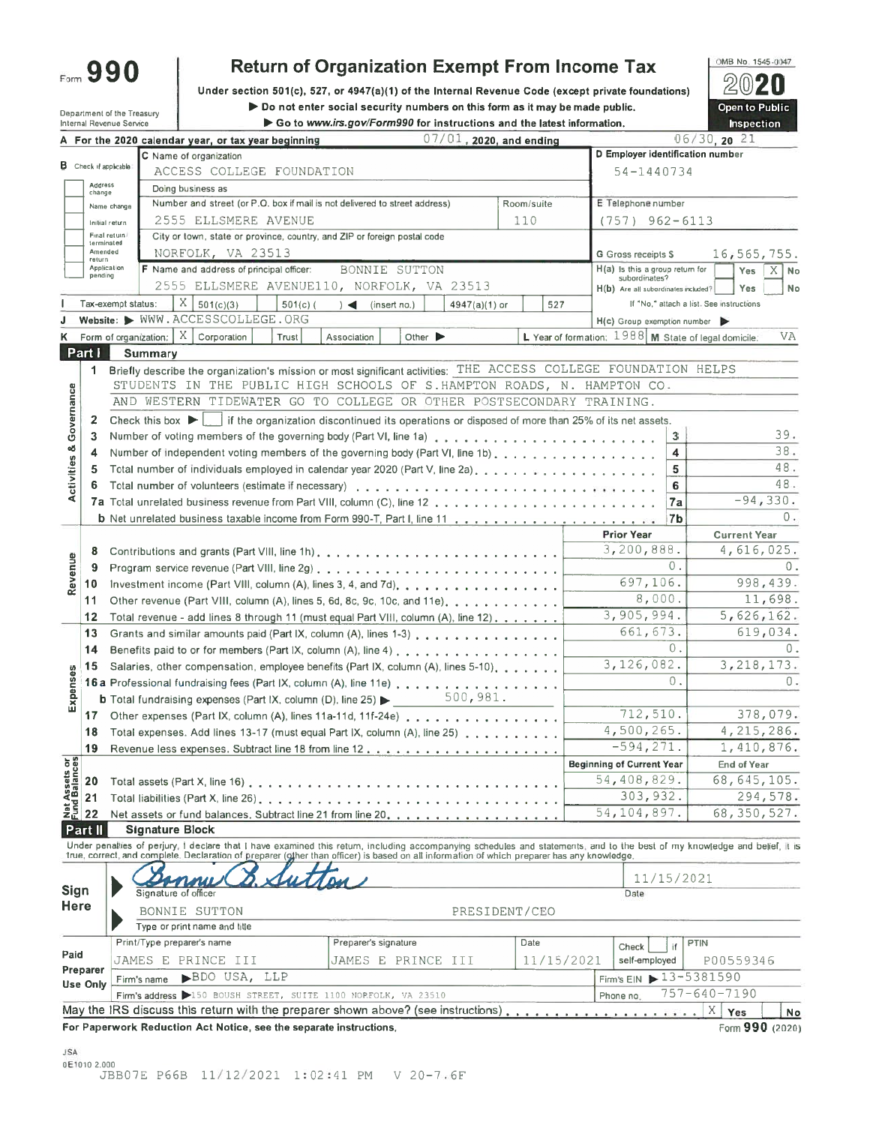Form 990

# **Return of Organization Exempt From Income Tax**

Under section 501(c), 527, or 4947(a)(1) of the Internal Revenue Code (except private foundations) Do not enter social security numbers on this form as it may be made public.

Department of the Treasury Internal Revenue Service

Go to www.irs.gov/Form990 for instructions and the latest information.



|                         |                                                        |                                                                | A For the 2020 calendar year, or tax year beginning                                                                                                                        | $07/01$ , 2020, and ending                                                                      |               |                                                        |                   | $06/30$ , 20 21                          |
|-------------------------|--------------------------------------------------------|----------------------------------------------------------------|----------------------------------------------------------------------------------------------------------------------------------------------------------------------------|-------------------------------------------------------------------------------------------------|---------------|--------------------------------------------------------|-------------------|------------------------------------------|
|                         |                                                        |                                                                | C Name of organization                                                                                                                                                     |                                                                                                 |               | D Employer identification number                       |                   |                                          |
|                         |                                                        | <b>B</b> Check if applicable                                   | ACCESS COLLEGE FOUNDATION                                                                                                                                                  |                                                                                                 |               | 54-1440734                                             |                   |                                          |
|                         | Address<br>change                                      |                                                                | Doing business as                                                                                                                                                          |                                                                                                 |               |                                                        |                   |                                          |
|                         |                                                        | Name change                                                    | Number and street (or P.O. box if mail is not delivered to street address)                                                                                                 |                                                                                                 | Room/suite    | E Telephone number                                     |                   |                                          |
|                         |                                                        | Initial return                                                 | 2555 ELLSMERE AVENUE                                                                                                                                                       |                                                                                                 | 110           | $(757)$ 962-6113                                       |                   |                                          |
|                         |                                                        | Final return                                                   | City or town, state or province, country, and ZIP or foreign postal code                                                                                                   |                                                                                                 |               |                                                        |                   |                                          |
|                         | Amended                                                | terminated                                                     | NORFOLK, VA 23513                                                                                                                                                          |                                                                                                 |               | G Gross receipts \$                                    |                   | 16,565,755.                              |
|                         | return                                                 | Application                                                    | F Name and address of principal officer:                                                                                                                                   | BONNIE SUTTON                                                                                   |               | $H(a)$ is this a group return for                      |                   | Yes<br>$\times$ 1<br>No                  |
|                         | pending                                                |                                                                | 2555 ELLSMERE AVENUE110, NORFOLK, VA 23513                                                                                                                                 |                                                                                                 |               | subordinates?<br>H(b) Are all subordinates included?   |                   | Yes<br>No                                |
|                         |                                                        | Tax-exempt status:                                             | X.<br>501(c)(3)<br>$501(c)$ (                                                                                                                                              |                                                                                                 |               |                                                        |                   | If "No," attach a list. See instructions |
|                         |                                                        |                                                                | Website: > WWW.ACCESSCOLLEGE.ORG                                                                                                                                           | $)$ (insert no.)<br>4947(a)(1) or                                                               | 527           |                                                        |                   |                                          |
|                         |                                                        |                                                                | X                                                                                                                                                                          |                                                                                                 |               | H(c) Group exemption number                            |                   | VA                                       |
| κ                       |                                                        |                                                                | Corporation<br>Form of organization:<br>Trust                                                                                                                              | Association<br>Other $\blacktriangleright$                                                      |               | L Year of formation: $1988$ M State of legal domicile: |                   |                                          |
|                         | Part I                                                 |                                                                | <b>Summary</b>                                                                                                                                                             |                                                                                                 |               |                                                        |                   |                                          |
|                         | $\mathbf 1$                                            |                                                                | Briefly describe the organization's mission or most significant activities: THE ACCESS COLLEGE FOUNDATION HELPS                                                            |                                                                                                 |               |                                                        |                   |                                          |
|                         |                                                        |                                                                | STUDENTS IN THE PUBLIC HIGH SCHOOLS OF S. HAMPTON ROADS, N. HAMPTON CO.                                                                                                    |                                                                                                 |               |                                                        |                   |                                          |
|                         |                                                        |                                                                | AND WESTERN TIDEWATER GO TO COLLEGE OR OTHER POSTSECONDARY TRAINING.                                                                                                       |                                                                                                 |               |                                                        |                   |                                          |
| Activities & Governance | $\mathbf{z}$                                           |                                                                | Check this box $\blacktriangleright$                                                                                                                                       | if the organization discontinued its operations or disposed of more than 25% of its net assets. |               |                                                        |                   |                                          |
|                         | 3                                                      |                                                                |                                                                                                                                                                            |                                                                                                 |               |                                                        | 3                 | 39.                                      |
|                         | 4                                                      |                                                                | Number of independent voting members of the governing body (Part VI, line 1b).                                                                                             |                                                                                                 |               |                                                        | 4                 | 38.                                      |
|                         | 5                                                      |                                                                | Total number of individuals employed in calendar year 2020 (Part V, line 2a),                                                                                              |                                                                                                 |               |                                                        | 5                 | 48.                                      |
|                         | 6                                                      |                                                                |                                                                                                                                                                            |                                                                                                 |               |                                                        | 6                 | 48.                                      |
|                         |                                                        |                                                                |                                                                                                                                                                            |                                                                                                 |               |                                                        | 7a                | $-94,330.$                               |
|                         |                                                        |                                                                |                                                                                                                                                                            |                                                                                                 |               |                                                        | 7b                | $0$ .                                    |
|                         |                                                        |                                                                |                                                                                                                                                                            |                                                                                                 |               | <b>Prior Year</b>                                      |                   | <b>Current Year</b>                      |
|                         | 8                                                      |                                                                |                                                                                                                                                                            |                                                                                                 |               | 3,200,888.                                             |                   | 4,616,025.                               |
| Revenue                 | 9                                                      |                                                                |                                                                                                                                                                            |                                                                                                 |               |                                                        | 0.                | $0$ .                                    |
|                         | 10                                                     | Investment income (Part VIII, column (A), lines 3, 4, and 7d). | 697,106.                                                                                                                                                                   | 998,439.                                                                                        |               |                                                        |                   |                                          |
|                         | 11                                                     |                                                                | Other revenue (Part VIII, column (A), lines 5, 6d, 8c, 9c, 10c, and 11e).                                                                                                  |                                                                                                 |               | 8,000.                                                 |                   | 11,698.                                  |
|                         | 12                                                     |                                                                | Total revenue - add lines 8 through 11 (must equal Part VIII, column (A), line 12).                                                                                        |                                                                                                 |               | 3,905,994.                                             |                   | 5,626,162.                               |
|                         | 13                                                     |                                                                | Grants and similar amounts paid (Part IX, column (A), lines 1-3)                                                                                                           |                                                                                                 |               | 661, 673.                                              |                   | 619,034.                                 |
|                         | 14                                                     |                                                                | Benefits paid to or for members (Part IX, column (A), line 4)                                                                                                              |                                                                                                 |               |                                                        | 0.                | 0.                                       |
|                         | 15                                                     |                                                                | Salaries, other compensation, employee benefits (Part IX, column (A), lines 5-10).                                                                                         |                                                                                                 |               | 3,126,082.                                             |                   | 3, 218, 173.                             |
| Expenses                |                                                        |                                                                | 16 a Professional fundraising fees (Part IX, column (A), line 11e)                                                                                                         |                                                                                                 |               |                                                        | 0.                | 0.                                       |
|                         |                                                        |                                                                | <b>b</b> Total fundraising expenses (Part IX, column (D), line 25) $\triangleright$ 500, 981.                                                                              |                                                                                                 |               |                                                        |                   |                                          |
|                         | 17                                                     |                                                                | Other expenses (Part IX, column (A), lines 11a-11d, 11f-24e)                                                                                                               |                                                                                                 |               | 712,510.                                               |                   | 378,079.                                 |
|                         | 18                                                     |                                                                | Total expenses. Add lines 13-17 (must equal Part IX, column (A), line 25)                                                                                                  |                                                                                                 |               | 4,500,265.                                             |                   | 4, 215, 286.                             |
|                         | 19                                                     |                                                                |                                                                                                                                                                            |                                                                                                 |               | $-594, 271.$                                           |                   | 1,410,876.                               |
| 58                      |                                                        |                                                                |                                                                                                                                                                            |                                                                                                 |               | <b>Beginning of Current Year</b>                       |                   | <b>End of Year</b>                       |
|                         | Met Assets<br>Met Assets<br>21<br>22<br>22<br>22<br>22 |                                                                | Total assets (Part X, line 16)                                                                                                                                             |                                                                                                 |               | 54,408,829.                                            |                   | 68, 645, 105.                            |
|                         |                                                        |                                                                | Total liabilities (Part X, line 26).                                                                                                                                       |                                                                                                 |               | 303,932.                                               |                   | 294,578.                                 |
|                         |                                                        |                                                                | Net assets or fund balances. Subtract line 21 from line 20,                                                                                                                |                                                                                                 |               | 54,104,897.                                            |                   | 68, 350, 527.                            |
|                         | Part II                                                |                                                                | <b>Signature Block</b>                                                                                                                                                     |                                                                                                 |               |                                                        |                   |                                          |
|                         |                                                        |                                                                | Under penalties of perjury, I declare that I have examined this return, including accompanying schedules and statements, and to the best of my knowledge and belief, It is |                                                                                                 |               |                                                        |                   |                                          |
|                         |                                                        |                                                                | true, correct, and complete. Declaration of preparer (other than officer) is based on all information of which preparer has any knowledge.                                 |                                                                                                 |               |                                                        |                   |                                          |
|                         |                                                        |                                                                |                                                                                                                                                                            |                                                                                                 |               |                                                        | 11/15/2021        |                                          |
| Sign                    |                                                        |                                                                | Signature of officer                                                                                                                                                       |                                                                                                 |               | Date                                                   |                   |                                          |
| <b>Here</b>             |                                                        |                                                                | BONNIE SUTTON                                                                                                                                                              |                                                                                                 | PRESIDENT/CEO |                                                        |                   |                                          |
|                         |                                                        |                                                                | Type or print name and title                                                                                                                                               |                                                                                                 |               |                                                        |                   |                                          |
|                         |                                                        |                                                                | Print/Type preparer's name                                                                                                                                                 | Preparer's signature                                                                            | Date          | Check                                                  | <b>PTIN</b><br>if |                                          |
| Paid                    |                                                        |                                                                | JAMES E PRINCE III                                                                                                                                                         | JAMES E PRINCE III                                                                              | 11/15/2021    | self-employed                                          |                   | P00559346                                |
|                         | Preparer                                               |                                                                | BDO USA, LLP<br>Firm's name                                                                                                                                                |                                                                                                 |               | Firm's EIN > 13-5381590                                |                   |                                          |
|                         | <b>Use Only</b>                                        |                                                                | Firm's address >150 BOUSH STREET, SUITE 1100 MORFOLK, VA 23510                                                                                                             |                                                                                                 |               | Phone no.                                              |                   | $757 - 640 - 7190$                       |
|                         |                                                        |                                                                | May the IRS discuss this return with the preparer shown above? (see instructions)                                                                                          |                                                                                                 |               |                                                        |                   | Χ<br><b>No</b>                           |
|                         |                                                        |                                                                | For Paperwork Reduction Act Notice, see the separate instructions.                                                                                                         |                                                                                                 |               |                                                        |                   | Yes<br>Form 990 (2020)                   |
|                         |                                                        |                                                                |                                                                                                                                                                            |                                                                                                 |               |                                                        |                   |                                          |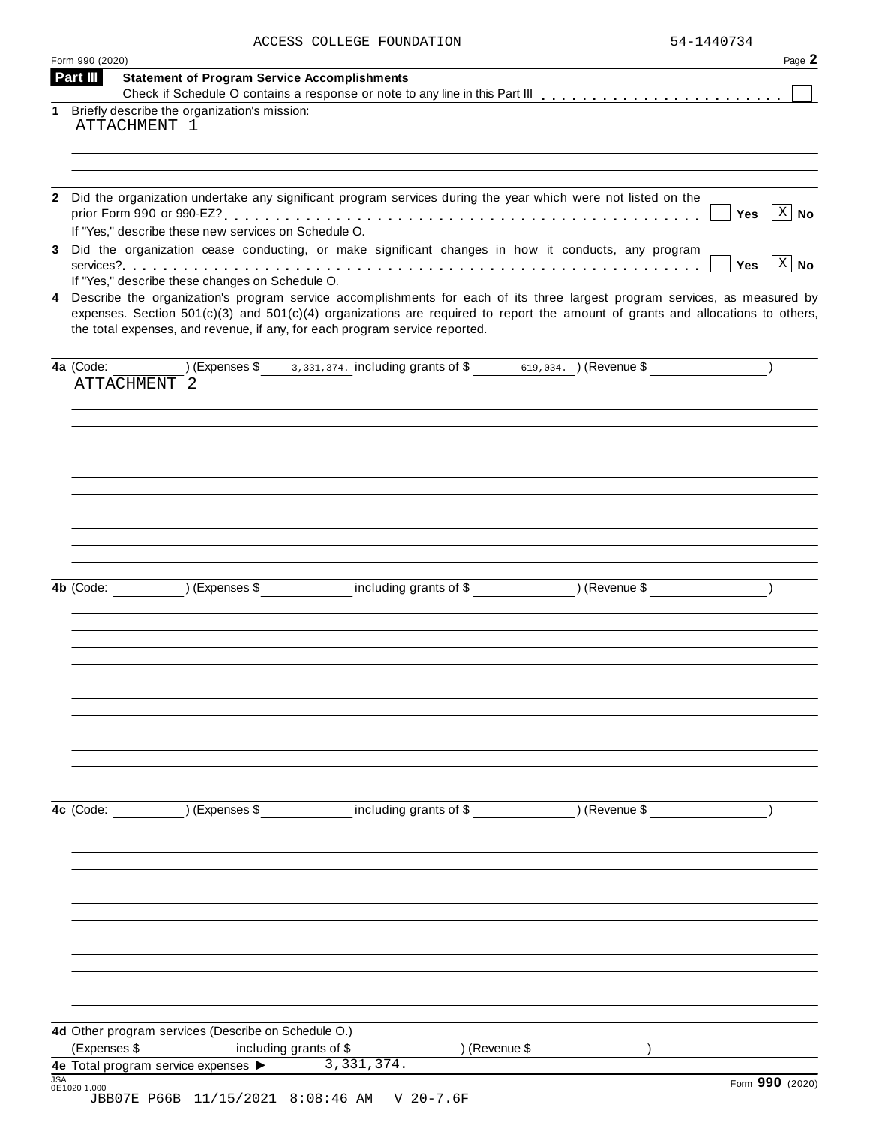| ACCESS COLLEGE FOUNDATION | 54-1440734 |
|---------------------------|------------|

|   | Form 990 (2020) |                                                      |                                                                             |                                                                                                                                                                                                                                                                  | Page 2                    |
|---|-----------------|------------------------------------------------------|-----------------------------------------------------------------------------|------------------------------------------------------------------------------------------------------------------------------------------------------------------------------------------------------------------------------------------------------------------|---------------------------|
|   | Part III        |                                                      | <b>Statement of Program Service Accomplishments</b>                         |                                                                                                                                                                                                                                                                  |                           |
|   |                 | 1 Briefly describe the organization's mission:       |                                                                             |                                                                                                                                                                                                                                                                  |                           |
|   | ATTACHMENT 1    |                                                      |                                                                             |                                                                                                                                                                                                                                                                  |                           |
|   |                 |                                                      |                                                                             |                                                                                                                                                                                                                                                                  |                           |
|   |                 |                                                      |                                                                             |                                                                                                                                                                                                                                                                  |                           |
|   |                 |                                                      |                                                                             | 2 Did the organization undertake any significant program services during the year which were not listed on the                                                                                                                                                   |                           |
|   |                 | If "Yes," describe these new services on Schedule O. |                                                                             |                                                                                                                                                                                                                                                                  | $X \mid No$<br>Yes        |
|   |                 |                                                      |                                                                             | 3 Did the organization cease conducting, or make significant changes in how it conducts, any program                                                                                                                                                             | $X \mid No$<br><b>Yes</b> |
|   |                 | If "Yes," describe these changes on Schedule O.      |                                                                             |                                                                                                                                                                                                                                                                  |                           |
| 4 |                 |                                                      | the total expenses, and revenue, if any, for each program service reported. | Describe the organization's program service accomplishments for each of its three largest program services, as measured by<br>expenses. Section $501(c)(3)$ and $501(c)(4)$ organizations are required to report the amount of grants and allocations to others, |                           |
|   | 4a (Code:       |                                                      |                                                                             | (Expenses \$3,331,374. including grants of \$619,034. ) (Revenue \$                                                                                                                                                                                              |                           |
|   | ATTACHMENT 2    |                                                      |                                                                             |                                                                                                                                                                                                                                                                  |                           |
|   |                 |                                                      |                                                                             |                                                                                                                                                                                                                                                                  |                           |
|   |                 |                                                      |                                                                             |                                                                                                                                                                                                                                                                  |                           |
|   |                 |                                                      |                                                                             |                                                                                                                                                                                                                                                                  |                           |
|   |                 |                                                      |                                                                             |                                                                                                                                                                                                                                                                  |                           |
|   |                 |                                                      |                                                                             |                                                                                                                                                                                                                                                                  |                           |
|   |                 |                                                      |                                                                             |                                                                                                                                                                                                                                                                  |                           |
|   |                 |                                                      |                                                                             |                                                                                                                                                                                                                                                                  |                           |
|   |                 |                                                      |                                                                             |                                                                                                                                                                                                                                                                  |                           |
|   |                 |                                                      |                                                                             |                                                                                                                                                                                                                                                                  |                           |
|   |                 |                                                      |                                                                             | 4b (Code: ) (Expenses \$ including grants of \$ ) (Revenue \$                                                                                                                                                                                                    |                           |
|   |                 |                                                      |                                                                             |                                                                                                                                                                                                                                                                  |                           |
|   |                 |                                                      |                                                                             |                                                                                                                                                                                                                                                                  |                           |
|   |                 |                                                      |                                                                             |                                                                                                                                                                                                                                                                  |                           |
|   |                 |                                                      |                                                                             |                                                                                                                                                                                                                                                                  |                           |
|   |                 |                                                      |                                                                             |                                                                                                                                                                                                                                                                  |                           |
|   |                 |                                                      |                                                                             |                                                                                                                                                                                                                                                                  |                           |
|   |                 |                                                      |                                                                             |                                                                                                                                                                                                                                                                  |                           |
|   |                 |                                                      |                                                                             |                                                                                                                                                                                                                                                                  |                           |
|   |                 |                                                      |                                                                             |                                                                                                                                                                                                                                                                  |                           |
|   |                 |                                                      |                                                                             |                                                                                                                                                                                                                                                                  |                           |
|   | 4c (Code:       |                                                      | (Expenses \$ including grants of \$ ) (Revenue \$                           |                                                                                                                                                                                                                                                                  |                           |
|   |                 |                                                      |                                                                             |                                                                                                                                                                                                                                                                  |                           |
|   |                 |                                                      |                                                                             |                                                                                                                                                                                                                                                                  |                           |
|   |                 |                                                      |                                                                             |                                                                                                                                                                                                                                                                  |                           |
|   |                 |                                                      |                                                                             |                                                                                                                                                                                                                                                                  |                           |
|   |                 |                                                      |                                                                             |                                                                                                                                                                                                                                                                  |                           |
|   |                 |                                                      |                                                                             |                                                                                                                                                                                                                                                                  |                           |
|   |                 |                                                      |                                                                             |                                                                                                                                                                                                                                                                  |                           |
|   |                 |                                                      |                                                                             |                                                                                                                                                                                                                                                                  |                           |
|   |                 |                                                      |                                                                             |                                                                                                                                                                                                                                                                  |                           |
|   |                 |                                                      |                                                                             |                                                                                                                                                                                                                                                                  |                           |
|   |                 |                                                      |                                                                             |                                                                                                                                                                                                                                                                  |                           |
|   |                 | 4d Other program services (Describe on Schedule O.)  |                                                                             |                                                                                                                                                                                                                                                                  |                           |
|   |                 |                                                      |                                                                             |                                                                                                                                                                                                                                                                  |                           |
|   | (Expenses \$    | 4e Total program service expenses >                  | including grants of \$<br>3,331,374.                                        | ) (Revenue \$                                                                                                                                                                                                                                                    |                           |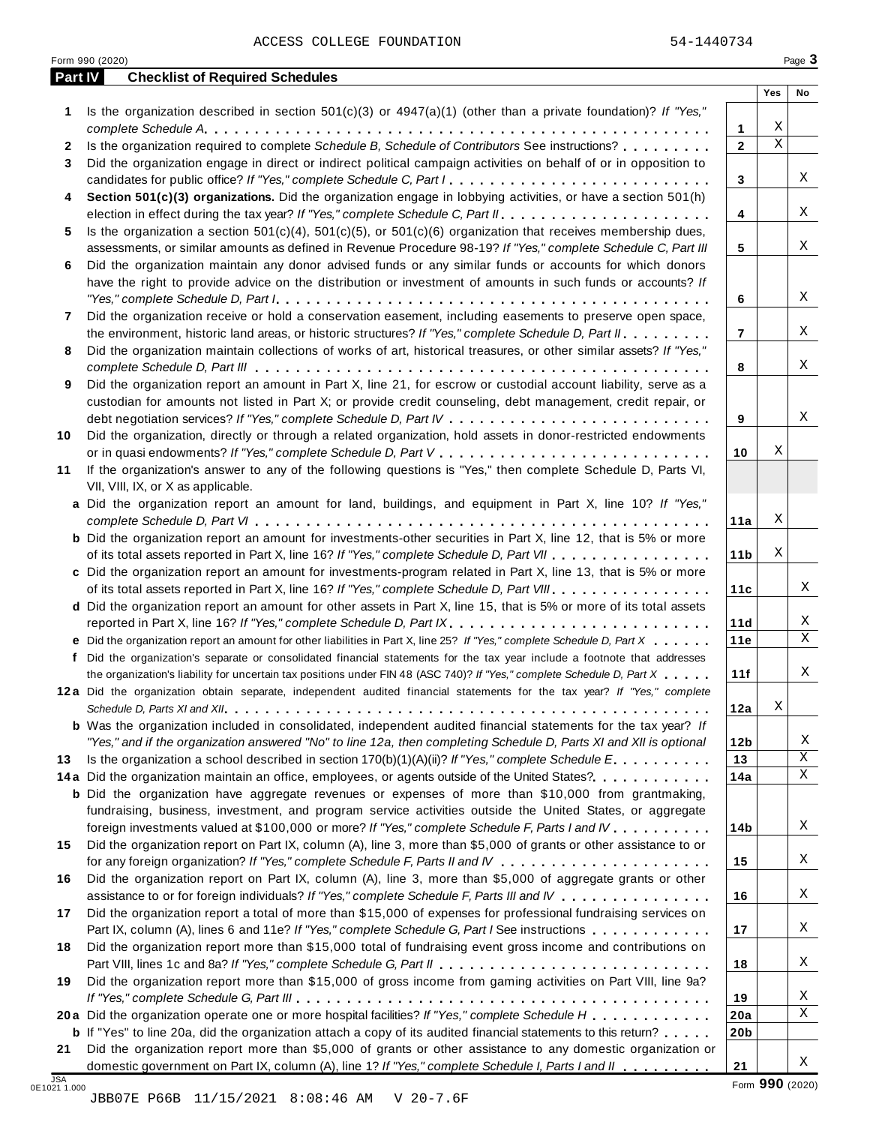|                | 54-1440734<br>ACCESS COLLEGE FOUNDATION                                                                              |                |            |              |
|----------------|----------------------------------------------------------------------------------------------------------------------|----------------|------------|--------------|
|                | Form 990 (2020)                                                                                                      |                |            | Page 3       |
|                | <b>Checklist of Required Schedules</b><br>Part IV                                                                    |                |            |              |
|                |                                                                                                                      |                | <b>Yes</b> | No           |
|                | Is the organization described in section $501(c)(3)$ or $4947(a)(1)$ (other than a private foundation)? If "Yes,"    |                |            |              |
|                |                                                                                                                      | $\mathbf 1$    | X          |              |
| $\mathbf{2}$   | Is the organization required to complete Schedule B, Schedule of Contributors See instructions?                      | $\overline{2}$ | X          |              |
| 3              | Did the organization engage in direct or indirect political campaign activities on behalf of or in opposition to     |                |            |              |
|                | candidates for public office? If "Yes," complete Schedule C, Part I.                                                 | 3              |            | $\mathbf{X}$ |
| 4              | Section 501(c)(3) organizations. Did the organization engage in lobbying activities, or have a section 501(h)        |                |            |              |
|                | election in effect during the tax year? If "Yes," complete Schedule C, Part II.                                      | 4              |            | X            |
| 5              | Is the organization a section $501(c)(4)$ , $501(c)(5)$ , or $501(c)(6)$ organization that receives membership dues, |                |            |              |
|                | assessments, or similar amounts as defined in Revenue Procedure 98-19? If "Yes," complete Schedule C, Part III       | 5              |            | X            |
| 6              | Did the organization maintain any donor advised funds or any similar funds or accounts for which donors              |                |            |              |
|                | have the right to provide advice on the distribution or investment of amounts in such funds or accounts? If          |                |            |              |
|                |                                                                                                                      | 6              |            | X            |
| $\overline{7}$ | Did the organization receive or hold a conservation easement, including easements to preserve open space,            |                |            |              |
|                | the environment, historic land areas, or historic structures? If "Yes," complete Schedule D, Part II.                | $\overline{7}$ |            | X            |
| 8              | Did the organization maintain collections of works of art, historical treasures, or other similar assets? If "Yes,"  |                |            |              |
|                |                                                                                                                      | 8              |            | X            |
| 9              | Did the organization report an amount in Part X, line 21, for escrow or custodial account liability, serve as a      |                |            |              |
|                | custodian for amounts not listed in Part X; or provide credit counseling, debt management, credit repair, or         |                |            |              |
|                |                                                                                                                      | 9              |            | X            |
|                |                                                                                                                      |                |            |              |

- **10** Did the organization, directly or through a related organization, hold assets in donor-restricted endowments or in quasi endowments? *If"Yes," complete Schedule D, Part <sup>V</sup>* m m m m m m m m m m m m m m m m m m m m m m m m m m m
- **11** If the organization's answer to any of the following questions is "Yes," then complete Schedule D, Parts VI, VII, VIII, IX, or X as applicable. **a** Did the organization report an amount for land, buildings, and equipment in Part X, line 10? *If "Yes," complete Schedule D, Part VI* m m m m m m m m m m m m m m m m m m m m m m m m m m m m m m m m m m m m m m m m m m m m m
	- **b** Did the organization report an amount for investments-other securities in Part X, line 12, that is 5% or more  $\qquad$ of its total assets reported in Part X, line 16? If "Yes," complete Schedule D, Part VII . . . . . . . . . . . . . . . .

**c** Did the organization report an amount for investments-program related in Part X, line 13, that is 5% or more **d** Did the organization report an amount for other assets in Part X, line 15, that is 5% or more of its total assets of its total assets reported in Part X, line 16? If "Yes," complete Schedule D, Part VIII . . . . . . . . . . . . . . .

**e** Did the organization report an amount for other liabilities in Part X, line 25? If "Yes," complete Schedule D, Part X . . . . . . **f** Did the organization's separate or consolidated financial statements for the tax year include a footnote that addresses reported in Part X, line 16? *If"Yes," complete Schedule D, Part IX* m m m m m m m m m m m m m m m m m m m m m m m m m m Did the organization report an amount for other liabilities in Part X, line 25? *If "Yes," complete Schedule D, Part <sup>X</sup>* m m m m m m

**12 a** Did the organization obtain separate, independent audited financial statements for the tax year? *If "Yes," complete* the organization's liability for uncertain tax positions under FIN <sup>48</sup> (ASC 740)? *If"Yes," complete Schedule D, Part <sup>X</sup>* m m m m m *Schedule D, Parts XI and XII*.  $\ldots$  .  $\ldots$  .  $\ldots$  .  $\ldots$  .  $\ldots$  .  $\ldots$  .  $\ldots$  .  $\ldots$  .  $\ldots$  .  $\ldots$  .  $\ldots$  .  $\ldots$  .  $\ldots$ 

**13 b** Was the organization included in consolidated, independent audited financial statements for the tax year? *If* "Yes," and if the organization answered "No" to line 12a, then completing Schedule D, Parts XI and XII is optional Is the organization <sup>a</sup> school described in section 170(b)(1)(A)(ii)? *If"Yes," complete Schedule <sup>E</sup>*mm m m m m m m m m

13 Is the organization a school described in section 170(b)(1)(A)(ii)? *If "Yes," complete Schedule E*.........<br>14<mark>a</mark> Did the organization maintain an office, employees, or agents outside of the United States?........... **b** Did the organization have aggregate revenues or expenses of more than \$10,000 from grantmaking, fundraising, business, investment, and program service activities outside the United States, or aggregate

**16** Did the organization report on Part IX, column (A), line 3, more than \$5,000 of aggregate grants or other assistance to or for foreign individuals? If "Yes," complete Schedule F, Parts III and IV . . . . . . . . . . . . . . . .

**17** Did the organization report a total of more than \$15,000 of expenses for professional fundraising services on Part IX, column (A), lines 6 and 11e? *If "Yes," complete Schedule G, Part I* See instructions means means means means of means of means of the means of means of means of the means of the means of the means of the means of  $\Gamma$  id the organization report more than  $$15,000$  total of fundraising

| 18 Did the organization report more than \$15,000 total of fundraising event gross income and contributions on  |
|-----------------------------------------------------------------------------------------------------------------|
|                                                                                                                 |
| 19 Did the organization report more than \$15,000 of gross income from gaming activities on Part VIII, line 9a? |
|                                                                                                                 |

**20 a** Did the organization operate one or more hospital facilities? *If "Yes," complete Schedule H* m m m m m m m m m m m m

**21 a** Did the organization operate one or more hospital facilities? If "Yes," complete Schedule H<br>**b** If "Yes" to line 20a, did the organization attach a copy of its audited financial statements to this return?<br>————————————— Did the organization report more than \$5,000 of grants or other assistance to any domestic organization or domestic government on Part IX, column (A), line 1? *If "Yes," complete Schedule I, Parts I and II*<br>0E10211.000

**<sup>15</sup>** foreign investments valued at \$100,000 or more? *If"Yes," complete Schedule F, Parts <sup>I</sup> and IV* m m m m m m m m m m Did the organization report on Part IX, column (A), line 3, more than \$5,000 of grants or other assistance to or for any foreign organization? *If"Yes," complete Schedule F, Parts II and IV* m m m m m m m m m m m m m m m m m m m m m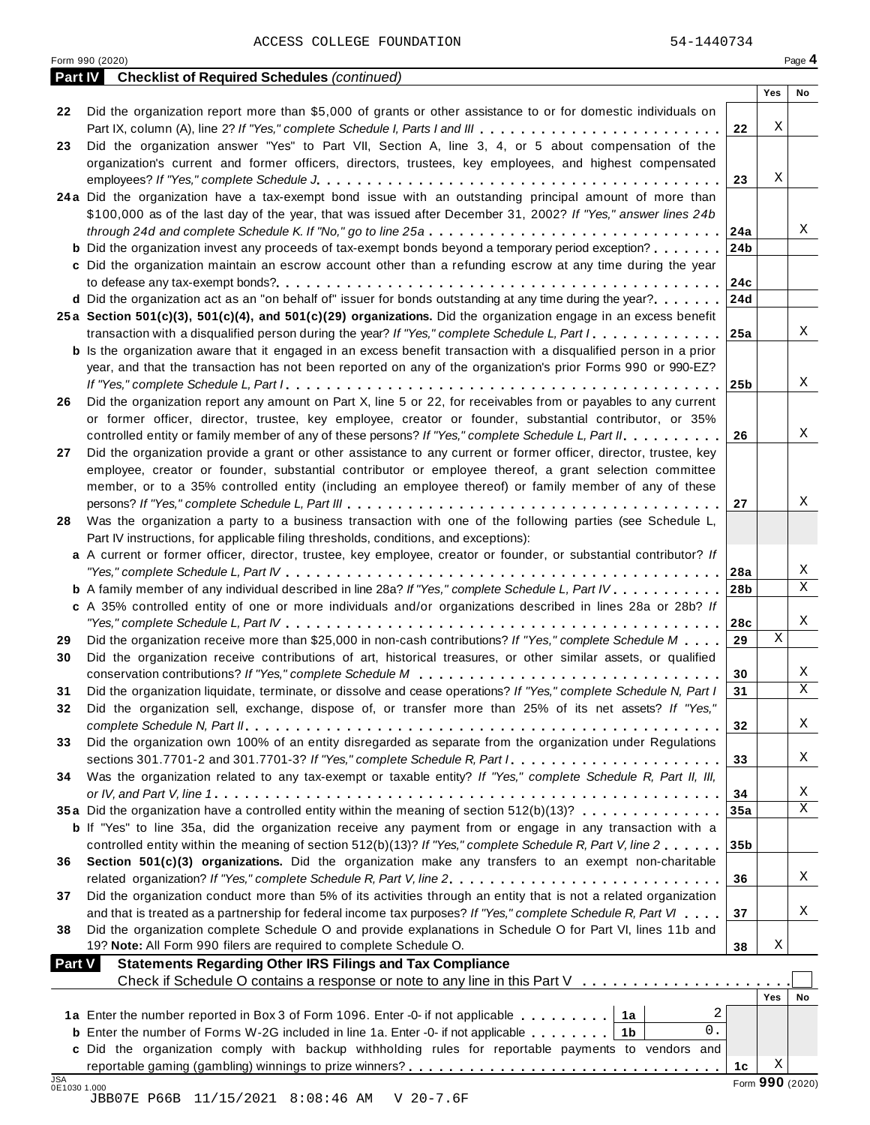| <b>Part IV</b>             | <b>Checklist of Required Schedules (continued)</b>                                                                        |                 |                 |    |
|----------------------------|---------------------------------------------------------------------------------------------------------------------------|-----------------|-----------------|----|
|                            |                                                                                                                           |                 | Yes             | No |
| 22                         | Did the organization report more than \$5,000 of grants or other assistance to or for domestic individuals on             |                 |                 |    |
|                            | Part IX, column (A), line 2? If "Yes," complete Schedule I, Parts I and III                                               | 22              | Χ               |    |
| 23                         | Did the organization answer "Yes" to Part VII, Section A, line 3, 4, or 5 about compensation of the                       |                 |                 |    |
|                            | organization's current and former officers, directors, trustees, key employees, and highest compensated                   |                 |                 |    |
|                            |                                                                                                                           | 23              | Χ               |    |
|                            | 24a Did the organization have a tax-exempt bond issue with an outstanding principal amount of more than                   |                 |                 |    |
|                            | \$100,000 as of the last day of the year, that was issued after December 31, 2002? If "Yes," answer lines 24b             |                 |                 |    |
|                            | through 24d and complete Schedule K. If "No," go to line 25a                                                              | 24a             |                 | Χ  |
|                            | <b>b</b> Did the organization invest any proceeds of tax-exempt bonds beyond a temporary period exception?                | 24b             |                 |    |
|                            | c Did the organization maintain an escrow account other than a refunding escrow at any time during the year               |                 |                 |    |
|                            |                                                                                                                           | 24c             |                 |    |
|                            | d Did the organization act as an "on behalf of" issuer for bonds outstanding at any time during the year?                 | 24d             |                 |    |
|                            | 25a Section 501(c)(3), 501(c)(4), and 501(c)(29) organizations. Did the organization engage in an excess benefit          |                 |                 |    |
|                            | transaction with a disqualified person during the year? If "Yes," complete Schedule L, Part I.                            | 25a             |                 | Χ  |
|                            | <b>b</b> Is the organization aware that it engaged in an excess benefit transaction with a disqualified person in a prior |                 |                 |    |
|                            | year, and that the transaction has not been reported on any of the organization's prior Forms 990 or 990-EZ?              |                 |                 |    |
|                            |                                                                                                                           | 25 <sub>b</sub> |                 | X  |
| 26                         | Did the organization report any amount on Part X, line 5 or 22, for receivables from or payables to any current           |                 |                 |    |
|                            | or former officer, director, trustee, key employee, creator or founder, substantial contributor, or 35%                   |                 |                 |    |
|                            | controlled entity or family member of any of these persons? If "Yes," complete Schedule L, Part II.                       | 26              |                 | X  |
| 27                         | Did the organization provide a grant or other assistance to any current or former officer, director, trustee, key         |                 |                 |    |
|                            | employee, creator or founder, substantial contributor or employee thereof, a grant selection committee                    |                 |                 |    |
|                            | member, or to a 35% controlled entity (including an employee thereof) or family member of any of these                    |                 |                 |    |
|                            |                                                                                                                           | 27              |                 | Χ  |
| 28                         | Was the organization a party to a business transaction with one of the following parties (see Schedule L,                 |                 |                 |    |
|                            | Part IV instructions, for applicable filing thresholds, conditions, and exceptions):                                      |                 |                 |    |
|                            | a A current or former officer, director, trustee, key employee, creator or founder, or substantial contributor? If        |                 |                 |    |
|                            |                                                                                                                           | 28a             |                 | Χ  |
|                            | <b>b</b> A family member of any individual described in line 28a? If "Yes," complete Schedule L, Part IV.                 | 28b             |                 | X  |
|                            | c A 35% controlled entity of one or more individuals and/or organizations described in lines 28a or 28b? If               |                 |                 |    |
|                            |                                                                                                                           |                 |                 | Χ  |
|                            | Did the organization receive more than \$25,000 in non-cash contributions? If "Yes," complete Schedule M                  | 28c<br>29       | $\mathbf X$     |    |
| 29                         | Did the organization receive contributions of art, historical treasures, or other similar assets, or qualified            |                 |                 |    |
| 30                         |                                                                                                                           |                 |                 | Χ  |
|                            |                                                                                                                           | 30              |                 | X  |
| 31                         | Did the organization liquidate, terminate, or dissolve and cease operations? If "Yes," complete Schedule N, Part I        | 31              |                 |    |
| 32                         | Did the organization sell, exchange, dispose of, or transfer more than 25% of its net assets? If "Yes,"                   |                 |                 | Χ  |
|                            |                                                                                                                           | 32              |                 |    |
| 33                         | Did the organization own 100% of an entity disregarded as separate from the organization under Regulations                |                 |                 |    |
|                            |                                                                                                                           | 33              |                 | Χ  |
| 34                         | Was the organization related to any tax-exempt or taxable entity? If "Yes," complete Schedule R, Part II, III,            |                 |                 |    |
|                            |                                                                                                                           | 34              |                 | Χ  |
|                            | 35a Did the organization have a controlled entity within the meaning of section 512(b)(13)?                               | 35a             |                 | X  |
|                            | <b>b</b> If "Yes" to line 35a, did the organization receive any payment from or engage in any transaction with a          |                 |                 |    |
|                            | controlled entity within the meaning of section 512(b)(13)? If "Yes," complete Schedule R, Part V, line 2                 | 35 <sub>b</sub> |                 |    |
| 36                         | Section 501(c)(3) organizations. Did the organization make any transfers to an exempt non-charitable                      |                 |                 |    |
|                            |                                                                                                                           | 36              |                 | Χ  |
| 37                         | Did the organization conduct more than 5% of its activities through an entity that is not a related organization          |                 |                 |    |
|                            | and that is treated as a partnership for federal income tax purposes? If "Yes," complete Schedule R, Part VI              | 37              |                 | Χ  |
| 38                         | Did the organization complete Schedule O and provide explanations in Schedule O for Part VI, lines 11b and                |                 |                 |    |
|                            | 19? Note: All Form 990 filers are required to complete Schedule O.                                                        | 38              | Χ               |    |
| <b>Part V</b>              | <b>Statements Regarding Other IRS Filings and Tax Compliance</b>                                                          |                 |                 |    |
|                            | Check if Schedule O contains a response or note to any line in this Part $V_1, \ldots, \ldots, \ldots, \ldots$            |                 |                 |    |
|                            |                                                                                                                           |                 | Yes             | No |
|                            | 2<br>1a Enter the number reported in Box 3 of Form 1096. Enter -0- if not applicable<br>1a                                |                 |                 |    |
|                            | 0.<br><b>b</b> Enter the number of Forms W-2G included in line 1a. Enter -0- if not applicable<br>1 <sub>b</sub>          |                 |                 |    |
|                            | c Did the organization comply with backup withholding rules for reportable payments to vendors and                        |                 |                 |    |
|                            |                                                                                                                           | 1c              | Χ               |    |
| <b>JSA</b><br>0E1030 1.000 |                                                                                                                           |                 | Form 990 (2020) |    |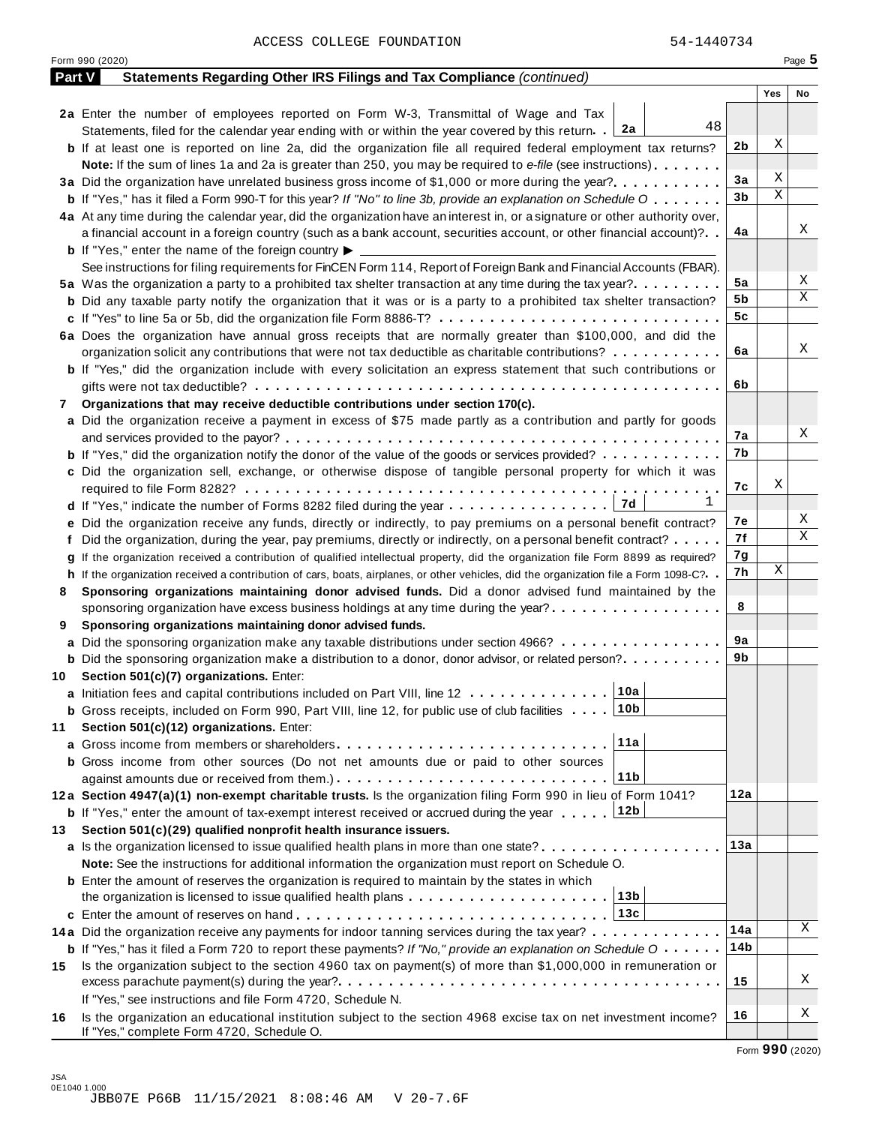|               | Form 990 (2020)                                                                                                                              |     |     | Page 5 |
|---------------|----------------------------------------------------------------------------------------------------------------------------------------------|-----|-----|--------|
| <b>Part V</b> | Statements Regarding Other IRS Filings and Tax Compliance (continued)                                                                        |     |     |        |
|               |                                                                                                                                              |     | Yes | No     |
|               | 2a Enter the number of employees reported on Form W-3, Transmittal of Wage and Tax                                                           |     |     |        |
|               | 48<br>Statements, filed for the calendar year ending with or within the year covered by this return. [2a]                                    |     |     |        |
|               | <b>b</b> If at least one is reported on line 2a, did the organization file all required federal employment tax returns?                      | 2b  | Χ   |        |
|               | <b>Note:</b> If the sum of lines 1a and 2a is greater than 250, you may be required to e-file (see instructions).                            |     |     |        |
|               | 3a Did the organization have unrelated business gross income of \$1,000 or more during the year?                                             | За  | Χ   |        |
|               | <b>b</b> If "Yes," has it filed a Form 990-T for this year? If "No" to line 3b, provide an explanation on Schedule O                         | 3b  | Χ   |        |
|               | 4a At any time during the calendar year, did the organization have an interest in, or a signature or other authority over,                   |     |     |        |
|               | a financial account in a foreign country (such as a bank account, securities account, or other financial account)?                           | 4a  |     | Χ      |
|               | <b>b</b> If "Yes," enter the name of the foreign country $\blacktriangleright$                                                               |     |     |        |
|               | See instructions for filing requirements for FinCEN Form 114, Report of Foreign Bank and Financial Accounts (FBAR).                          |     |     |        |
|               | 5a Was the organization a party to a prohibited tax shelter transaction at any time during the tax year?                                     | 5a  |     | Χ      |
|               | <b>b</b> Did any taxable party notify the organization that it was or is a party to a prohibited tax shelter transaction?                    | 5b  |     | Χ      |
|               | c If "Yes" to line 5a or 5b, did the organization file Form 8886-T?                                                                          | 5c  |     |        |
|               |                                                                                                                                              |     |     |        |
|               | 6a Does the organization have annual gross receipts that are normally greater than \$100,000, and did the                                    |     |     | Χ      |
|               | organization solicit any contributions that were not tax deductible as charitable contributions?                                             | 6a  |     |        |
|               | <b>b</b> If "Yes," did the organization include with every solicitation an express statement that such contributions or                      |     |     |        |
|               |                                                                                                                                              | 6b  |     |        |
| 7             | Organizations that may receive deductible contributions under section 170(c).                                                                |     |     |        |
|               | a Did the organization receive a payment in excess of \$75 made partly as a contribution and partly for goods                                |     |     |        |
|               |                                                                                                                                              | 7а  |     | Χ      |
|               | <b>b</b> If "Yes," did the organization notify the donor of the value of the goods or services provided?                                     | 7b  |     |        |
|               | c Did the organization sell, exchange, or otherwise dispose of tangible personal property for which it was                                   |     |     |        |
|               |                                                                                                                                              | 7c  | Χ   |        |
|               | 1                                                                                                                                            |     |     |        |
|               | e Did the organization receive any funds, directly or indirectly, to pay premiums on a personal benefit contract?                            | 7е  |     | Χ      |
|               | f Did the organization, during the year, pay premiums, directly or indirectly, on a personal benefit contract?                               | 7f  |     | X      |
|               | If the organization received a contribution of qualified intellectual property, did the organization file Form 8899 as required?             | 7g  |     |        |
|               | h If the organization received a contribution of cars, boats, airplanes, or other vehicles, did the organization file a Form 1098-C?         | 7h  | Χ   |        |
| 8             | Sponsoring organizations maintaining donor advised funds. Did a donor advised fund maintained by the                                         |     |     |        |
|               | sponsoring organization have excess business holdings at any time during the year?                                                           | 8   |     |        |
| 9             | Sponsoring organizations maintaining donor advised funds.                                                                                    |     |     |        |
|               | <b>a</b> Did the sponsoring organization make any taxable distributions under section 4966?                                                  | 9а  |     |        |
|               |                                                                                                                                              | 9b  |     |        |
|               | <b>b</b> Did the sponsoring organization make a distribution to a donor, donor advisor, or related person?                                   |     |     |        |
| 10            | Section 501(c)(7) organizations. Enter:<br> 10a                                                                                              |     |     |        |
|               | a Initiation fees and capital contributions included on Part VIII, line 12                                                                   |     |     |        |
|               | <b>b</b> Gross receipts, included on Form 990, Part VIII, line 12, for public use of club facilities 10b                                     |     |     |        |
| 11            | Section 501(c)(12) organizations. Enter:                                                                                                     |     |     |        |
|               | 11a<br>a Gross income from members or shareholders                                                                                           |     |     |        |
|               | <b>b</b> Gross income from other sources (Do not net amounts due or paid to other sources                                                    |     |     |        |
|               | 11b                                                                                                                                          |     |     |        |
|               | 12a Section 4947(a)(1) non-exempt charitable trusts. Is the organization filing Form 990 in lieu of Form 1041?                               | 12a |     |        |
|               | 12b<br><b>b</b> If "Yes," enter the amount of tax-exempt interest received or accrued during the year                                        |     |     |        |
| 13.           | Section 501(c)(29) qualified nonprofit health insurance issuers.                                                                             |     |     |        |
|               | a Is the organization licensed to issue qualified health plans in more than one state?                                                       | 13а |     |        |
|               | Note: See the instructions for additional information the organization must report on Schedule O.                                            |     |     |        |
|               | <b>b</b> Enter the amount of reserves the organization is required to maintain by the states in which                                        |     |     |        |
|               | the organization is licensed to issue qualified health plans $\ldots \ldots \ldots \ldots \ldots \ldots \ldots$                              |     |     |        |
|               |                                                                                                                                              |     |     |        |
|               | 14a Did the organization receive any payments for indoor tanning services during the tax year?                                               | 14a |     | Χ      |
|               | <b>b</b> If "Yes," has it filed a Form 720 to report these payments? If "No," provide an explanation on Schedule $0 \cdot \cdot \cdot \cdot$ | 14b |     |        |
| 15            | Is the organization subject to the section 4960 tax on payment(s) of more than \$1,000,000 in remuneration or                                |     |     |        |
|               |                                                                                                                                              | 15  |     | Χ      |
|               | If "Yes," see instructions and file Form 4720, Schedule N.                                                                                   |     |     |        |
| 16            | Is the organization an educational institution subject to the section 4968 excise tax on net investment income?                              | 16  |     | Χ      |
|               | If "Yes," complete Form 4720, Schedule O.                                                                                                    |     |     |        |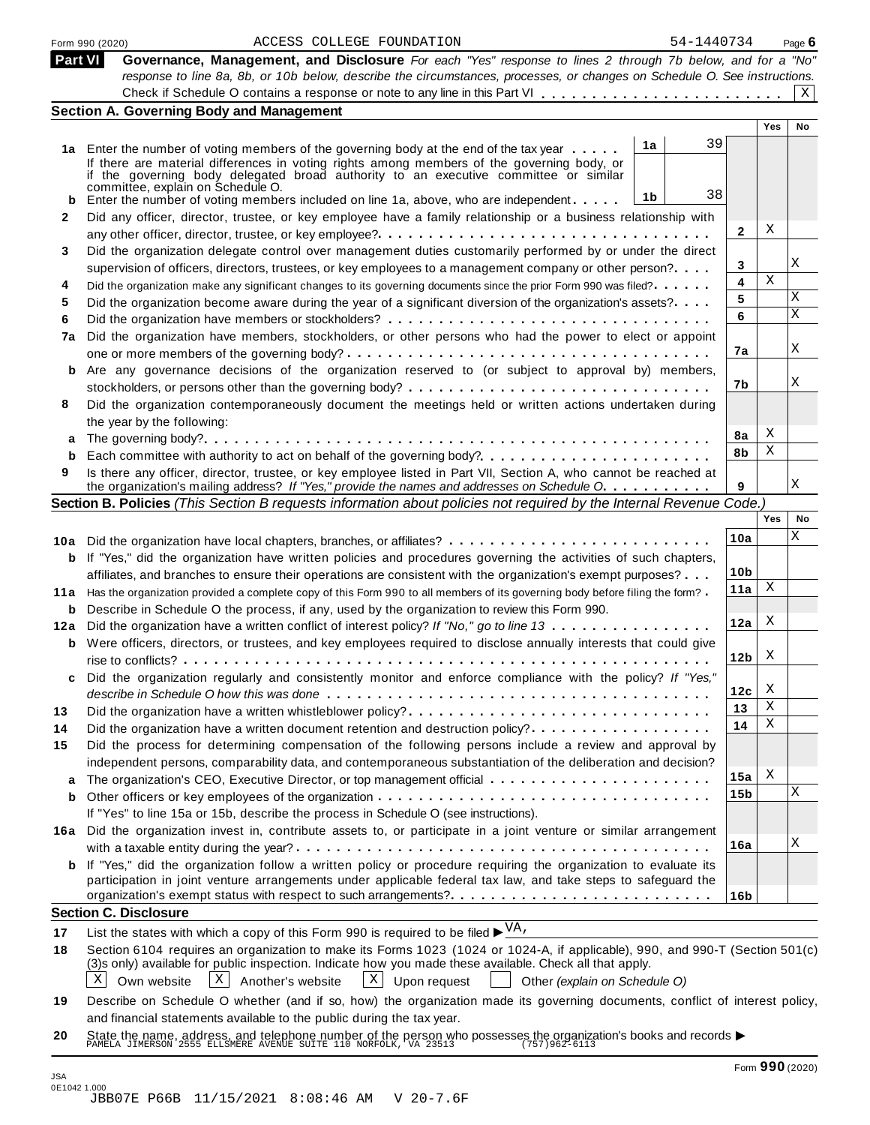|                                         | ACCESS COLLEGE FOUNDATION<br>Form 990 (2020)                                                                                                                                                                                                                                                 | 54-1440734      | Page $6$ |    |
|-----------------------------------------|----------------------------------------------------------------------------------------------------------------------------------------------------------------------------------------------------------------------------------------------------------------------------------------------|-----------------|----------|----|
|                                         | <b>Part VI</b><br>Governance, Management, and Disclosure For each "Yes" response to lines 2 through 7b below, and for a "No"                                                                                                                                                                 |                 |          |    |
|                                         | response to line 8a, 8b, or 10b below, describe the circumstances, processes, or changes on Schedule O. See instructions.                                                                                                                                                                    |                 |          |    |
|                                         |                                                                                                                                                                                                                                                                                              |                 |          | X  |
|                                         | <b>Section A. Governing Body and Management</b>                                                                                                                                                                                                                                              |                 | Yes      | No |
|                                         | 39<br>1a                                                                                                                                                                                                                                                                                     |                 |          |    |
|                                         | 1a Enter the number of voting members of the governing body at the end of the tax year<br>If there are material differences in voting rights among members of the governing body, or                                                                                                         |                 |          |    |
|                                         | if the governing body delegated broad authority to an executive committee or similar                                                                                                                                                                                                         |                 |          |    |
|                                         | committee, explain on Schedule O.<br>38                                                                                                                                                                                                                                                      |                 |          |    |
|                                         | 1 <sub>b</sub><br>Enter the number of voting members included on line 1a, above, who are independent                                                                                                                                                                                         |                 |          |    |
| 2                                       | Did any officer, director, trustee, or key employee have a family relationship or a business relationship with                                                                                                                                                                               |                 |          |    |
|                                         |                                                                                                                                                                                                                                                                                              | 2               | Χ        |    |
| 3                                       | Did the organization delegate control over management duties customarily performed by or under the direct                                                                                                                                                                                    |                 |          |    |
|                                         | supervision of officers, directors, trustees, or key employees to a management company or other person?                                                                                                                                                                                      | 3               |          | Χ  |
| 4                                       | Did the organization make any significant changes to its governing documents since the prior Form 990 was filed?                                                                                                                                                                             | 4               | Χ        |    |
| 5                                       | Did the organization become aware during the year of a significant diversion of the organization's assets?                                                                                                                                                                                   | 5               |          | Χ  |
| 6                                       |                                                                                                                                                                                                                                                                                              | 6               |          | Χ  |
| 7a                                      | Did the organization have members, stockholders, or other persons who had the power to elect or appoint                                                                                                                                                                                      |                 |          |    |
|                                         |                                                                                                                                                                                                                                                                                              | 7a              |          | Χ  |
| b                                       | Are any governance decisions of the organization reserved to (or subject to approval by) members,                                                                                                                                                                                            |                 |          |    |
|                                         |                                                                                                                                                                                                                                                                                              | 7b              |          | Χ  |
| 8                                       | Did the organization contemporaneously document the meetings held or written actions undertaken during                                                                                                                                                                                       |                 |          |    |
|                                         | the year by the following:                                                                                                                                                                                                                                                                   |                 |          |    |
| а                                       |                                                                                                                                                                                                                                                                                              | 8a              | X        |    |
| b                                       |                                                                                                                                                                                                                                                                                              | 8b              | Χ        |    |
| 9                                       | Is there any officer, director, trustee, or key employee listed in Part VII, Section A, who cannot be reached at                                                                                                                                                                             |                 |          |    |
|                                         | the organization's mailing address? If "Yes," provide the names and addresses on Schedule O.                                                                                                                                                                                                 | 9               |          | Χ  |
|                                         | Section B. Policies (This Section B requests information about policies not required by the Internal Revenue Code.)                                                                                                                                                                          |                 |          |    |
|                                         |                                                                                                                                                                                                                                                                                              |                 | Yes      | No |
|                                         |                                                                                                                                                                                                                                                                                              | 10a             |          | Χ  |
|                                         |                                                                                                                                                                                                                                                                                              |                 |          |    |
|                                         |                                                                                                                                                                                                                                                                                              |                 |          |    |
|                                         | If "Yes," did the organization have written policies and procedures governing the activities of such chapters,                                                                                                                                                                               |                 |          |    |
|                                         | affiliates, and branches to ensure their operations are consistent with the organization's exempt purposes?                                                                                                                                                                                  | 10 <sub>b</sub> | X        |    |
|                                         | 11a Has the organization provided a complete copy of this Form 990 to all members of its governing body before filing the form?                                                                                                                                                              | 11a             |          |    |
| b                                       | <b>b</b> Describe in Schedule O the process, if any, used by the organization to review this Form 990.                                                                                                                                                                                       |                 |          |    |
|                                         | 12a Did the organization have a written conflict of interest policy? If "No," go to line 13                                                                                                                                                                                                  | 12a             | X        |    |
| b                                       | Were officers, directors, or trustees, and key employees required to disclose annually interests that could give                                                                                                                                                                             |                 |          |    |
|                                         |                                                                                                                                                                                                                                                                                              | 12 <sub>b</sub> | X        |    |
|                                         | Did the organization regularly and consistently monitor and enforce compliance with the policy? If "Yes,"                                                                                                                                                                                    |                 |          |    |
|                                         |                                                                                                                                                                                                                                                                                              | 12c             | X        |    |
|                                         | Did the organization have a written whistleblower policy?                                                                                                                                                                                                                                    | 13              | Χ        |    |
|                                         | Did the organization have a written document retention and destruction policy?                                                                                                                                                                                                               | 14              | Χ        |    |
|                                         | Did the process for determining compensation of the following persons include a review and approval by                                                                                                                                                                                       |                 |          |    |
|                                         | independent persons, comparability data, and contemporaneous substantiation of the deliberation and decision?                                                                                                                                                                                |                 |          |    |
| a                                       | The organization's CEO, Executive Director, or top management official                                                                                                                                                                                                                       | 15a             | X        |    |
| b                                       |                                                                                                                                                                                                                                                                                              | 15b             |          | Χ  |
|                                         | If "Yes" to line 15a or 15b, describe the process in Schedule O (see instructions).                                                                                                                                                                                                          |                 |          |    |
|                                         |                                                                                                                                                                                                                                                                                              |                 |          |    |
|                                         | Did the organization invest in, contribute assets to, or participate in a joint venture or similar arrangement                                                                                                                                                                               | 16a             |          | Χ  |
| b                                       |                                                                                                                                                                                                                                                                                              |                 |          |    |
|                                         | If "Yes," did the organization follow a written policy or procedure requiring the organization to evaluate its<br>participation in joint venture arrangements under applicable federal tax law, and take steps to safeguard the                                                              |                 |          |    |
|                                         |                                                                                                                                                                                                                                                                                              | 16 <sub>b</sub> |          |    |
|                                         | <b>Section C. Disclosure</b>                                                                                                                                                                                                                                                                 |                 |          |    |
|                                         |                                                                                                                                                                                                                                                                                              |                 |          |    |
|                                         | List the states with which a copy of this Form 990 is required to be filed $\blacktriangleright \frac{VA}{A}$ ,                                                                                                                                                                              |                 |          |    |
|                                         | Section 6104 requires an organization to make its Forms 1023 (1024 or 1024-A, if applicable), 990, and 990-T (Section 501(c)                                                                                                                                                                 |                 |          |    |
|                                         | (3)s only) available for public inspection. Indicate how you made these available. Check all that apply.<br>Χ<br>X                                                                                                                                                                           |                 |          |    |
|                                         | $\mid X \mid$<br>Own website<br>Another's website<br>Upon request<br>Other (explain on Schedule O)                                                                                                                                                                                           |                 |          |    |
| 13<br>14<br>15<br>16а<br>17<br>18<br>19 | Describe on Schedule O whether (and if so, how) the organization made its governing documents, conflict of interest policy,                                                                                                                                                                  |                 |          |    |
| 20                                      | and financial statements available to the public during the tax year.<br>State the name, address, and telephone number of the person who possesses the organization's books and records $\blacktriangleright$ PAMELA JIMERSON 2555 ELLSMERE AVENUE SUITE 110 NORFOLK, VA 23513 (757)962-6113 |                 |          |    |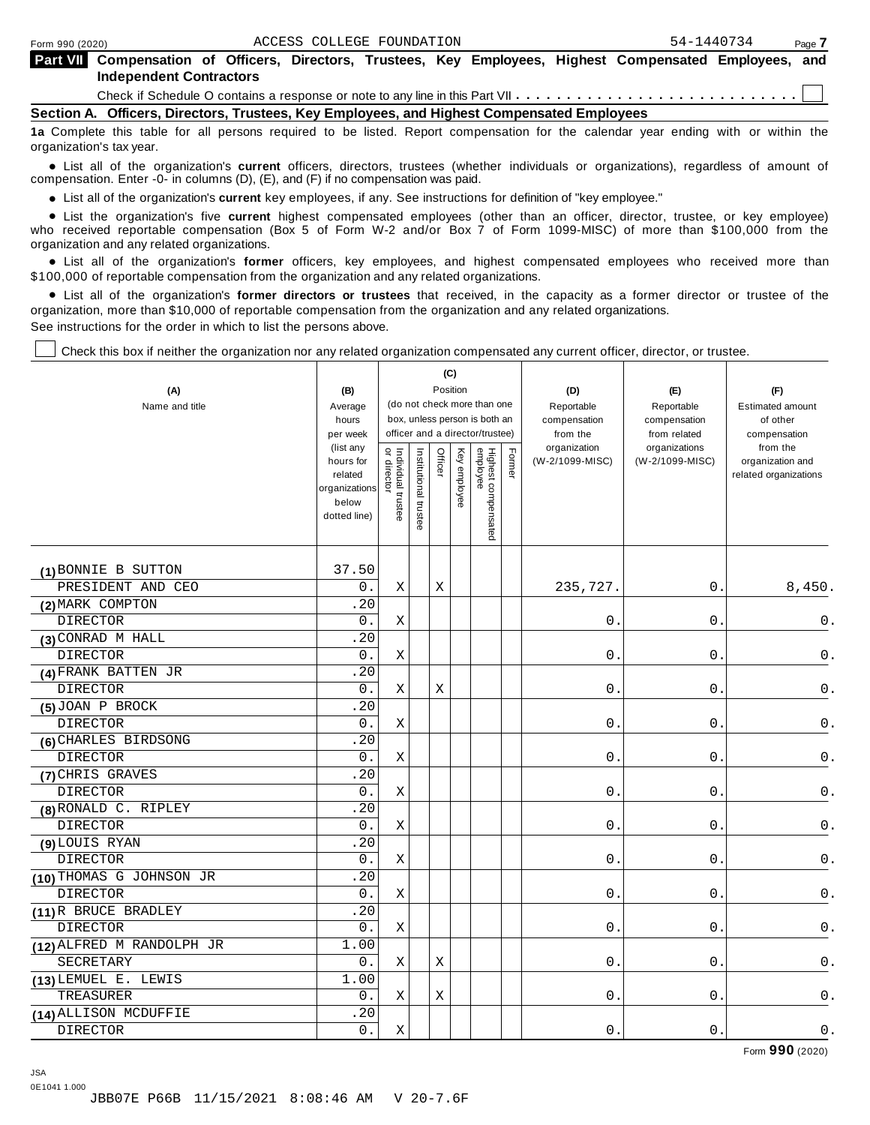| Part VII Compensation of Officers, Directors, Trustees, Key Employees, Highest Compensated Employees, and |  |  |  |  |  |
|-----------------------------------------------------------------------------------------------------------|--|--|--|--|--|
| <b>Independent Contractors</b>                                                                            |  |  |  |  |  |

Check if Schedule O contains a response or note to any line in this Part VII  $\ldots \ldots \ldots \ldots \ldots \ldots \ldots \ldots \ldots$ 

**Section A. Officers, Directors, Trustees, Key Employees, and Highest Compensated Employees**

**1a** Complete this table for all persons required to be listed. Report compensation for the calendar year ending with or within the organization's tax year.

anization's lax year.<br>● List all of the organization's **current** officers, directors, trustees (whether individuals or organizations), regardless of amount of<br>nnensation Enter -0- in columns (D) (E) and (E) if no compensa compensation. Enter -0- in columns (D), (E), and (F) if no compensation was paid.

• List all of the organization's current key employees, if any. See instructions for definition of "key employee."

■ List all of the organization's current key employees, if any. See instructions for definition of "key employee."<br>■ List the organization's five current highest compensated employees (other than an officer, director, tru who received reportable compensation (Box 5 of Form W-2 and/or Box 7 of Form 1099-MISC) of more than \$100,000 from the<br>organization and any related organizations.

organization and any related organizations.<br>• List all of the organization's **former** officers, key employees, and highest compensated employees who received more than<br>\$1.00.000 of reportable componention from the erganiza \$100,000 of reportable compensation from the organization and any related organizations.

% List all of the organization's **former directors or trustees** that received, in the capacity as a former director or trustee of the organization, more than \$10,000 of reportable compensation from the organization and any related organizations. See instructions for the order in which to list the persons above.

 $\mathbf{C}$ 

Check this box if neither the organization nor any related organization compensated any current officer, director, or trustee.

| (A)<br>Name and title     | (B)<br>Average<br>hours<br>per week<br>(list any<br>hours for<br>related<br>organizations<br>below<br>dotted line) | Individual trustee<br>or director | Institutional trustee | Officer     | (G)<br>Position<br>Key employee | (do not check more than one<br>box, unless person is both an<br>officer and a director/trustee)<br>Highest compensated<br>employee | Former | (D)<br>Reportable<br>compensation<br>from the<br>organization<br>(W-2/1099-MISC) | (E)<br>Reportable<br>compensation<br>from related<br>organizations<br>(W-2/1099-MISC) | (F)<br><b>Estimated amount</b><br>of other<br>compensation<br>from the<br>organization and<br>related organizations |
|---------------------------|--------------------------------------------------------------------------------------------------------------------|-----------------------------------|-----------------------|-------------|---------------------------------|------------------------------------------------------------------------------------------------------------------------------------|--------|----------------------------------------------------------------------------------|---------------------------------------------------------------------------------------|---------------------------------------------------------------------------------------------------------------------|
| (1) BONNIE B SUTTON       | 37.50                                                                                                              |                                   |                       |             |                                 |                                                                                                                                    |        |                                                                                  |                                                                                       |                                                                                                                     |
| PRESIDENT AND CEO         | 0.                                                                                                                 | Χ                                 |                       | $\mathbf X$ |                                 |                                                                                                                                    |        | 235,727.                                                                         | 0.                                                                                    | 8,450.                                                                                                              |
| (2) MARK COMPTON          | .20                                                                                                                |                                   |                       |             |                                 |                                                                                                                                    |        |                                                                                  |                                                                                       |                                                                                                                     |
| <b>DIRECTOR</b>           | $0$ .                                                                                                              | $\mathbf X$                       |                       |             |                                 |                                                                                                                                    |        | 0                                                                                | 0                                                                                     | $\mathsf 0$ .                                                                                                       |
| (3) CONRAD M HALL         | .20                                                                                                                |                                   |                       |             |                                 |                                                                                                                                    |        |                                                                                  |                                                                                       |                                                                                                                     |
| <b>DIRECTOR</b>           | $0$ .                                                                                                              | Χ                                 |                       |             |                                 |                                                                                                                                    |        | $0$ .                                                                            | $0$ .                                                                                 | $\mathsf 0$ .                                                                                                       |
| (4) FRANK BATTEN JR       | .20                                                                                                                |                                   |                       |             |                                 |                                                                                                                                    |        |                                                                                  |                                                                                       |                                                                                                                     |
| <b>DIRECTOR</b>           | $0$ .                                                                                                              | Χ                                 |                       | X           |                                 |                                                                                                                                    |        | 0                                                                                | $0\,$ .                                                                               | 0.                                                                                                                  |
| (5) JOAN P BROCK          | .20                                                                                                                |                                   |                       |             |                                 |                                                                                                                                    |        |                                                                                  |                                                                                       |                                                                                                                     |
| <b>DIRECTOR</b>           | $0$ .                                                                                                              | $\mathbf X$                       |                       |             |                                 |                                                                                                                                    |        | 0                                                                                | 0                                                                                     | $\mathsf 0$ .                                                                                                       |
| (6) CHARLES BIRDSONG      | .20                                                                                                                |                                   |                       |             |                                 |                                                                                                                                    |        |                                                                                  |                                                                                       |                                                                                                                     |
| <b>DIRECTOR</b>           | $0$ .                                                                                                              | X                                 |                       |             |                                 |                                                                                                                                    |        | 0                                                                                | 0                                                                                     | $\mathsf 0$ .                                                                                                       |
| (7) CHRIS GRAVES          | .20                                                                                                                |                                   |                       |             |                                 |                                                                                                                                    |        |                                                                                  |                                                                                       |                                                                                                                     |
| <b>DIRECTOR</b>           | 0.                                                                                                                 | X                                 |                       |             |                                 |                                                                                                                                    |        | 0                                                                                | 0                                                                                     | $0$ .                                                                                                               |
| (8) RONALD C. RIPLEY      | .20                                                                                                                |                                   |                       |             |                                 |                                                                                                                                    |        |                                                                                  |                                                                                       |                                                                                                                     |
| <b>DIRECTOR</b>           | 0.                                                                                                                 | Χ                                 |                       |             |                                 |                                                                                                                                    |        | 0                                                                                | 0                                                                                     | $\mathsf 0$ .                                                                                                       |
| (9) LOUIS RYAN            | .20                                                                                                                |                                   |                       |             |                                 |                                                                                                                                    |        |                                                                                  |                                                                                       |                                                                                                                     |
| <b>DIRECTOR</b>           | 0.                                                                                                                 | Χ                                 |                       |             |                                 |                                                                                                                                    |        | $\mathbf 0$                                                                      | 0.                                                                                    | 0.                                                                                                                  |
| (10) THOMAS G JOHNSON JR  | .20                                                                                                                |                                   |                       |             |                                 |                                                                                                                                    |        |                                                                                  |                                                                                       |                                                                                                                     |
| <b>DIRECTOR</b>           | $0$ .                                                                                                              | Χ                                 |                       |             |                                 |                                                                                                                                    |        | 0                                                                                | 0                                                                                     | $0$ .                                                                                                               |
| (11) R BRUCE BRADLEY      | .20                                                                                                                |                                   |                       |             |                                 |                                                                                                                                    |        |                                                                                  |                                                                                       |                                                                                                                     |
| <b>DIRECTOR</b>           | 0.                                                                                                                 | Χ                                 |                       |             |                                 |                                                                                                                                    |        | 0                                                                                | 0                                                                                     | 0.                                                                                                                  |
| (12) ALFRED M RANDOLPH JR | 1.00                                                                                                               |                                   |                       |             |                                 |                                                                                                                                    |        |                                                                                  |                                                                                       |                                                                                                                     |
| SECRETARY                 | $0$ .                                                                                                              | Χ                                 |                       | Χ           |                                 |                                                                                                                                    |        | 0                                                                                | 0                                                                                     | 0.                                                                                                                  |
| (13) LEMUEL E. LEWIS      | 1.00                                                                                                               |                                   |                       |             |                                 |                                                                                                                                    |        |                                                                                  |                                                                                       |                                                                                                                     |
| TREASURER                 | 0.                                                                                                                 | Χ                                 |                       | Χ           |                                 |                                                                                                                                    |        | 0                                                                                | 0                                                                                     | $0$ .                                                                                                               |
| (14) ALLISON MCDUFFIE     | .20                                                                                                                |                                   |                       |             |                                 |                                                                                                                                    |        |                                                                                  |                                                                                       |                                                                                                                     |
| <b>DIRECTOR</b>           | 0.                                                                                                                 | Χ                                 |                       |             |                                 |                                                                                                                                    |        | 0.                                                                               | $0$ .                                                                                 | $\mathsf 0$ .                                                                                                       |

Form **990** (2020)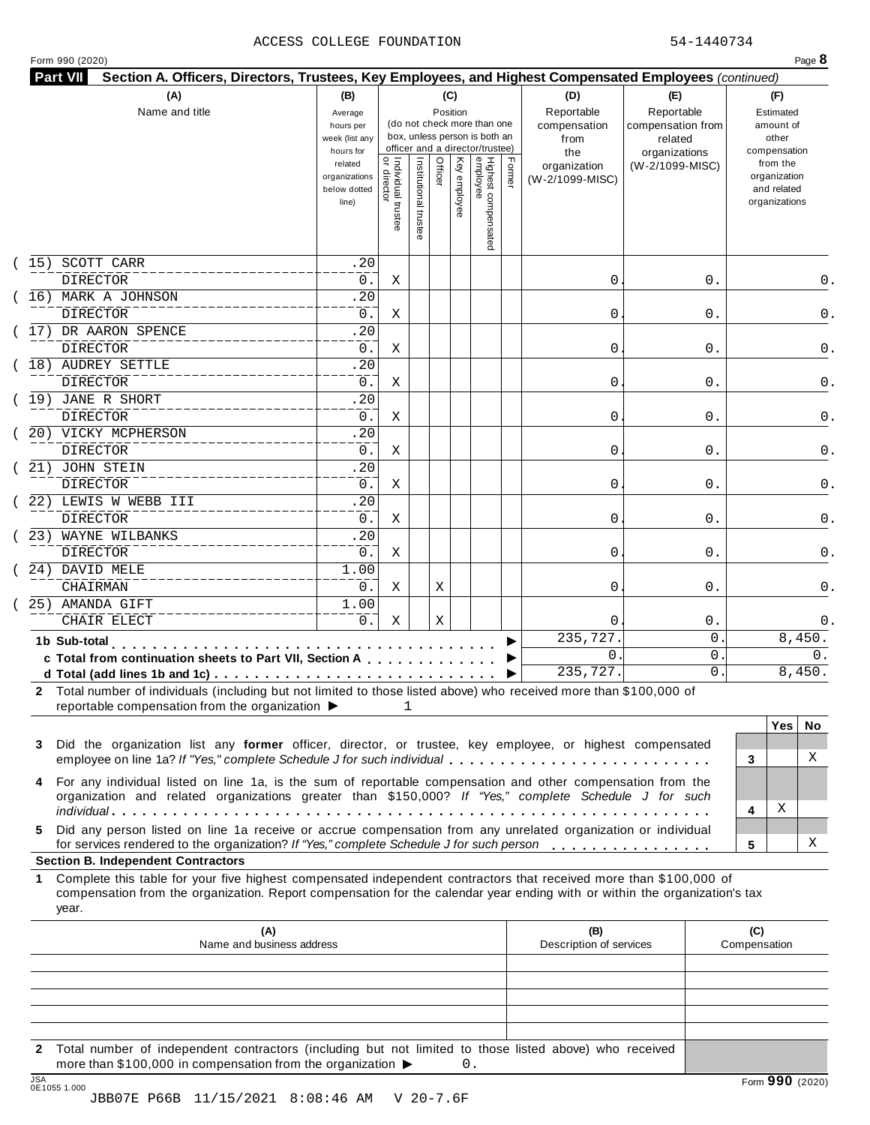| (A)<br>Name and title                                   | (B)<br>Average<br>hours per<br>week (list any<br>hours for |                                   |                       | (C)<br>Position | (do not check more than one<br>box, unless person is both an<br>officer and a director/trustee) |        | (D)<br>Reportable<br>compensation<br>from<br>the | (E)<br>Reportable<br>compensation from<br>related<br>organizations | (F)<br>Estimated<br>amount of<br>other<br>compensation   |
|---------------------------------------------------------|------------------------------------------------------------|-----------------------------------|-----------------------|-----------------|-------------------------------------------------------------------------------------------------|--------|--------------------------------------------------|--------------------------------------------------------------------|----------------------------------------------------------|
|                                                         | related<br>organizations<br>below dotted<br>line)          | Individual trustee<br>or director | Institutional trustee | Officer         | Highest compensated<br>employee<br>Key employee                                                 | Former | organization<br>(W-2/1099-MISC)                  | (W-2/1099-MISC)                                                    | from the<br>organization<br>and related<br>organizations |
| 15) SCOTT CARR                                          | .20                                                        |                                   |                       |                 |                                                                                                 |        |                                                  |                                                                    |                                                          |
| <b>DIRECTOR</b>                                         | 0.                                                         | Χ                                 |                       |                 |                                                                                                 |        | 0                                                | 0.                                                                 | 0.                                                       |
| 16) MARK A JOHNSON                                      | .20                                                        |                                   |                       |                 |                                                                                                 |        |                                                  |                                                                    |                                                          |
| <b>DIRECTOR</b>                                         | $0$ .                                                      | X                                 |                       |                 |                                                                                                 |        | $\mathbf 0$                                      | $0$ .                                                              | 0.                                                       |
| 17) DR AARON SPENCE                                     | .20                                                        |                                   |                       |                 |                                                                                                 |        |                                                  |                                                                    |                                                          |
| <b>DIRECTOR</b>                                         | $0$ .                                                      | X                                 |                       |                 |                                                                                                 |        | $\mathbf 0$                                      | 0.                                                                 | 0.                                                       |
| 18) AUDREY SETTLE                                       | .20                                                        |                                   |                       |                 |                                                                                                 |        |                                                  |                                                                    |                                                          |
| <b>DIRECTOR</b>                                         | 0.                                                         | X                                 |                       |                 |                                                                                                 |        | $\mathbf 0$                                      | 0.                                                                 | 0.                                                       |
| (19) JANE R SHORT                                       | .20                                                        |                                   |                       |                 |                                                                                                 |        |                                                  |                                                                    |                                                          |
| <b>DIRECTOR</b>                                         | 0.                                                         | Χ                                 |                       |                 |                                                                                                 |        | 0                                                | 0.                                                                 | 0.                                                       |
| 20) VICKY MCPHERSON                                     | .20                                                        |                                   |                       |                 |                                                                                                 |        |                                                  |                                                                    |                                                          |
| <b>DIRECTOR</b>                                         | 0.                                                         | X                                 |                       |                 |                                                                                                 |        | $\mathbf 0$                                      | $0$ .                                                              | 0.                                                       |
| 21) JOHN STEIN                                          | .20                                                        |                                   |                       |                 |                                                                                                 |        |                                                  |                                                                    |                                                          |
| DIRECTOR                                                | 0.                                                         | X                                 |                       |                 |                                                                                                 |        | 0                                                | 0.                                                                 | 0.                                                       |
| 22) LEWIS W WEBB III                                    | .20                                                        |                                   |                       |                 |                                                                                                 |        |                                                  |                                                                    |                                                          |
| <b>DIRECTOR</b>                                         | 0.                                                         | X                                 |                       |                 |                                                                                                 |        | $\Omega$                                         | 0.                                                                 | 0.                                                       |
| 23) WAYNE WILBANKS                                      | .20                                                        |                                   |                       |                 |                                                                                                 |        |                                                  |                                                                    |                                                          |
| <b>DIRECTOR</b>                                         | 0.                                                         | Χ                                 |                       |                 |                                                                                                 |        | 0                                                | 0.                                                                 | 0.                                                       |
| 24) DAVID MELE                                          | $\overline{1}$ .00                                         |                                   |                       |                 |                                                                                                 |        |                                                  |                                                                    |                                                          |
| <b>CHAIRMAN</b>                                         | 0.                                                         | X                                 |                       | Χ               |                                                                                                 |        | 0                                                | 0.                                                                 | 0.                                                       |
| 25) AMANDA GIFT                                         | 1.00                                                       |                                   |                       |                 |                                                                                                 |        |                                                  |                                                                    |                                                          |
| CHAIR ELECT                                             | 0.                                                         | X                                 |                       | Χ               |                                                                                                 |        | 0                                                | 0.                                                                 | 0.                                                       |
| 1b Sub-total                                            |                                                            |                                   |                       |                 |                                                                                                 |        | 235,727.                                         | $\mathbf{0}$ .                                                     | 8,450.                                                   |
| c Total from continuation sheets to Part VII, Section A |                                                            |                                   |                       |                 |                                                                                                 |        | $\mathbf{0}$ .                                   | $\mathbf{0}$                                                       | 0.                                                       |
|                                                         |                                                            |                                   |                       |                 |                                                                                                 |        | 235,727.                                         | $\Omega$ .                                                         | 8,450.                                                   |

| 3 Did the organization list any former officer, director, or trustee, key employee, or highest compensated                                                                                                             |     |  |
|------------------------------------------------------------------------------------------------------------------------------------------------------------------------------------------------------------------------|-----|--|
| employee on line 1a? If "Yes," complete Schedule J for such individual                                                                                                                                                 |     |  |
| 4 For any individual listed on line 1a, is the sum of reportable compensation and other compensation from the<br>organization and related organizations greater than \$150,000? If "Yes," complete Schedule J for such |     |  |
|                                                                                                                                                                                                                        |     |  |
| 5 Did any person listed on line 1a receive or accrue compensation from any unrelated organization or individual                                                                                                        |     |  |
| for services rendered to the organization? If "Yes," complete Schedule J for such person                                                                                                                               | - 5 |  |
|                                                                                                                                                                                                                        |     |  |

# **Section B. Independent Contractors**

**1** Complete this table for your five highest compensated independent contractors that received more than \$100,000 of compensation from the organization. Report compensation for the calendar year ending with or within the organization's tax year.

|             | (A)<br>Name and business address                                                                                                                                                          | (B)<br>Description of services | (C)<br>Compensation |
|-------------|-------------------------------------------------------------------------------------------------------------------------------------------------------------------------------------------|--------------------------------|---------------------|
|             |                                                                                                                                                                                           |                                |                     |
|             |                                                                                                                                                                                           |                                |                     |
|             |                                                                                                                                                                                           |                                |                     |
|             |                                                                                                                                                                                           |                                |                     |
|             |                                                                                                                                                                                           |                                |                     |
| $2^{\circ}$ | Total number of independent contractors (including but not limited to those listed above) who received<br>more than \$100,000 in compensation from the organization $\blacktriangleright$ |                                |                     |
| 10A         |                                                                                                                                                                                           |                                | $\sim$              |

X

X

X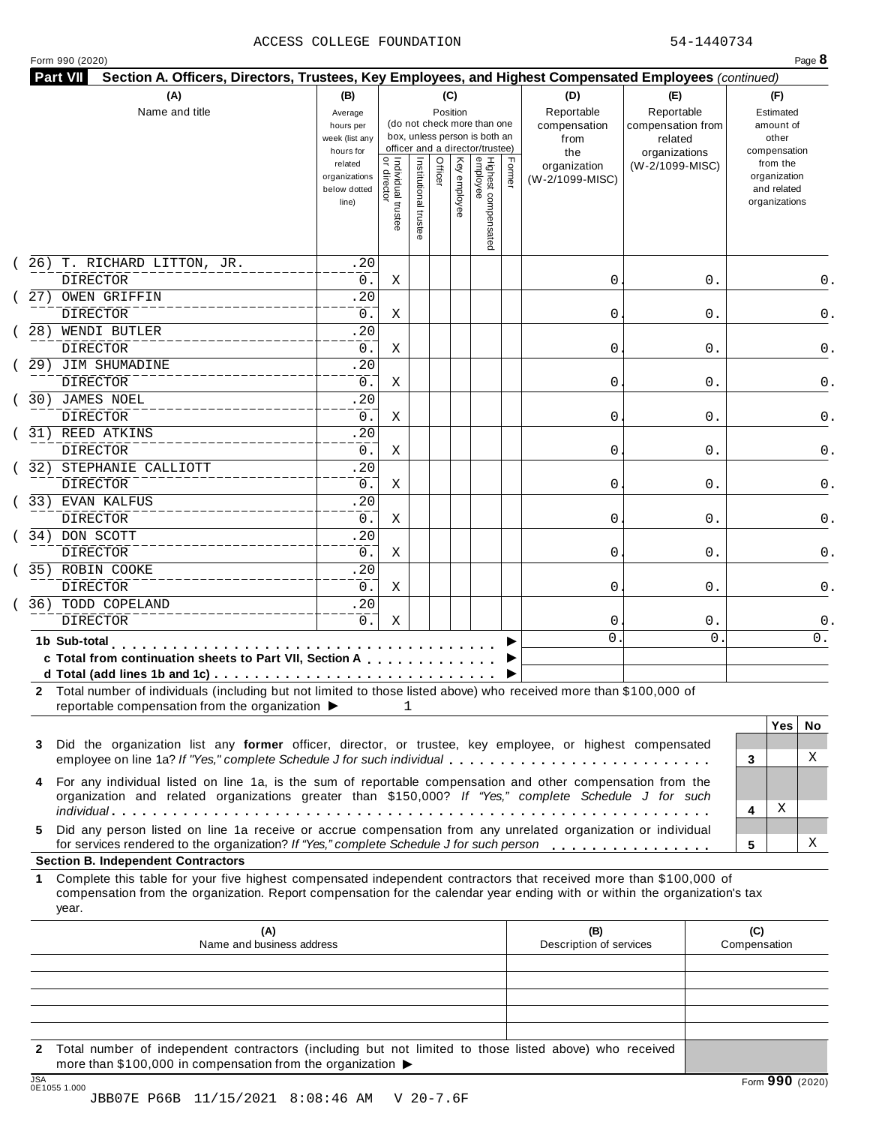|  |  | Form 990 (2020) |
|--|--|-----------------|
|--|--|-----------------|

Form <sup>990</sup> (2020) Page **8 Part VII Section A. Officers, Directors, Trustees, Key Employees, and Highest Compensated Employees** *(continued)* **(A) (B) (C) (D) (E) (F)** Name and title **Average** hours per week (list any hours for related organizations below dotted line) Position (do not check more than one box, unless person is both an officer and a director/trustee) Reportable compensation from the organization (W-2/1099-MISC) Reportable compensation from related organizations (W-2/1099-MISC) Estimated amount of other compensation from the organization and related organizations Individual trustee  $\overline{\circ}$ director Institutional trustee Officer employee<br>Key emplo employee Highest compensated employee Former  $\frac{1}{\sqrt{1+\frac{1}{n}}+\frac{1}{n}}$  **1b** Sub-total<br>
m  $\frac{1}{\sqrt{1+\frac{1}{n}}+\frac{1}{n}}$  **1b** Sub-total **c** Total from continuation sheets to Part VII, Section A manufactured in the state of  $\blacksquare$ **<sup>d</sup> Total (add lines 1b and 1c)** m m m m m m m m m m m m m m m m m m m m m m m m m m m m I **2** Total number of individuals (including but not limited to those listed above) who received more than \$100,000 of reportable compensation from the organization  $\blacktriangleright$ **Yes No 3** Did the organization list any **former** officer, director, or trustee, key employee, or highest compensated employee on line 1a? *If "Yes," complete Schedule <sup>J</sup> for such individual* m m m m m m m m m m m m m m m m m m m m m m m m m m **<sup>3</sup> 4** For any individual listed on line 1a, is the sum of reportable compensation and other compensation from the organization and related organizations greater than \$150,000? *If "Yes," complete Schedule J for such individual* m m m m m m m m m m m m m m m m m m m m m m m m m m m m m m m m m m m m m m m m m m m m m m m m m m m m m m m m m m m **<sup>4</sup> 5** Did any person listed on line 1a receive or accrue compensation from any unrelated organization or individual for services rendered to the organization? *If"Yes," complete Schedule <sup>J</sup> for such person* mm m m m m m m m m m m m m m m **<sup>5</sup> Section B. Independent Contractors 1** Complete this table for your five highest compensated independent contractors that received more than \$100,000 of compensation from the organization. Report compensation for the calendar year ending with or within the organization's tax year. **(A)** Name and business address **(B)** Description of services **(C)** Compensation **2** Total number of independent contractors (including but not limited to those listed above) who received 1 X X X (26) T. RICHARD LITTON, JR.  $\vert$  .20 DIRECTOR 0. X 0. 0. 0. (27) OWEN GRIFFIN .20 DIRECTOR 0. X 0. 0. 0. 28) WENDI BUTLER .20 DIRECTOR 0. X 0. 0. 0. (29) JIM SHUMADINE .20 DIRECTOR 0. X 0. 0. 0. (30) JAMES NOEL .20 DIRECTOR 0. X 0. 0. 0. ( 31) REED ATKINS .20 DIRECTOR 0. X 0. 0. 0. (32) STEPHANIE CALLIOTT 120 DIRECTOR 0. X 0. 0. 0. (33) EVAN KALFUS .20 DIRECTOR 0. X 0. 0. 0. ( 34) DON SCOTT .20 DIRECTOR 0. X 0. 0. 0. (35) ROBIN COOKE .20 DIRECTOR 0. X 0. 0. 0. (36) TODD COPELAND .20 DIRECTOR 0. X 0. 0. 0.  $0.$  0. 0.

more than \$100,000 in compensation from the organization  $\blacktriangleright$ <br>  $\frac{\text{JSA}}{0 \text{E}1055}$  1.000 JSA Form **990** (2020) 0E1055 1.000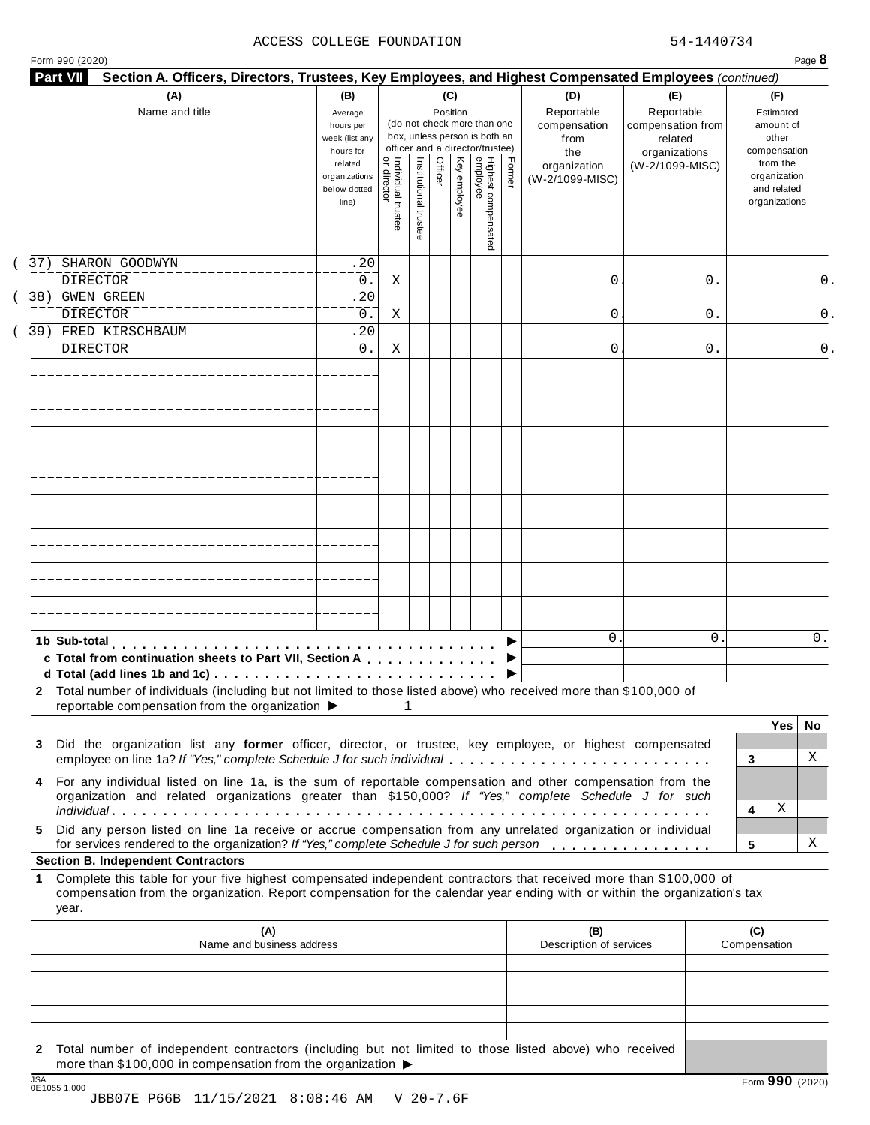|     | <b>Part VII</b><br>Section A. Officers, Directors, Trustees, Key Employees, and Highest Compensated Employees (continued)<br>(A)                                                                                                                 | (B)                                                 |                                     |                       |         | (C)          |                                                                                                 |        | (D)                                       | (E)                                                         |    | (F)                                                      |     |
|-----|--------------------------------------------------------------------------------------------------------------------------------------------------------------------------------------------------------------------------------------------------|-----------------------------------------------------|-------------------------------------|-----------------------|---------|--------------|-------------------------------------------------------------------------------------------------|--------|-------------------------------------------|-------------------------------------------------------------|----|----------------------------------------------------------|-----|
|     | Name and title                                                                                                                                                                                                                                   | Average<br>hours per<br>week (list any<br>hours for |                                     |                       |         | Position     | (do not check more than one<br>box, unless person is both an<br>officer and a director/trustee) |        | Reportable<br>compensation<br>from<br>the | Reportable<br>compensation from<br>related<br>organizations |    | Estimated<br>amount of<br>other<br>compensation          |     |
|     |                                                                                                                                                                                                                                                  | related<br>organizations<br>below dotted<br>line)   | Individual trustee<br>  or director | Institutional trustee | Officer | Key employee | Highest compensated<br>employee                                                                 | Former | organization<br>(W-2/1099-MISC)           | (W-2/1099-MISC)                                             |    | from the<br>organization<br>and related<br>organizations |     |
| 37) | SHARON GOODWYN                                                                                                                                                                                                                                   | .20                                                 |                                     |                       |         |              |                                                                                                 |        |                                           |                                                             |    |                                                          |     |
|     | <b>DIRECTOR</b>                                                                                                                                                                                                                                  | $0$ .                                               | Χ                                   |                       |         |              |                                                                                                 |        | 0                                         |                                                             | 0. |                                                          | 0.  |
|     | 38) GWEN GREEN                                                                                                                                                                                                                                   | .20                                                 |                                     |                       |         |              |                                                                                                 |        |                                           |                                                             |    |                                                          |     |
|     | <b>DIRECTOR</b>                                                                                                                                                                                                                                  | 0.                                                  | Χ                                   |                       |         |              |                                                                                                 |        | 0                                         |                                                             | 0. |                                                          | 0.  |
|     | 39) FRED KIRSCHBAUM                                                                                                                                                                                                                              | .20                                                 |                                     |                       |         |              |                                                                                                 |        |                                           |                                                             |    |                                                          |     |
|     | <b>DIRECTOR</b>                                                                                                                                                                                                                                  | 0.                                                  | Χ                                   |                       |         |              |                                                                                                 |        | 0                                         |                                                             | 0. |                                                          | 0.  |
|     |                                                                                                                                                                                                                                                  |                                                     |                                     |                       |         |              |                                                                                                 |        |                                           |                                                             |    |                                                          |     |
|     |                                                                                                                                                                                                                                                  |                                                     |                                     |                       |         |              |                                                                                                 |        |                                           |                                                             |    |                                                          |     |
|     |                                                                                                                                                                                                                                                  |                                                     |                                     |                       |         |              |                                                                                                 |        |                                           |                                                             |    |                                                          |     |
|     |                                                                                                                                                                                                                                                  |                                                     |                                     |                       |         |              |                                                                                                 |        |                                           |                                                             |    |                                                          |     |
|     |                                                                                                                                                                                                                                                  |                                                     |                                     |                       |         |              |                                                                                                 |        |                                           |                                                             |    |                                                          |     |
|     |                                                                                                                                                                                                                                                  |                                                     |                                     |                       |         |              |                                                                                                 |        |                                           |                                                             |    |                                                          |     |
|     |                                                                                                                                                                                                                                                  |                                                     |                                     |                       |         |              |                                                                                                 |        |                                           |                                                             |    |                                                          |     |
|     |                                                                                                                                                                                                                                                  |                                                     |                                     |                       |         |              |                                                                                                 |        |                                           |                                                             |    |                                                          |     |
|     | 1b Sub-total                                                                                                                                                                                                                                     |                                                     |                                     |                       |         |              |                                                                                                 |        | $\mathbf{0}$                              |                                                             | 0  |                                                          | 0.  |
|     | c Total from continuation sheets to Part VII, Section A                                                                                                                                                                                          |                                                     |                                     |                       |         |              |                                                                                                 |        |                                           |                                                             |    |                                                          |     |
|     | 2 Total number of individuals (including but not limited to those listed above) who received more than \$100,000 of                                                                                                                              |                                                     |                                     |                       |         |              |                                                                                                 |        |                                           |                                                             |    |                                                          |     |
|     | reportable compensation from the organization ▶                                                                                                                                                                                                  |                                                     |                                     | $\mathbf{1}$          |         |              |                                                                                                 |        |                                           |                                                             |    |                                                          |     |
|     |                                                                                                                                                                                                                                                  |                                                     |                                     |                       |         |              |                                                                                                 |        |                                           |                                                             |    | Yes                                                      | No. |
| 3   | Did the organization list any former officer, director, or trustee, key employee, or highest compensated                                                                                                                                         |                                                     |                                     |                       |         |              |                                                                                                 |        |                                           |                                                             |    |                                                          |     |
|     | employee on line 1a? If "Yes," complete Schedule J for such individual                                                                                                                                                                           |                                                     |                                     |                       |         |              |                                                                                                 |        |                                           |                                                             | 3  |                                                          | X   |
| 4   | For any individual listed on line 1a, is the sum of reportable compensation and other compensation from the<br>organization and related organizations greater than \$150,000? If "Yes," complete Schedule J for such                             |                                                     |                                     |                       |         |              |                                                                                                 |        |                                           |                                                             |    |                                                          |     |
| 5.  | Did any person listed on line 1a receive or accrue compensation from any unrelated organization or individual                                                                                                                                    |                                                     |                                     |                       |         |              |                                                                                                 |        |                                           |                                                             | 4  | Χ                                                        | х   |
|     | for services rendered to the organization? If "Yes," complete Schedule J for such person<br><b>Section B. Independent Contractors</b>                                                                                                            |                                                     |                                     |                       |         |              |                                                                                                 |        |                                           |                                                             | 5  |                                                          |     |
|     | Complete this table for your five highest compensated independent contractors that received more than \$100,000 of<br>compensation from the organization. Report compensation for the calendar year ending with or within the organization's tax |                                                     |                                     |                       |         |              |                                                                                                 |        |                                           |                                                             |    |                                                          |     |
|     |                                                                                                                                                                                                                                                  |                                                     |                                     |                       |         |              |                                                                                                 |        |                                           |                                                             |    |                                                          |     |
| 1   | year.                                                                                                                                                                                                                                            |                                                     |                                     |                       |         |              |                                                                                                 |        |                                           |                                                             |    |                                                          |     |

**2** Total number of independent contractors (including but not limited to those listed above) who received more than \$100,000 in compensation from the organization  $\blacktriangleright$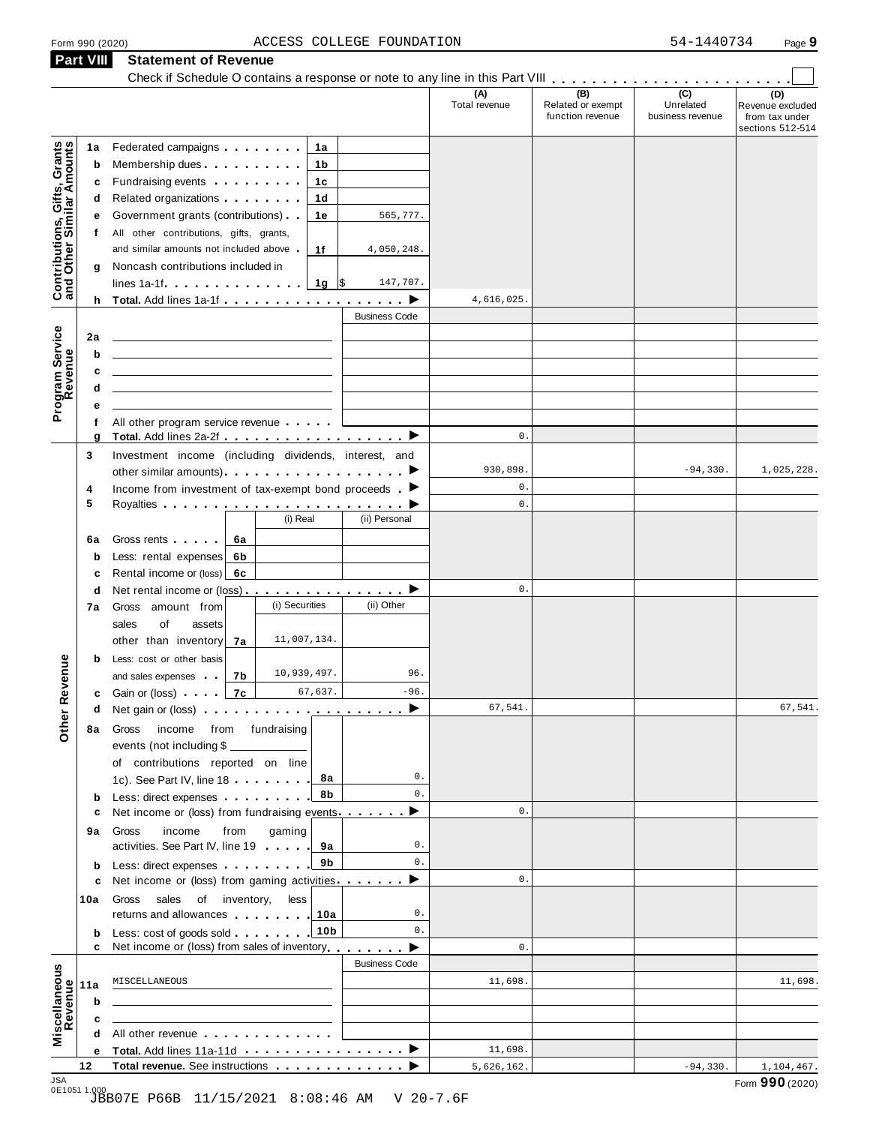|                                                           | <b>Part VIII</b> | Statement of Revenue                                                                                                                                                                                                                 |                  |                      |                      |                                              |                                                 |                                                               |
|-----------------------------------------------------------|------------------|--------------------------------------------------------------------------------------------------------------------------------------------------------------------------------------------------------------------------------------|------------------|----------------------|----------------------|----------------------------------------------|-------------------------------------------------|---------------------------------------------------------------|
|                                                           |                  |                                                                                                                                                                                                                                      |                  |                      | (A)<br>Total revenue | (B)<br>Related or exempt<br>function revenue | $\overline{C}$<br>Unrelated<br>business revenue | (D)<br>Revenue excluded<br>from tax under<br>sections 512-514 |
|                                                           | 1a               | Federated campaigns <b>Federated</b>                                                                                                                                                                                                 | 1a               |                      |                      |                                              |                                                 |                                                               |
| Contributions, Gifts, Grants<br>and Other Similar Amounts | b                | Membership dues <b>All Accords</b> Membership dues                                                                                                                                                                                   | 1b               |                      |                      |                                              |                                                 |                                                               |
|                                                           | c                | Fundraising events <b>Exercises Exercises</b>                                                                                                                                                                                        | 1c               |                      |                      |                                              |                                                 |                                                               |
|                                                           | d                | Related organizations <b>and the set of the set of the set of the set of the set of the set of the set of the set of the set of the set of the set of the set of the set of the set of the set of the set of the set of the set </b> | 1d               |                      |                      |                                              |                                                 |                                                               |
|                                                           | е                | Government grants (contributions).                                                                                                                                                                                                   | 1е               | 565,777.             |                      |                                              |                                                 |                                                               |
|                                                           | t.               | All other contributions, gifts, grants,                                                                                                                                                                                              |                  |                      |                      |                                              |                                                 |                                                               |
|                                                           |                  | and similar amounts not included above                                                                                                                                                                                               | 1f               | 4,050,248.           |                      |                                              |                                                 |                                                               |
|                                                           | g                | Noncash contributions included in                                                                                                                                                                                                    |                  |                      |                      |                                              |                                                 |                                                               |
|                                                           |                  | lines 1a-1f $\ldots$ $\ldots$ $\ldots$ $\frac{1}{9}$ \$                                                                                                                                                                              |                  | 147,707.             |                      |                                              |                                                 |                                                               |
|                                                           |                  | h Total. Add lines 1a-1f $\ldots$ , $\ldots$ , $\ldots$ , $\blacktriangleright$                                                                                                                                                      |                  |                      | 4,616,025.           |                                              |                                                 |                                                               |
|                                                           |                  |                                                                                                                                                                                                                                      |                  | <b>Business Code</b> |                      |                                              |                                                 |                                                               |
|                                                           | 2a               |                                                                                                                                                                                                                                      |                  |                      |                      |                                              |                                                 |                                                               |
|                                                           | b                |                                                                                                                                                                                                                                      |                  |                      |                      |                                              |                                                 |                                                               |
|                                                           | c                |                                                                                                                                                                                                                                      |                  |                      |                      |                                              |                                                 |                                                               |
|                                                           | d                |                                                                                                                                                                                                                                      |                  |                      |                      |                                              |                                                 |                                                               |
| Program Service<br>Revenue                                | е                |                                                                                                                                                                                                                                      |                  |                      |                      |                                              |                                                 |                                                               |
|                                                           | f                | All other program service revenue                                                                                                                                                                                                    |                  |                      |                      |                                              |                                                 |                                                               |
|                                                           | g                |                                                                                                                                                                                                                                      |                  |                      | $\mathbf 0$ .        |                                              |                                                 |                                                               |
|                                                           | 3                | Investment income (including dividends, interest, and                                                                                                                                                                                |                  |                      |                      |                                              |                                                 |                                                               |
|                                                           |                  |                                                                                                                                                                                                                                      |                  |                      | 930,898.             |                                              | $-94, 330.$                                     | 1,025,228.                                                    |
|                                                           | 4                | Income from investment of tax-exempt bond proceeds $\blacktriangleright$                                                                                                                                                             |                  |                      | $\mathbf 0$ .        |                                              |                                                 |                                                               |
|                                                           | 5                |                                                                                                                                                                                                                                      |                  |                      | $0$ .                |                                              |                                                 |                                                               |
|                                                           |                  |                                                                                                                                                                                                                                      | (i) Real         | (ii) Personal        |                      |                                              |                                                 |                                                               |
|                                                           | 6a               | Gross rents [19]<br>6a                                                                                                                                                                                                               |                  |                      |                      |                                              |                                                 |                                                               |
|                                                           | b                | Less: rental expenses<br>6b                                                                                                                                                                                                          |                  |                      |                      |                                              |                                                 |                                                               |
|                                                           | c                | Rental income or (loss)<br>6с                                                                                                                                                                                                        |                  |                      |                      |                                              |                                                 |                                                               |
|                                                           | d                |                                                                                                                                                                                                                                      |                  |                      | $0$ .                |                                              |                                                 |                                                               |
|                                                           | 7a               | Gross amount from                                                                                                                                                                                                                    | (i) Securities   | (ii) Other           |                      |                                              |                                                 |                                                               |
|                                                           |                  | sales<br>of<br>assets                                                                                                                                                                                                                |                  |                      |                      |                                              |                                                 |                                                               |
|                                                           |                  | other than inventory<br>7a                                                                                                                                                                                                           | 11,007,134.      |                      |                      |                                              |                                                 |                                                               |
|                                                           | b                | Less: cost or other basis                                                                                                                                                                                                            |                  |                      |                      |                                              |                                                 |                                                               |
| evenue                                                    |                  | 7b<br>and sales expenses .                                                                                                                                                                                                           | 10,939,497.      | 96.                  |                      |                                              |                                                 |                                                               |
|                                                           |                  | 7c<br><b>c</b> Gain or (loss) $\qquad$                                                                                                                                                                                               | 67,637.          | $-96.$               |                      |                                              |                                                 |                                                               |
| Other <sub>R</sub>                                        | d                | Net gain or (loss) $\cdots$ $\cdots$ $\cdots$ $\cdots$ $\cdots$ $\cdots$ $\cdots$                                                                                                                                                    |                  |                      | 67,541.              |                                              |                                                 | 67,541.                                                       |
|                                                           | 8a               | income<br>Gross                                                                                                                                                                                                                      | from fundraising |                      |                      |                                              |                                                 |                                                               |
|                                                           |                  | events (not including \$                                                                                                                                                                                                             |                  |                      |                      |                                              |                                                 |                                                               |
|                                                           |                  | of contributions reported on line                                                                                                                                                                                                    |                  |                      |                      |                                              |                                                 |                                                               |
|                                                           |                  | 1c). See Part IV, line 18                                                                                                                                                                                                            | 8а               | 0.                   |                      |                                              |                                                 |                                                               |
|                                                           | b                | Less: direct expenses                                                                                                                                                                                                                | 8b               | 0.                   |                      |                                              |                                                 |                                                               |
|                                                           | с                | Net income or (loss) from fundraising events ▶                                                                                                                                                                                       |                  |                      | $\mathbf 0$ .        |                                              |                                                 |                                                               |
|                                                           | 9а               | income<br>from<br>Gross                                                                                                                                                                                                              | gaming           |                      |                      |                                              |                                                 |                                                               |
|                                                           |                  | activities. See Part IV, line 19                                                                                                                                                                                                     | 9а               | 0.                   |                      |                                              |                                                 |                                                               |
|                                                           | b                | Less: direct expenses                                                                                                                                                                                                                | 9b               | 0.                   |                      |                                              |                                                 |                                                               |
|                                                           | c                | Net income or (loss) from gaming activities.                                                                                                                                                                                         |                  |                      | $0$ .                |                                              |                                                 |                                                               |
|                                                           | 10a              | sales of inventory,<br>Gross                                                                                                                                                                                                         | less             |                      |                      |                                              |                                                 |                                                               |
|                                                           |                  | returns and allowances                                                                                                                                                                                                               | 10a              | 0.                   |                      |                                              |                                                 |                                                               |
|                                                           | b                | Less: cost of goods sold                                                                                                                                                                                                             | 10 <sub>b</sub>  | 0.                   |                      |                                              |                                                 |                                                               |
|                                                           | c                | Net income or (loss) from sales of inventory                                                                                                                                                                                         |                  |                      | $\mathbf{0}$ .       |                                              |                                                 |                                                               |
|                                                           |                  |                                                                                                                                                                                                                                      |                  | <b>Business Code</b> |                      |                                              |                                                 |                                                               |
|                                                           | 11a              | MISCELLANEOUS                                                                                                                                                                                                                        |                  |                      | 11,698.              |                                              |                                                 | 11,698.                                                       |
|                                                           | b                |                                                                                                                                                                                                                                      |                  |                      |                      |                                              |                                                 |                                                               |
|                                                           | c                |                                                                                                                                                                                                                                      |                  |                      |                      |                                              |                                                 |                                                               |
| Miscellaneous<br>Revenue                                  | d                | All other revenue example and the state of the state of the state of the state of the state of the state of the                                                                                                                      |                  |                      |                      |                                              |                                                 |                                                               |
|                                                           | е                | Total. Add lines 11a-11d                                                                                                                                                                                                             |                  | ▸                    | 11,698.              |                                              |                                                 |                                                               |
| 10A                                                       | 12               | Total revenue. See instructions                                                                                                                                                                                                      |                  |                      | 5,626,162.           |                                              | $-94,330.$                                      | 1,104,467.                                                    |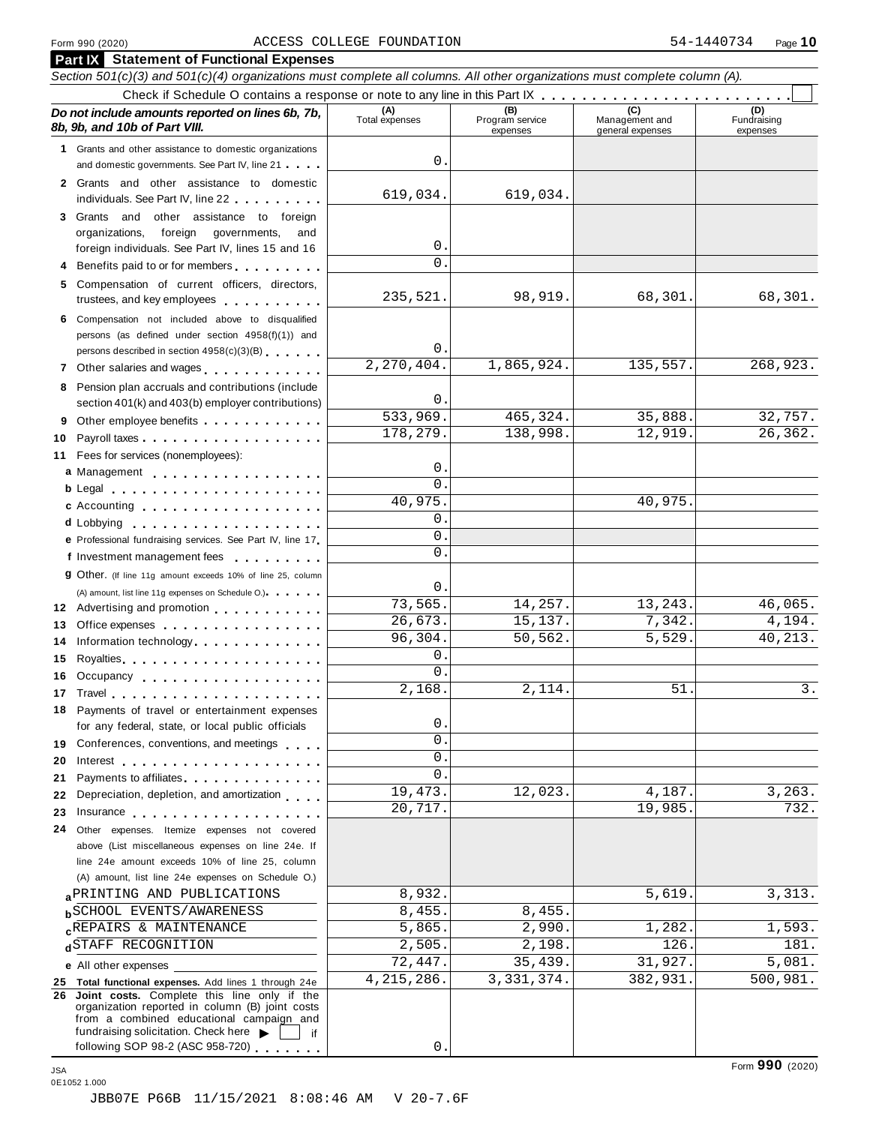### Form <sup>990</sup> (2020) Page **10** ACCESS COLLEGE FOUNDATION 54-1440734

| <b>Part IX</b> Statement of Functional Expenses<br>Section 501(c)(3) and 501(c)(4) organizations must complete all columns. All other organizations must complete column (A).                                                        |                          |                                    |                                    |                                |
|--------------------------------------------------------------------------------------------------------------------------------------------------------------------------------------------------------------------------------------|--------------------------|------------------------------------|------------------------------------|--------------------------------|
|                                                                                                                                                                                                                                      |                          |                                    |                                    |                                |
| Do not include amounts reported on lines 6b, 7b,<br>8b, 9b, and 10b of Part VIII.                                                                                                                                                    | (A)<br>Total expenses    | (B)<br>Program service<br>expenses | Management and<br>general expenses | (D)<br>Fundraising<br>expenses |
| 1 Grants and other assistance to domestic organizations                                                                                                                                                                              |                          |                                    |                                    |                                |
| and domestic governments. See Part IV, line 21                                                                                                                                                                                       | 0                        |                                    |                                    |                                |
| 2 Grants and other assistance to domestic<br>individuals. See Part IV, line 22                                                                                                                                                       | 619,034.                 | 619,034.                           |                                    |                                |
| 3 Grants and other assistance to foreign                                                                                                                                                                                             |                          |                                    |                                    |                                |
| organizations,<br>foreign<br>governments,<br>and                                                                                                                                                                                     |                          |                                    |                                    |                                |
| foreign individuals. See Part IV, lines 15 and 16                                                                                                                                                                                    | 0                        |                                    |                                    |                                |
| Benefits paid to or for members                                                                                                                                                                                                      | $\overline{0}$ .         |                                    |                                    |                                |
| 5 Compensation of current officers, directors,<br>trustees, and key employees expressed and the state of                                                                                                                             | 235,521.                 | 98,919.                            | 68,301.                            | 68,301.                        |
| Compensation not included above to disqualified                                                                                                                                                                                      |                          |                                    |                                    |                                |
| persons (as defined under section 4958(f)(1)) and                                                                                                                                                                                    |                          |                                    |                                    |                                |
| persons described in section 4958(c)(3)(B)                                                                                                                                                                                           | 0                        |                                    |                                    |                                |
| 7 Other salaries and wages <b>container and all the salaries</b>                                                                                                                                                                     | $\overline{2,270,404}$ . | 1,865,924.                         | 135,557.                           | 268,923.                       |
| Pension plan accruals and contributions (include<br>8                                                                                                                                                                                |                          |                                    |                                    |                                |
| section 401(k) and 403(b) employer contributions)                                                                                                                                                                                    | $0$ .                    |                                    |                                    |                                |
| 9                                                                                                                                                                                                                                    | 533,969.                 | 465,324.                           | 35,888.                            | 32,757.                        |
| 10                                                                                                                                                                                                                                   | 178,279.                 | 138,998.                           | 12,919.                            | 26,362.                        |
| Fees for services (nonemployees):<br>11                                                                                                                                                                                              |                          |                                    |                                    |                                |
| a Management                                                                                                                                                                                                                         | 0                        |                                    |                                    |                                |
| $b$ Legal $\ldots$ , $\ldots$ , $\ldots$ , $\ldots$ , $\ldots$ , $\ldots$                                                                                                                                                            | $\Omega$ .               |                                    |                                    |                                |
| c Accounting                                                                                                                                                                                                                         | 40,975.                  |                                    | 40,975                             |                                |
|                                                                                                                                                                                                                                      | $\mathbf 0$ .            |                                    |                                    |                                |
| e Professional fundraising services. See Part IV, line 17                                                                                                                                                                            | $\mathsf{O}$ .           |                                    |                                    |                                |
| f Investment management fees                                                                                                                                                                                                         | 0.                       |                                    |                                    |                                |
| 9 Other. (If line 11g amount exceeds 10% of line 25, column                                                                                                                                                                          | $\mathbf{0}$ .           |                                    |                                    |                                |
| (A) amount, list line 11g expenses on Schedule O.)                                                                                                                                                                                   | 73,565.                  | 14,257.                            | 13,243.                            | 46,065.                        |
| 12 Advertising and promotion                                                                                                                                                                                                         | 26,673.                  | 15,137.                            | 7,342.                             | 4,194.                         |
| Office expenses extensive and the set of the set of the set of the set of the set of the set of the set of the<br>13                                                                                                                 | 96, 304.                 | 50,562.                            | 5,529                              | 40,213.                        |
| Information technology<br>14<br>15                                                                                                                                                                                                   | $\mathbf 0$ .            |                                    |                                    |                                |
| Royalties                                                                                                                                                                                                                            | $\mathbf 0$ .            |                                    |                                    |                                |
| 16 Occupancy                                                                                                                                                                                                                         | 2,168                    | 2,114                              | 51                                 | ς                              |
| 18 Payments of travel or entertainment expenses                                                                                                                                                                                      |                          |                                    |                                    |                                |
| for any federal, state, or local public officials                                                                                                                                                                                    | $\mathsf{O}$ .           |                                    |                                    |                                |
| 19 Conferences, conventions, and meetings                                                                                                                                                                                            | $\overline{0}$ .         |                                    |                                    |                                |
| 20                                                                                                                                                                                                                                   | 0.                       |                                    |                                    |                                |
| Payments to affiliates.<br>21                                                                                                                                                                                                        | 0.                       |                                    |                                    |                                |
| Depreciation, depletion, and amortization<br>22                                                                                                                                                                                      | 19,473.                  | 12,023.                            | 4,187.                             | 3, 263.                        |
| 23<br>Insurance in the second service of the service of the service of the service of the service of the service of the service of the service of the service of the service of the service of the service of the service of the ser | 20,717.                  |                                    | 19,985.                            | $\overline{732}$ .             |
| 24 Other expenses. Itemize expenses not covered                                                                                                                                                                                      |                          |                                    |                                    |                                |
| above (List miscellaneous expenses on line 24e. If                                                                                                                                                                                   |                          |                                    |                                    |                                |
| line 24e amount exceeds 10% of line 25, column                                                                                                                                                                                       |                          |                                    |                                    |                                |
| (A) amount, list line 24e expenses on Schedule O.)                                                                                                                                                                                   |                          |                                    |                                    |                                |
| <b>APRINTING AND PUBLICATIONS</b>                                                                                                                                                                                                    | 8,932.                   |                                    | 5,619                              | 3,313.                         |
| <b>b</b> SCHOOL EVENTS/AWARENESS                                                                                                                                                                                                     | 8,455.                   | 8,455.                             |                                    |                                |
| <b>CREPAIRS &amp; MAINTENANCE</b>                                                                                                                                                                                                    | 5,865.                   | 2,990.                             | 1,282                              | 1,593.                         |
| dSTAFF RECOGNITION                                                                                                                                                                                                                   | 2,505.                   | 2,198.                             | 126                                | 181.                           |
| <b>e</b> All other expenses                                                                                                                                                                                                          | 72,447.                  | 35,439.                            | 31,927.                            | 5,081.                         |
| 25 Total functional expenses. Add lines 1 through 24e<br>Joint costs. Complete this line only if the                                                                                                                                 | 4, 215, 286.             | 3, 331, 374.                       | 382,931                            | 500,981.                       |
| 26<br>organization reported in column (B) joint costs<br>from a combined educational campaign and                                                                                                                                    |                          |                                    |                                    |                                |
| fundraising solicitation. Check here<br>if                                                                                                                                                                                           |                          |                                    |                                    |                                |

 $0.$ 

following SOP 98-2 (ASC 958-720)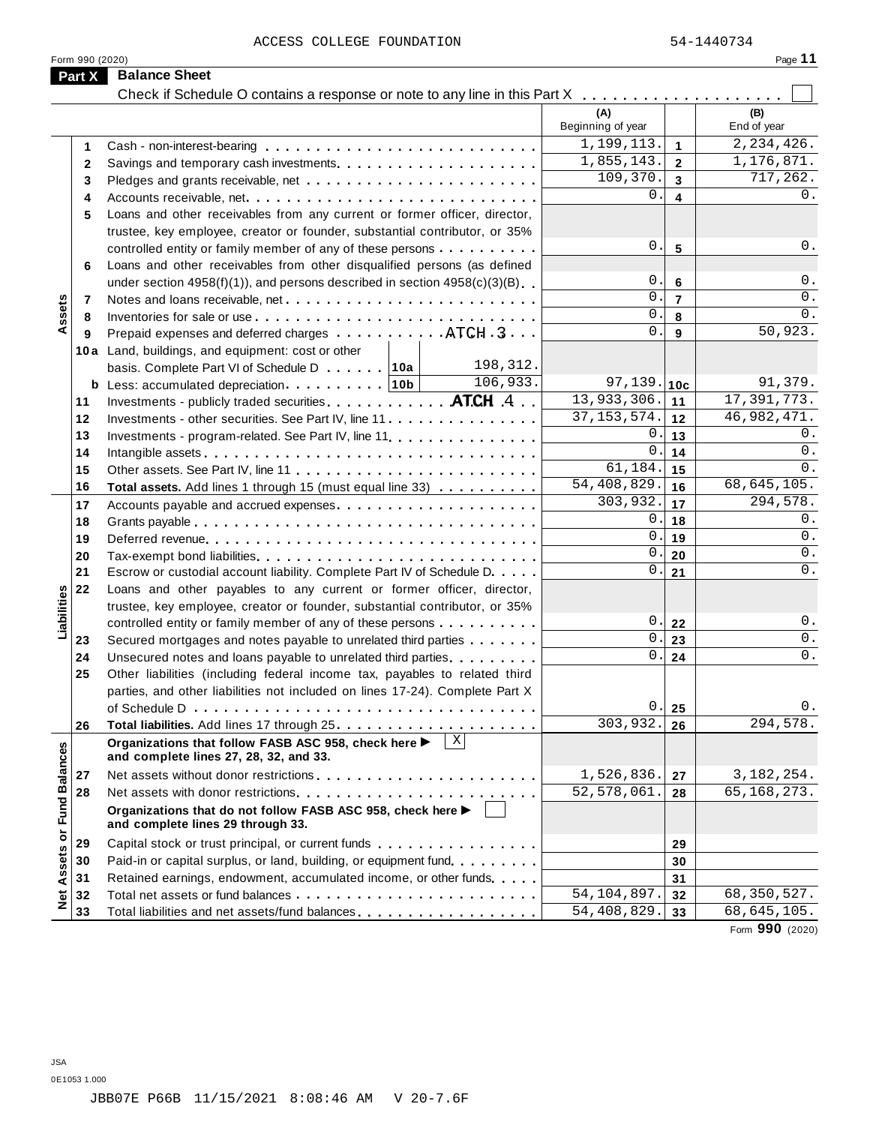| Form 990 (2020)      | <b>Balance Sheet</b>                                                                                          |                             |                | Page 11                     |
|----------------------|---------------------------------------------------------------------------------------------------------------|-----------------------------|----------------|-----------------------------|
| <b>Part X</b>        |                                                                                                               |                             |                |                             |
|                      | Check if Schedule O contains a response or note to any line in this Part X                                    | (A)<br>Beginning of year    |                | (B)<br>End of year          |
| 1                    |                                                                                                               | 1,199,113.                  | $\overline{1}$ | 2, 234, 426.                |
| $\mathbf{2}$         |                                                                                                               | 1,855,143.                  | $\overline{2}$ | 1,176,871.                  |
| 3                    |                                                                                                               | 109,370.                    | $\mathbf{3}$   | 717,262.                    |
| 4                    |                                                                                                               | 0.                          | $\overline{4}$ | 0.                          |
| 5                    | Loans and other receivables from any current or former officer, director,                                     |                             |                |                             |
|                      | trustee, key employee, creator or founder, substantial contributor, or 35%                                    |                             |                |                             |
|                      | controlled entity or family member of any of these persons                                                    | $0$ .                       | $5\phantom{1}$ | 0.                          |
| 6                    | Loans and other receivables from other disqualified persons (as defined                                       |                             |                |                             |
|                      | under section $4958(f)(1)$ , and persons described in section $4958(c)(3)(B)$                                 | 0.1                         | 6              | 0.                          |
| 7                    | Notes and loans receivable, net                                                                               | 0.                          | $\overline{7}$ | $0$ .                       |
| Assets<br>8          |                                                                                                               | $0$ .                       | 8              | 0.                          |
| 9                    | Prepaid expenses and deferred charges ATCH 3                                                                  | 0.                          | 9              | 50,923.                     |
|                      | 10a Land, buildings, and equipment: cost or other                                                             |                             |                |                             |
|                      | 198,312.<br>basis. Complete Part VI of Schedule D 10 10 10 10 10                                              |                             |                |                             |
|                      | 106,933.                                                                                                      | 97, $139.$ 10c              |                | 91,379.                     |
| 11                   | Investments - publicly traded securities. ATCH .4                                                             | 13,933,306.                 | 11             | 17,391,773.                 |
| 12                   | Investments - other securities. See Part IV, line 11.                                                         | 37, 153, 574.               | 12             | 46, 982, 471.               |
| 13                   | Investments - program-related. See Part IV, line 11.                                                          | 0.1                         | 13             | 0.                          |
| 14                   |                                                                                                               | 0.1                         | 14             | 0.                          |
| 15                   |                                                                                                               | 61,184.                     | 15             | 0.                          |
| 16                   | Total assets. Add lines 1 through 15 (must equal line 33)                                                     | 54,408,829.                 | 16             | 68,645,105.                 |
| 17                   |                                                                                                               | 303,932.                    | 17             | 294,578.                    |
| 18                   |                                                                                                               | 0.1                         | 18             | 0.                          |
| 19                   |                                                                                                               | 0.1                         | 19             | 0.                          |
| 20                   |                                                                                                               | 0.1                         | 20             | 0.                          |
| 21                   | Escrow or custodial account liability. Complete Part IV of Schedule D.                                        |                             | 0.121          | 0.                          |
| 22                   | Loans and other payables to any current or former officer, director,                                          |                             |                |                             |
| Liabilities          | trustee, key employee, creator or founder, substantial contributor, or 35%                                    |                             |                |                             |
|                      | controlled entity or family member of any of these persons                                                    | 0.                          | 22             | $0$ .                       |
| 23                   | Secured mortgages and notes payable to unrelated third parties                                                | 0.                          | 23             | $0$ .                       |
| 24                   | Unsecured notes and loans payable to unrelated third parties                                                  | 0.                          | 24             | 0.                          |
| 25                   | Other liabilities (including federal income tax, payables to related third                                    |                             |                |                             |
|                      | parties, and other liabilities not included on lines 17-24). Complete Part X                                  |                             |                |                             |
|                      |                                                                                                               | 0.                          | 25             | 0.                          |
| 26                   |                                                                                                               | 303,932.                    | 26             | 294,578.                    |
|                      | $\mathbf X$<br>Organizations that follow FASB ASC 958, check here ▶<br>and complete lines 27, 28, 32, and 33. |                             |                |                             |
| 27                   |                                                                                                               | 1,526,836.                  | 27             | 3, 182, 254.                |
| 28                   |                                                                                                               | 52,578,061.                 | 28             | 65, 168, 273.               |
| <b>Fund Balances</b> | Organizations that do not follow FASB ASC 958, check here ▶<br>and complete lines 29 through 33.              |                             |                |                             |
| 29                   | Capital stock or trust principal, or current funds                                                            |                             | 29             |                             |
| 30                   | Paid-in or capital surplus, or land, building, or equipment fund.                                             |                             | 30             |                             |
| Assets or<br>31      | Retained earnings, endowment, accumulated income, or other funds                                              |                             | 31             |                             |
| 32                   |                                                                                                               | $\overline{54}$ , 104, 897. | 32             | 68, 350, 527.               |
| $\frac{1}{2}$        |                                                                                                               | 54,408,829.                 |                | $\overline{68,645}$ , 105.  |
| 33                   | Total liabilities and net assets/fund balances                                                                |                             | 33             | $F_{\text{cav}}$ 000 (2020) |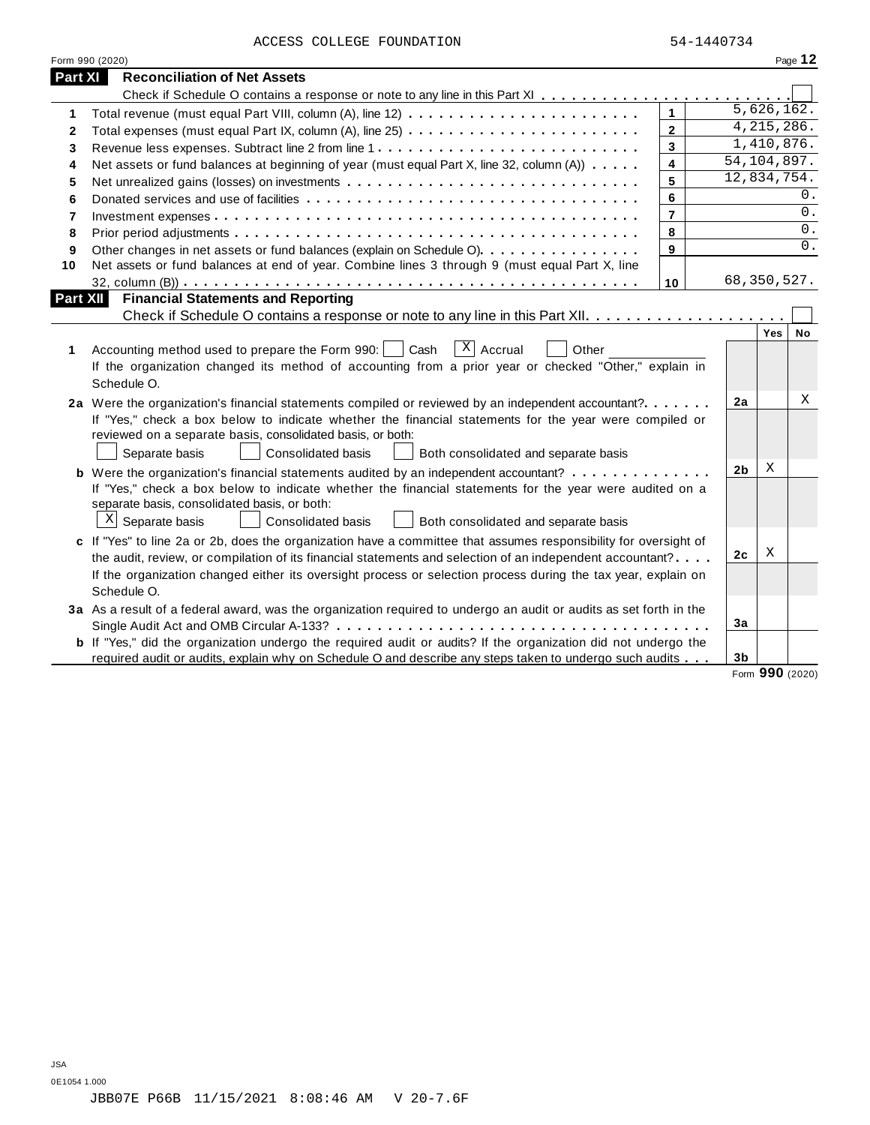|  |  |  | ACCESS COLLEGE FOUNDATION |
|--|--|--|---------------------------|
|--|--|--|---------------------------|

|                 | ACCESS COLLEGE FOUNDATION                                                                                                                                                                                                                                                                                                                                         |                | 54-1440734    |              |             |         |
|-----------------|-------------------------------------------------------------------------------------------------------------------------------------------------------------------------------------------------------------------------------------------------------------------------------------------------------------------------------------------------------------------|----------------|---------------|--------------|-------------|---------|
|                 | Form 990 (2020)                                                                                                                                                                                                                                                                                                                                                   |                |               |              |             | Page 12 |
| <b>Part XI</b>  | <b>Reconciliation of Net Assets</b>                                                                                                                                                                                                                                                                                                                               |                |               |              |             |         |
|                 |                                                                                                                                                                                                                                                                                                                                                                   |                |               |              |             |         |
| 1               |                                                                                                                                                                                                                                                                                                                                                                   | $\mathbf{1}$   |               |              | 5,626,162.  |         |
| $\mathbf{2}$    |                                                                                                                                                                                                                                                                                                                                                                   |                |               | 4, 215, 286. |             |         |
| 3               |                                                                                                                                                                                                                                                                                                                                                                   | $\mathbf{3}$   |               | 1,410,876.   |             |         |
| 4               | Net assets or fund balances at beginning of year (must equal Part X, line 32, column (A))                                                                                                                                                                                                                                                                         | 4              | 54, 104, 897. |              |             |         |
| 5               |                                                                                                                                                                                                                                                                                                                                                                   | 5              | 12,834,754.   |              |             |         |
| 6               |                                                                                                                                                                                                                                                                                                                                                                   | 6              |               |              |             | 0.      |
| 7               |                                                                                                                                                                                                                                                                                                                                                                   | $\overline{7}$ |               |              |             | 0.      |
| 8               |                                                                                                                                                                                                                                                                                                                                                                   | 8              |               |              |             | 0.      |
| 9               | Other changes in net assets or fund balances (explain on Schedule O).                                                                                                                                                                                                                                                                                             | 9              |               |              |             | 0.      |
| 10              | Net assets or fund balances at end of year. Combine lines 3 through 9 (must equal Part X, line                                                                                                                                                                                                                                                                    |                |               |              |             |         |
|                 |                                                                                                                                                                                                                                                                                                                                                                   | 10             |               |              | 68,350,527. |         |
| <b>Part XII</b> | <b>Financial Statements and Reporting</b>                                                                                                                                                                                                                                                                                                                         |                |               |              |             |         |
|                 |                                                                                                                                                                                                                                                                                                                                                                   |                |               |              |             |         |
| 1               | $X$ Accrual<br>Accounting method used to prepare the Form 990:     Cash<br>Other<br>If the organization changed its method of accounting from a prior year or checked "Other," explain in<br>Schedule O.                                                                                                                                                          |                |               |              | Yes         | No      |
|                 | 2a Were the organization's financial statements compiled or reviewed by an independent accountant?<br>If "Yes," check a box below to indicate whether the financial statements for the year were compiled or<br>reviewed on a separate basis, consolidated basis, or both:<br>Separate basis<br><b>Consolidated basis</b><br>Both consolidated and separate basis |                |               |              |             |         |
|                 | <b>b</b> Were the organization's financial statements audited by an independent accountant?<br>If "Yes," check a box below to indicate whether the financial statements for the year were audited on a<br>separate basis, consolidated basis, or both:                                                                                                            |                |               | 2b           | X           |         |
|                 | $X$ Separate basis<br>Consolidated basis<br>Both consolidated and separate basis                                                                                                                                                                                                                                                                                  |                |               |              |             |         |
|                 | c If "Yes" to line 2a or 2b, does the organization have a committee that assumes responsibility for oversight of                                                                                                                                                                                                                                                  |                |               |              |             |         |
|                 | the audit, review, or compilation of its financial statements and selection of an independent accountant?                                                                                                                                                                                                                                                         |                |               | 2c           | х           |         |
|                 | If the organization changed either its oversight process or selection process during the tax year, explain on<br>Schedule O.                                                                                                                                                                                                                                      |                |               |              |             |         |
|                 | 3a As a result of a federal award, was the organization required to undergo an audit or audits as set forth in the                                                                                                                                                                                                                                                |                |               |              |             |         |
|                 |                                                                                                                                                                                                                                                                                                                                                                   |                |               | 3a           |             |         |
|                 | <b>b</b> If "Yes," did the organization undergo the required audit or audits? If the organization did not undergo the<br>required audit or audits, explain why on Schedule O and describe any steps taken to undergo such audits                                                                                                                                  |                |               | 3b           |             |         |
|                 |                                                                                                                                                                                                                                                                                                                                                                   |                |               |              |             |         |

Form **990** (2020)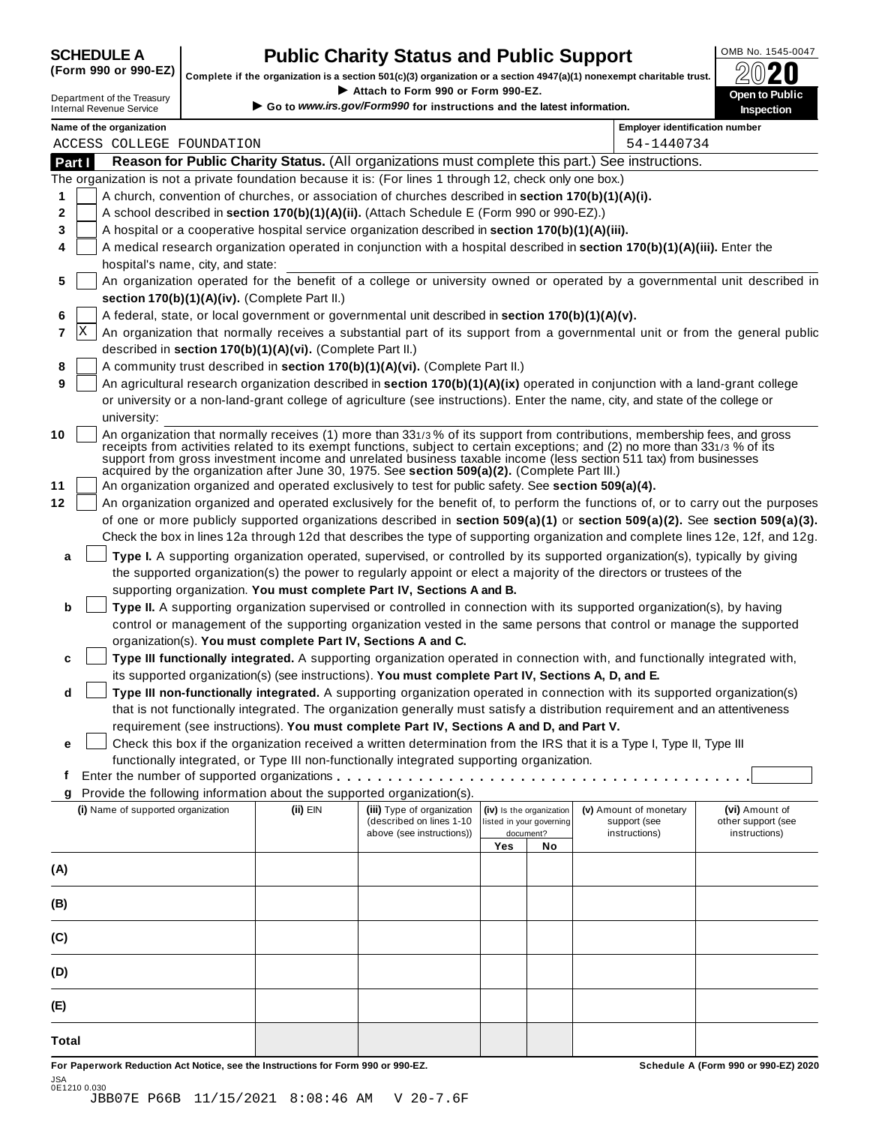# **CHEDULE A Public Charity Status and Public Support**  $\frac{100\text{dB No. }1545-0047}{000\text{dB No.}}$

(Form 990 or 990-EZ) complete if the organization is a section 501(c)(3) organization or a section 4947(a)(1) nonexempt charitable trust.  $2020$ 

|        |                                                                                  |                                                            | Complete if the organization is a section 501(c)(3) organization or a section 4947(a)(1) nonexempt charitable trust.  |     |                          |                                                                                                                                | ZWŁU                                                                                                                             |
|--------|----------------------------------------------------------------------------------|------------------------------------------------------------|-----------------------------------------------------------------------------------------------------------------------|-----|--------------------------|--------------------------------------------------------------------------------------------------------------------------------|----------------------------------------------------------------------------------------------------------------------------------|
|        | Department of the Treasury<br><b>Internal Revenue Service</b>                    |                                                            | Attach to Form 990 or Form 990-EZ.<br>Go to www.irs.gov/Form990 for instructions and the latest information.          |     |                          |                                                                                                                                | Open to Public<br><b>Inspection</b>                                                                                              |
|        | Name of the organization                                                         |                                                            |                                                                                                                       |     |                          | <b>Employer identification number</b>                                                                                          |                                                                                                                                  |
|        | ACCESS COLLEGE FOUNDATION                                                        |                                                            |                                                                                                                       |     |                          | 54-1440734                                                                                                                     |                                                                                                                                  |
| Part I |                                                                                  |                                                            |                                                                                                                       |     |                          | Reason for Public Charity Status. (All organizations must complete this part.) See instructions.                               |                                                                                                                                  |
|        |                                                                                  |                                                            | The organization is not a private foundation because it is: (For lines 1 through 12, check only one box.)             |     |                          |                                                                                                                                |                                                                                                                                  |
| 1      |                                                                                  |                                                            | A church, convention of churches, or association of churches described in section 170(b)(1)(A)(i).                    |     |                          |                                                                                                                                |                                                                                                                                  |
| 2      |                                                                                  |                                                            | A school described in section 170(b)(1)(A)(ii). (Attach Schedule E (Form 990 or 990-EZ).)                             |     |                          |                                                                                                                                |                                                                                                                                  |
| 3      |                                                                                  |                                                            | A hospital or a cooperative hospital service organization described in section 170(b)(1)(A)(iii).                     |     |                          |                                                                                                                                |                                                                                                                                  |
| 4      | hospital's name, city, and state:                                                |                                                            |                                                                                                                       |     |                          | A medical research organization operated in conjunction with a hospital described in section 170(b)(1)(A)(iii). Enter the      |                                                                                                                                  |
| 5      |                                                                                  |                                                            |                                                                                                                       |     |                          |                                                                                                                                | An organization operated for the benefit of a college or university owned or operated by a governmental unit described in        |
|        |                                                                                  | section 170(b)(1)(A)(iv). (Complete Part II.)              |                                                                                                                       |     |                          |                                                                                                                                |                                                                                                                                  |
| 6      |                                                                                  |                                                            | A federal, state, or local government or governmental unit described in section 170(b)(1)(A)(v).                      |     |                          |                                                                                                                                |                                                                                                                                  |
| 7      | x                                                                                |                                                            |                                                                                                                       |     |                          |                                                                                                                                | An organization that normally receives a substantial part of its support from a governmental unit or from the general public     |
|        |                                                                                  | described in section 170(b)(1)(A)(vi). (Complete Part II.) |                                                                                                                       |     |                          |                                                                                                                                |                                                                                                                                  |
| 8      |                                                                                  |                                                            | A community trust described in section 170(b)(1)(A)(vi). (Complete Part II.)                                          |     |                          |                                                                                                                                |                                                                                                                                  |
| 9      |                                                                                  |                                                            |                                                                                                                       |     |                          | An agricultural research organization described in section 170(b)(1)(A)(ix) operated in conjunction with a land-grant college  |                                                                                                                                  |
|        |                                                                                  |                                                            |                                                                                                                       |     |                          | or university or a non-land-grant college of agriculture (see instructions). Enter the name, city, and state of the college or |                                                                                                                                  |
|        | university:                                                                      |                                                            |                                                                                                                       |     |                          | An organization that normally receives (1) more than 331/3% of its support from contributions, membership fees, and gross      |                                                                                                                                  |
| 10     |                                                                                  |                                                            |                                                                                                                       |     |                          | receipts from activities related to its exempt functions, subject to certain exceptions; and (2) no more than 331/3 % of its   |                                                                                                                                  |
|        |                                                                                  |                                                            | acquired by the organization after June 30, 1975. See section 509(a)(2). (Complete Part III.)                         |     |                          | support from gross investment income and unrelated business taxable income (less section 511 tax) from businesses              |                                                                                                                                  |
| 11     |                                                                                  |                                                            | An organization organized and operated exclusively to test for public safety. See section 509(a)(4).                  |     |                          |                                                                                                                                |                                                                                                                                  |
| 12     |                                                                                  |                                                            |                                                                                                                       |     |                          |                                                                                                                                | An organization organized and operated exclusively for the benefit of, to perform the functions of, or to carry out the purposes |
|        |                                                                                  |                                                            |                                                                                                                       |     |                          |                                                                                                                                | of one or more publicly supported organizations described in section 509(a)(1) or section 509(a)(2). See section 509(a)(3).      |
|        |                                                                                  |                                                            |                                                                                                                       |     |                          |                                                                                                                                | Check the box in lines 12a through 12d that describes the type of supporting organization and complete lines 12e, 12f, and 12g.  |
| a      |                                                                                  |                                                            |                                                                                                                       |     |                          | Type I. A supporting organization operated, supervised, or controlled by its supported organization(s), typically by giving    |                                                                                                                                  |
|        |                                                                                  |                                                            |                                                                                                                       |     |                          | the supported organization(s) the power to regularly appoint or elect a majority of the directors or trustees of the           |                                                                                                                                  |
|        |                                                                                  |                                                            | supporting organization. You must complete Part IV, Sections A and B.                                                 |     |                          |                                                                                                                                |                                                                                                                                  |
| b      |                                                                                  |                                                            |                                                                                                                       |     |                          | Type II. A supporting organization supervised or controlled in connection with its supported organization(s), by having        |                                                                                                                                  |
|        |                                                                                  |                                                            | organization(s). You must complete Part IV, Sections A and C.                                                         |     |                          | control or management of the supporting organization vested in the same persons that control or manage the supported           |                                                                                                                                  |
| c      |                                                                                  |                                                            |                                                                                                                       |     |                          | Type III functionally integrated. A supporting organization operated in connection with, and functionally integrated with,     |                                                                                                                                  |
|        |                                                                                  |                                                            | its supported organization(s) (see instructions). You must complete Part IV, Sections A, D, and E.                    |     |                          |                                                                                                                                |                                                                                                                                  |
| d      |                                                                                  |                                                            |                                                                                                                       |     |                          | Type III non-functionally integrated. A supporting organization operated in connection with its supported organization(s)      |                                                                                                                                  |
|        |                                                                                  |                                                            |                                                                                                                       |     |                          | that is not functionally integrated. The organization generally must satisfy a distribution requirement and an attentiveness   |                                                                                                                                  |
|        |                                                                                  |                                                            | requirement (see instructions). You must complete Part IV, Sections A and D, and Part V.                              |     |                          |                                                                                                                                |                                                                                                                                  |
| e      |                                                                                  |                                                            |                                                                                                                       |     |                          | Check this box if the organization received a written determination from the IRS that it is a Type I, Type II, Type III        |                                                                                                                                  |
|        |                                                                                  |                                                            | functionally integrated, or Type III non-functionally integrated supporting organization.                             |     |                          |                                                                                                                                |                                                                                                                                  |
| f<br>g |                                                                                  |                                                            | Enter the number of supported organizations<br>Provide the following information about the supported organization(s). |     |                          |                                                                                                                                |                                                                                                                                  |
|        | (i) Name of supported organization                                               | (ii) EIN                                                   | (iii) Type of organization                                                                                            |     | (iv) Is the organization | (v) Amount of monetary                                                                                                         | (vi) Amount of                                                                                                                   |
|        |                                                                                  |                                                            | (described on lines 1-10                                                                                              |     | listed in your governing | support (see                                                                                                                   | other support (see                                                                                                               |
|        |                                                                                  |                                                            | above (see instructions))                                                                                             | Yes | document?<br>No          | instructions)                                                                                                                  | instructions)                                                                                                                    |
| (A)    |                                                                                  |                                                            |                                                                                                                       |     |                          |                                                                                                                                |                                                                                                                                  |
| (B)    |                                                                                  |                                                            |                                                                                                                       |     |                          |                                                                                                                                |                                                                                                                                  |
|        |                                                                                  |                                                            |                                                                                                                       |     |                          |                                                                                                                                |                                                                                                                                  |
| (C)    |                                                                                  |                                                            |                                                                                                                       |     |                          |                                                                                                                                |                                                                                                                                  |
| (D)    |                                                                                  |                                                            |                                                                                                                       |     |                          |                                                                                                                                |                                                                                                                                  |
| (E)    |                                                                                  |                                                            |                                                                                                                       |     |                          |                                                                                                                                |                                                                                                                                  |
| Total  |                                                                                  |                                                            |                                                                                                                       |     |                          |                                                                                                                                |                                                                                                                                  |
|        | For Paperwork Reduction Act Notice, see the Instructions for Form 990 or 990-EZ. |                                                            |                                                                                                                       |     |                          |                                                                                                                                | Schedule A (Form 990 or 990-EZ) 2020                                                                                             |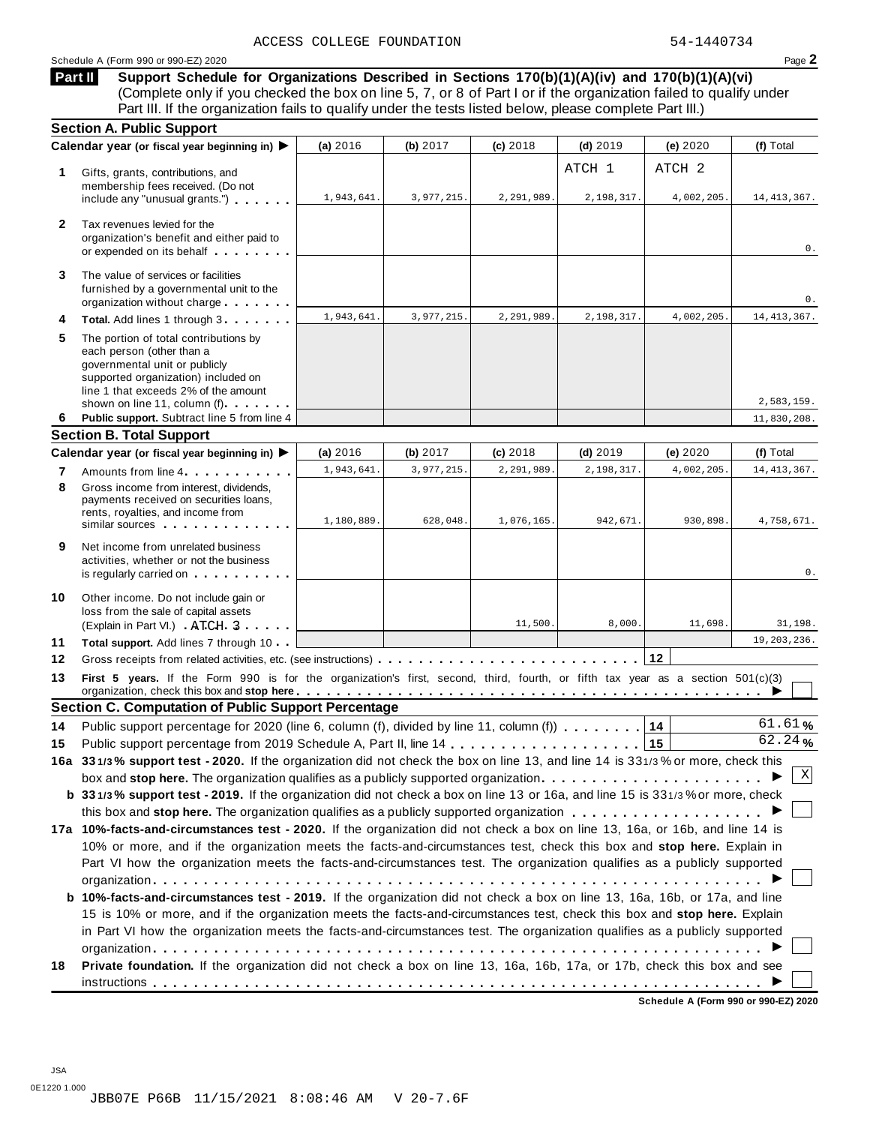# Schedule <sup>A</sup> (Form <sup>990</sup> or 990-EZ) <sup>2020</sup> Page **2**

**Support Schedule for Organizations Described in Sections 170(b)(1)(A)(iv) and 170(b)(1)(A)(vi)** Complete only if you checked the box on line 5, 7, or 8 of Part I or if the organization failed to qualify under Part III. If the organization fails to qualify under the tests listed below, please complete Part III.) **Part II**

| <b>Section A. Public Support</b>                                                                                                                                                                                   |                              |            |                                                            |                      |                                                                                        |                                                                                                                                       |
|--------------------------------------------------------------------------------------------------------------------------------------------------------------------------------------------------------------------|------------------------------|------------|------------------------------------------------------------|----------------------|----------------------------------------------------------------------------------------|---------------------------------------------------------------------------------------------------------------------------------------|
| Calendar year (or fiscal year beginning in) ▶                                                                                                                                                                      | (a) 2016                     | (b) 2017   | (c) 2018                                                   | $(d)$ 2019           | (e) 2020                                                                               | (f) Total                                                                                                                             |
| Gifts, grants, contributions, and<br>membership fees received. (Do not<br>include any "unusual grants.")                                                                                                           | 1,943,641.                   | 3,977,215. | 2,291,989.                                                 | ATCH 1<br>2,198,317. | ATCH <sub>2</sub><br>4,002,205.                                                        | 14, 413, 367.                                                                                                                         |
| Tax revenues levied for the<br>organization's benefit and either paid to<br>or expended on its behalf                                                                                                              |                              |            |                                                            |                      |                                                                                        | 0.                                                                                                                                    |
| The value of services or facilities<br>furnished by a governmental unit to the<br>organization without charge                                                                                                      |                              |            |                                                            |                      |                                                                                        | 0.                                                                                                                                    |
| Total. Add lines 1 through 3                                                                                                                                                                                       | 1,943,641                    | 3,977,215. | 2,291,989.                                                 | 2,198,317.           | 4,002,205.                                                                             | 14, 413, 367.                                                                                                                         |
| The portion of total contributions by<br>each person (other than a<br>governmental unit or publicly<br>supported organization) included on<br>line 1 that exceeds 2% of the amount<br>shown on line 11, column (f) |                              |            |                                                            |                      |                                                                                        | 2,583,159.                                                                                                                            |
| Public support. Subtract line 5 from line 4                                                                                                                                                                        |                              |            |                                                            |                      |                                                                                        | 11,830,208.                                                                                                                           |
| <b>Section B. Total Support</b>                                                                                                                                                                                    |                              |            |                                                            |                      |                                                                                        |                                                                                                                                       |
| Calendar year (or fiscal year beginning in) ▶                                                                                                                                                                      | (a) 2016                     | (b) 2017   | (c) 2018                                                   | $(d)$ 2019           | (e) 2020                                                                               | (f) Total                                                                                                                             |
| Amounts from line 4                                                                                                                                                                                                | 1,943,641.                   | 3,977,215. | 2,291,989.                                                 | 2,198,317.           | 4,002,205.                                                                             | 14, 413, 367.                                                                                                                         |
| Gross income from interest, dividends,<br>payments received on securities loans,<br>rents, royalties, and income from<br>similar sources experiences                                                               | 1,180,889.                   | 628,048.   | 1,076,165.                                                 | 942,671.             | 930,898.                                                                               | 4,758,671.                                                                                                                            |
| Net income from unrelated business<br>activities, whether or not the business<br>is regularly carried on the control of the set of the set of the set of the set of the set of the set of the s                    |                              |            |                                                            |                      |                                                                                        | 0.                                                                                                                                    |
| Other income. Do not include gain or<br>loss from the sale of capital assets                                                                                                                                       |                              |            | 11,500.                                                    | 8,000                | 11,698.                                                                                | 31,198.                                                                                                                               |
| Total support. Add lines 7 through 10                                                                                                                                                                              |                              |            |                                                            |                      |                                                                                        | 19, 203, 236.                                                                                                                         |
|                                                                                                                                                                                                                    |                              |            |                                                            |                      |                                                                                        |                                                                                                                                       |
|                                                                                                                                                                                                                    |                              |            |                                                            |                      |                                                                                        |                                                                                                                                       |
|                                                                                                                                                                                                                    |                              |            |                                                            |                      |                                                                                        |                                                                                                                                       |
|                                                                                                                                                                                                                    |                              |            |                                                            |                      |                                                                                        | 61.61%                                                                                                                                |
|                                                                                                                                                                                                                    |                              |            |                                                            |                      | 15                                                                                     | $\sqrt{62.24}$ %                                                                                                                      |
|                                                                                                                                                                                                                    |                              |            |                                                            |                      |                                                                                        |                                                                                                                                       |
| 16a 331/3% support test - 2020. If the organization did not check the box on line 13, and line 14 is 331/3% or more, check this                                                                                    |                              |            |                                                            |                      |                                                                                        |                                                                                                                                       |
| box and stop here. The organization qualifies as a publicly supported organization $\ldots \ldots \ldots \ldots \ldots \ldots$                                                                                     |                              |            |                                                            |                      |                                                                                        | Χ                                                                                                                                     |
| b 331/3% support test - 2019. If the organization did not check a box on line 13 or 16a, and line 15 is 331/3% or more, check                                                                                      |                              |            |                                                            |                      |                                                                                        |                                                                                                                                       |
|                                                                                                                                                                                                                    |                              |            |                                                            |                      |                                                                                        |                                                                                                                                       |
| 17a 10%-facts-and-circumstances test - 2020. If the organization did not check a box on line 13, 16a, or 16b, and line 14 is                                                                                       |                              |            |                                                            |                      |                                                                                        |                                                                                                                                       |
| 10% or more, and if the organization meets the facts-and-circumstances test, check this box and stop here. Explain in                                                                                              |                              |            |                                                            |                      |                                                                                        |                                                                                                                                       |
| Part VI how the organization meets the facts-and-circumstances test. The organization qualifies as a publicly supported                                                                                            |                              |            |                                                            |                      |                                                                                        |                                                                                                                                       |
|                                                                                                                                                                                                                    |                              |            |                                                            |                      |                                                                                        |                                                                                                                                       |
| b 10%-facts-and-circumstances test - 2019. If the organization did not check a box on line 13, 16a, 16b, or 17a, and line                                                                                          |                              |            |                                                            |                      |                                                                                        |                                                                                                                                       |
| 15 is 10% or more, and if the organization meets the facts-and-circumstances test, check this box and stop here. Explain                                                                                           |                              |            |                                                            |                      |                                                                                        |                                                                                                                                       |
| in Part VI how the organization meets the facts-and-circumstances test. The organization qualifies as a publicly supported                                                                                         |                              |            |                                                            |                      |                                                                                        |                                                                                                                                       |
| Private foundation. If the organization did not check a box on line 13, 16a, 16b, 17a, or 17b, check this box and see                                                                                              |                              |            |                                                            |                      |                                                                                        |                                                                                                                                       |
|                                                                                                                                                                                                                    | (Explain in Part VI.) ATCH 3 |            | <b>Section C. Computation of Public Support Percentage</b> |                      | Public support percentage for 2020 (line 6, column (f), divided by line 11, column (f) | First 5 years. If the Form 990 is for the organization's first, second, third, fourth, or fifth tax year as a section 501(c)(3)<br>14 |

**Schedule A (Form 990 or 990-EZ) 2020**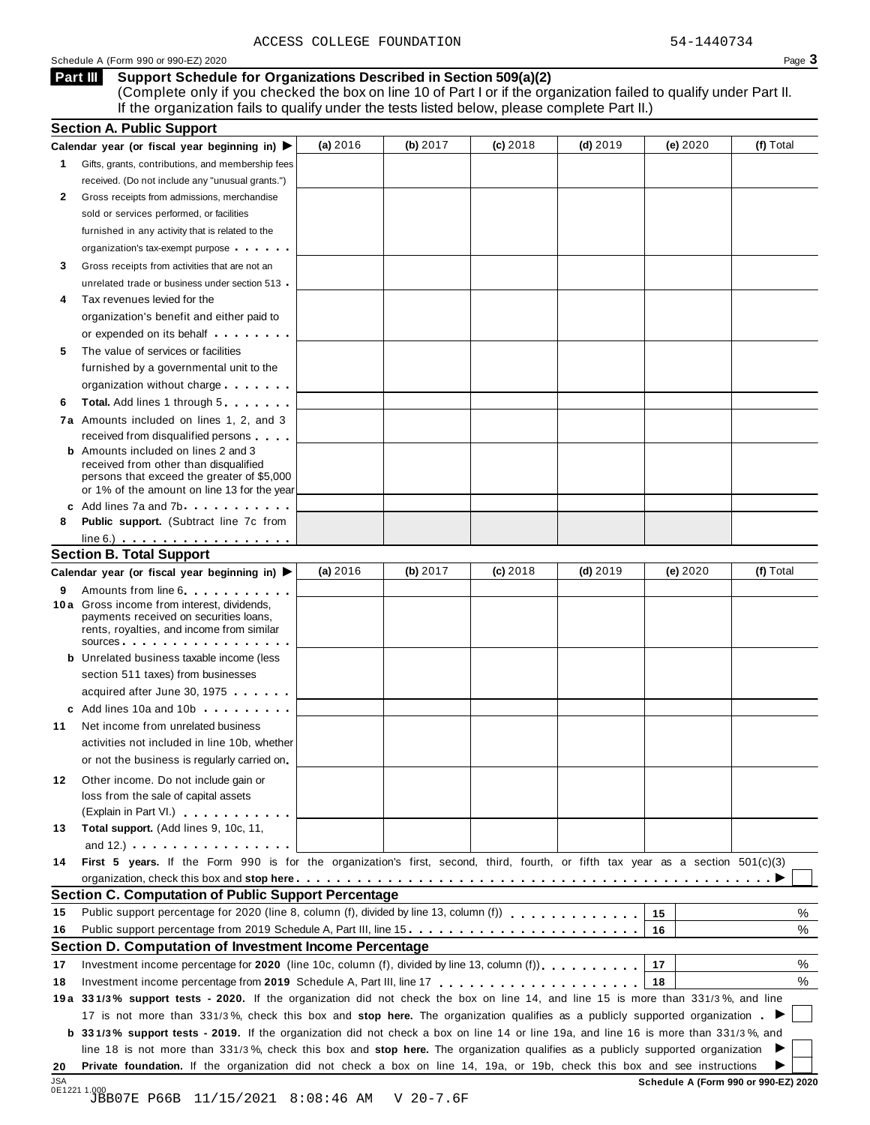# Schedule <sup>A</sup> (Form <sup>990</sup> or 990-EZ) <sup>2020</sup> Page **3**

# **Support Schedule for Organizations Described in Section 509(a)(2) Part III**

(Complete only if you checked the box on line 10 of Part I or if the organization failed to qualify under Part II. If the organization fails to qualify under the tests listed below, please complete Part II.)

|                            | <b>Section A. Public Support</b>                                                                                                                                                                                                                           |          |            |            |            |          |           |
|----------------------------|------------------------------------------------------------------------------------------------------------------------------------------------------------------------------------------------------------------------------------------------------------|----------|------------|------------|------------|----------|-----------|
|                            | Calendar year (or fiscal year beginning in)                                                                                                                                                                                                                | (a) 2016 | (b) $2017$ | $(c)$ 2018 | $(d)$ 2019 | (e) 2020 | (f) Total |
| 1.                         | Gifts, grants, contributions, and membership fees                                                                                                                                                                                                          |          |            |            |            |          |           |
|                            | received. (Do not include any "unusual grants.")                                                                                                                                                                                                           |          |            |            |            |          |           |
| 2                          | Gross receipts from admissions, merchandise                                                                                                                                                                                                                |          |            |            |            |          |           |
|                            | sold or services performed, or facilities                                                                                                                                                                                                                  |          |            |            |            |          |           |
|                            | furnished in any activity that is related to the                                                                                                                                                                                                           |          |            |            |            |          |           |
|                            | organization's tax-exempt purpose                                                                                                                                                                                                                          |          |            |            |            |          |           |
| 3                          | Gross receipts from activities that are not an                                                                                                                                                                                                             |          |            |            |            |          |           |
|                            | unrelated trade or business under section 513                                                                                                                                                                                                              |          |            |            |            |          |           |
|                            | Tax revenues levied for the                                                                                                                                                                                                                                |          |            |            |            |          |           |
|                            | organization's benefit and either paid to                                                                                                                                                                                                                  |          |            |            |            |          |           |
|                            | or expended on its behalf                                                                                                                                                                                                                                  |          |            |            |            |          |           |
| 5                          | The value of services or facilities                                                                                                                                                                                                                        |          |            |            |            |          |           |
|                            | furnished by a governmental unit to the                                                                                                                                                                                                                    |          |            |            |            |          |           |
|                            | organization without charge                                                                                                                                                                                                                                |          |            |            |            |          |           |
| 6                          | <b>Total.</b> Add lines 1 through 5                                                                                                                                                                                                                        |          |            |            |            |          |           |
|                            | <b>7a</b> Amounts included on lines 1, 2, and 3                                                                                                                                                                                                            |          |            |            |            |          |           |
|                            | received from disqualified persons                                                                                                                                                                                                                         |          |            |            |            |          |           |
|                            | <b>b</b> Amounts included on lines 2 and 3                                                                                                                                                                                                                 |          |            |            |            |          |           |
|                            | received from other than disqualified                                                                                                                                                                                                                      |          |            |            |            |          |           |
|                            | persons that exceed the greater of \$5,000<br>or 1% of the amount on line 13 for the year                                                                                                                                                                  |          |            |            |            |          |           |
|                            | c Add lines 7a and 7b.                                                                                                                                                                                                                                     |          |            |            |            |          |           |
| 8                          | Public support. (Subtract line 7c from                                                                                                                                                                                                                     |          |            |            |            |          |           |
|                            | $line 6.)$                                                                                                                                                                                                                                                 |          |            |            |            |          |           |
|                            | <b>Section B. Total Support</b>                                                                                                                                                                                                                            |          |            |            |            |          |           |
|                            | Calendar year (or fiscal year beginning in)                                                                                                                                                                                                                | (a) 2016 | (b) $2017$ | $(c)$ 2018 | $(d)$ 2019 | (e) 2020 | (f) Total |
| 9                          | Amounts from line 6                                                                                                                                                                                                                                        |          |            |            |            |          |           |
|                            | 10 a Gross income from interest, dividends,                                                                                                                                                                                                                |          |            |            |            |          |           |
|                            | payments received on securities loans,                                                                                                                                                                                                                     |          |            |            |            |          |           |
|                            | rents, royalties, and income from similar<br>sources                                                                                                                                                                                                       |          |            |            |            |          |           |
|                            | <b>b</b> Unrelated business taxable income (less                                                                                                                                                                                                           |          |            |            |            |          |           |
|                            | section 511 taxes) from businesses                                                                                                                                                                                                                         |          |            |            |            |          |           |
|                            | acquired after June 30, 1975                                                                                                                                                                                                                               |          |            |            |            |          |           |
|                            | c Add lines 10a and 10b                                                                                                                                                                                                                                    |          |            |            |            |          |           |
| 11                         | Net income from unrelated business                                                                                                                                                                                                                         |          |            |            |            |          |           |
|                            | activities not included in line 10b, whether                                                                                                                                                                                                               |          |            |            |            |          |           |
|                            | or not the business is regularly carried on                                                                                                                                                                                                                |          |            |            |            |          |           |
|                            |                                                                                                                                                                                                                                                            |          |            |            |            |          |           |
| 12                         | Other income. Do not include gain or                                                                                                                                                                                                                       |          |            |            |            |          |           |
|                            | loss from the sale of capital assets                                                                                                                                                                                                                       |          |            |            |            |          |           |
| 13                         | (Explain in Part VI.) Canada and The Part 1.<br>Total support. (Add lines 9, 10c, 11,                                                                                                                                                                      |          |            |            |            |          |           |
|                            | and 12.) $\cdots$ $\cdots$ $\cdots$ $\cdots$                                                                                                                                                                                                               |          |            |            |            |          |           |
|                            |                                                                                                                                                                                                                                                            |          |            |            |            |          |           |
|                            |                                                                                                                                                                                                                                                            |          |            |            |            |          |           |
|                            | First 5 years. If the Form 990 is for the organization's first, second, third, fourth, or fifth tax year as a section $501(c)(3)$                                                                                                                          |          |            |            |            |          |           |
|                            |                                                                                                                                                                                                                                                            |          |            |            |            |          |           |
|                            | <b>Section C. Computation of Public Support Percentage</b>                                                                                                                                                                                                 |          |            |            |            |          |           |
|                            |                                                                                                                                                                                                                                                            |          |            |            |            | 15       | %         |
|                            | Public support percentage from 2019 Schedule A, Part III, line 15.                                                                                                                                                                                         |          |            |            |            | 16       | %         |
|                            | Section D. Computation of Investment Income Percentage                                                                                                                                                                                                     |          |            |            |            |          |           |
|                            | Investment income percentage for 2020 (line 10c, column (f), divided by line 13, column (f)).                                                                                                                                                              |          |            |            |            | 17       | %         |
|                            |                                                                                                                                                                                                                                                            |          |            |            |            | 18       | %         |
|                            | 19a 331/3% support tests - 2020. If the organization did not check the box on line 14, and line 15 is more than 331/3%, and line                                                                                                                           |          |            |            |            |          |           |
|                            | 17 is not more than 331/3%, check this box and stop here. The organization qualifies as a publicly supported organization                                                                                                                                  |          |            |            |            |          |           |
|                            | b 331/3% support tests - 2019. If the organization did not check a box on line 14 or line 19a, and line 16 is more than 331/3%, and                                                                                                                        |          |            |            |            |          |           |
| 14<br>15<br>16<br>17<br>18 | line 18 is not more than 331/3%, check this box and stop here. The organization qualifies as a publicly supported organization<br>Private foundation. If the organization did not check a box on line 14, 19a, or 19b, check this box and see instructions |          |            |            |            |          |           |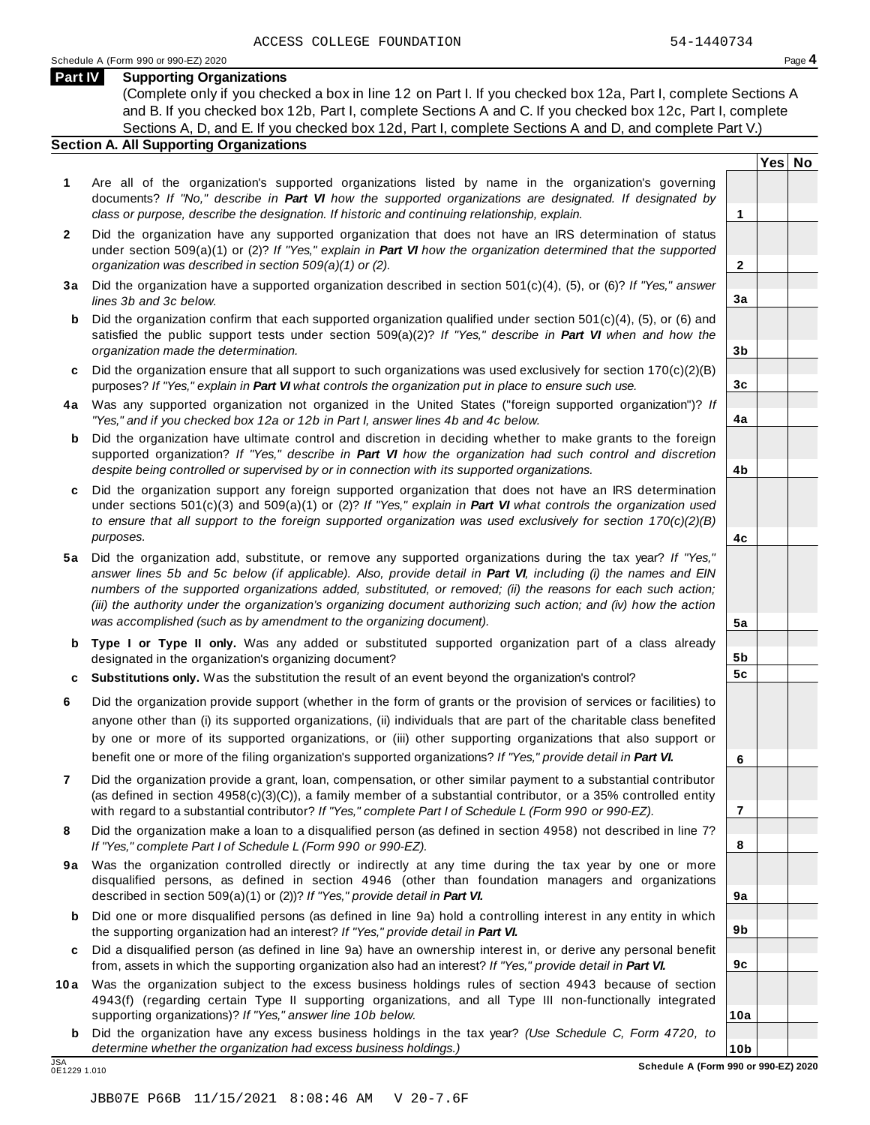**2**

**3a**

**3b**

**3c**

**4a**

**4b**

**4c**

**5a**

**5b 5c**

**6**

**7**

**8**

**9a**

**9b**

**9c**

**10a**

# **Part IV Supporting Organizations**

(Complete only if you checked a box in line 12 on Part I. If you checked box 12a, Part I, complete Sections A and B. If you checked box 12b, Part I, complete Sections A and C. If you checked box 12c, Part I, complete Sections A, D, and E. If you checked box 12d, Part I, complete Sections A and D, and complete Part V.)

# **Section A. All Supporting Organizations**

- **1** Are all of the organization's supported organizations listed by name in the organization's governing documents? *If "No," describe in Part VI how the supported organizations are designated. If designated by class or purpose, describe the designation. If historic and continuing relationship, explain.* **1**
- **2** Did the organization have any supported organization that does not have an IRS determination of status under section 509(a)(1) or (2)? *If"Yes," explain in Part VI how the organization determined that the supported organization was described in section 509(a)(1) or (2).*
- **3 a** Did the organization have a supported organization described in section 501(c)(4), (5), or (6)? *If "Yes," answer lines 3b and 3c below.*
- **b** Did the organization confirm that each supported organization qualified under section 501(c)(4), (5), or (6) and | satisfied the public support tests under section 509(a)(2)? *If "Yes," describe in Part VI when and how the organization made the determination.*
- **c** Did the organization ensure that all support to such organizations was used exclusively for section 170(c)(2)(B) purposes? *If"Yes," explain in Part VI what controls the organization put in place to ensure such use.*
- **4 a** Was any supported organization not organized in the United States ("foreign supported organization")? *If "Yes," and if you checked box 12a or 12b in Part I, answer lines 4b and 4c below.*
- **b** Did the organization have ultimate control and discretion in deciding whether to make grants to the foreign | supported organization? *If "Yes," describe in Part VI how the organization had such control and discretion despite being controlled or supervised by or in connection with its supported organizations.*
- **c** Did the organization support any foreign supported organization that does not have an IRS determination | under sections 501(c)(3) and 509(a)(1) or (2)? *If "Yes," explain in Part VI what controls the organization used to ensure that all support to the foreign supported organization was used exclusively for section 170(c)(2)(B) purposes.*
- **5 a** Did the organization add, substitute, or remove any supported organizations during the tax year? *If "Yes,"* answer lines 5b and 5c below (if applicable). Also, provide detail in Part VI, including (i) the names and EIN *numbers of the supported organizations added, substituted, or removed; (ii) the reasons for each such action;* (iii) the authority under the organization's organizing document authorizing such action; and (iv) how the action *was accomplished (such as by amendment to the organizing document).*
- **b Type I or Type II only.** Was any added or substituted supported organization part of a class already designated in the organization's organizing document?
- **c Substitutions only.** Was the substitution the result of an event beyond the organization's control?
- **6** Did the organization provide support (whether in the form of grants or the provision of services or facilities) to anyone other than (i) its supported organizations, (ii) individuals that are part of the charitable class benefited by one or more of its supported organizations, or (iii) other supporting organizations that also support or benefit one or more of the filing organization's supported organizations? *If"Yes," provide detail in Part VI.*
- **7** Did the organization provide a grant, loan, compensation, or other similar payment to a substantial contributor (as defined in section 4958(c)(3)(C)), a family member of a substantial contributor, or a 35% controlled entity with regard to a substantial contributor? *If"Yes," complete Part I of Schedule L (Form 990 or 990-EZ).*
- **8** Did the organization make a loan to a disqualified person (as defined in section 4958) not described in line 7? *If "Yes," complete Part I of Schedule L (Form 990 or 990-EZ).*
- **9a** Was the organization controlled directly or indirectly at any time during the tax year by one or more | disqualified persons, as defined in section 4946 (other than foundation managers and organizations described in section 509(a)(1) or (2))? *If"Yes," provide detail in Part VI.*
- **b** Did one or more disqualified persons (as defined in line 9a) hold a controlling interest in any entity in which | the supporting organization had an interest? *If"Yes," provide detail in Part VI.*
- **c** Did a disqualified person (as defined in line 9a) have an ownership interest in, or derive any personal benefit from, assets in which the supporting organization also had an interest? *If"Yes," provide detail in Part VI.*
- **10a** Was the organization subject to the excess business holdings rules of section 4943 because of section | 4943(f) (regarding certain Type II supporting organizations, and all Type III non-functionally integrated supporting organizations)? *If"Yes," answer line 10b below.*
- **b** Did the organization have any excess business holdings in the tax year? *(Use Schedule C, Form 4720, to determine whether the organization had excess business holdings.)*

0E1229 1.010

**Yes No**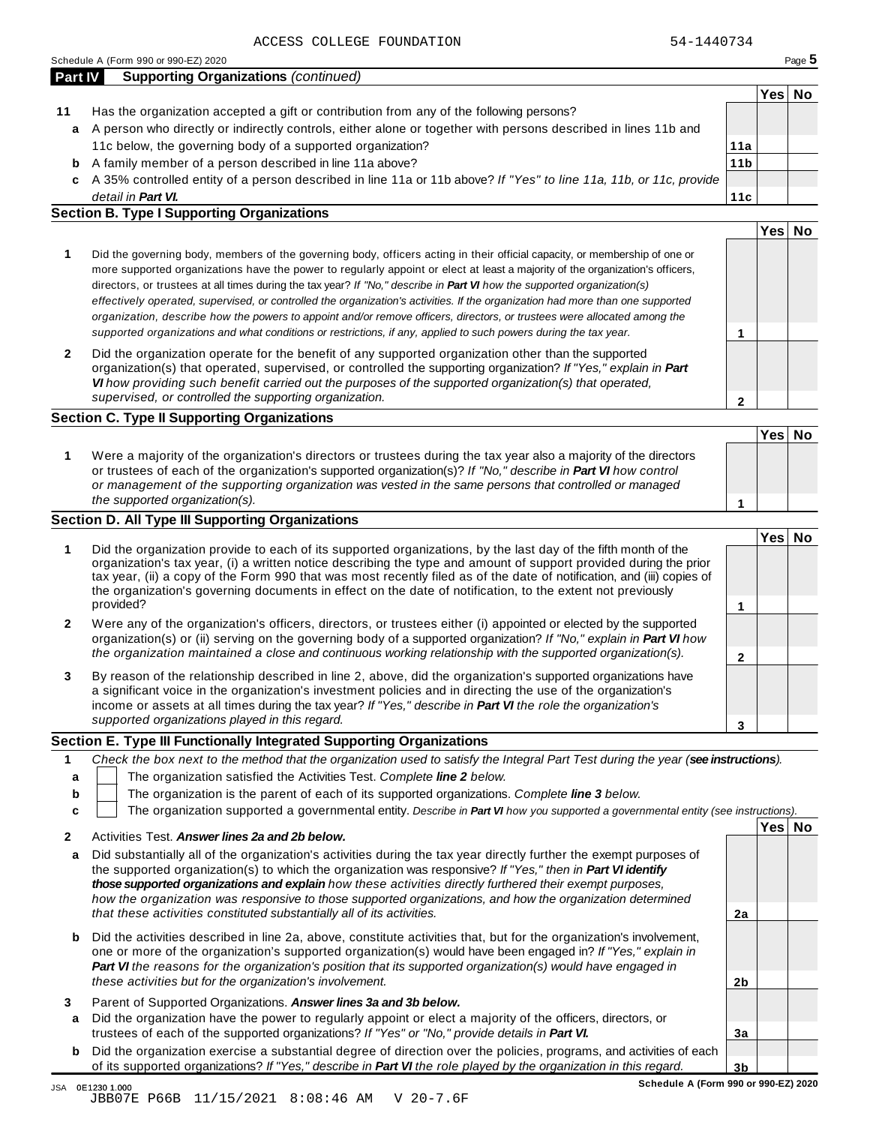JBB07E P66B 11/15/2021 8:08:46 AM V 20-7.6F

|                | Schedule A (Form 990 or 990-EZ) 2020        | Page $5$ |
|----------------|---------------------------------------------|----------|
| <b>Part IV</b> | <b>Supporting Organizations (continued)</b> |          |

|    |                                                                                                                      |                 | Yes | No |
|----|----------------------------------------------------------------------------------------------------------------------|-----------------|-----|----|
| 11 | Has the organization accepted a gift or contribution from any of the following persons?                              |                 |     |    |
| a  | A person who directly or indirectly controls, either alone or together with persons described in lines 11b and       |                 |     |    |
|    | 11c below, the governing body of a supported organization?                                                           | 11a             |     |    |
|    | <b>b</b> A family member of a person described in line 11a above?                                                    | 11 <sub>b</sub> |     |    |
|    | c A 35% controlled entity of a person described in line 11a or 11b above? If "Yes" to line 11a, 11b, or 11c, provide |                 |     |    |
|    | detail in <b>Part VI.</b>                                                                                            | 11c             |     |    |

# **Section B. Type I Supporting Organizations**

|   |                                                                                                                                                                                                                                                                                                                                                                                                                                                                                                                                                                                                                                                                                                                                                                                 |   | Y es |  |
|---|---------------------------------------------------------------------------------------------------------------------------------------------------------------------------------------------------------------------------------------------------------------------------------------------------------------------------------------------------------------------------------------------------------------------------------------------------------------------------------------------------------------------------------------------------------------------------------------------------------------------------------------------------------------------------------------------------------------------------------------------------------------------------------|---|------|--|
|   | Did the governing body, members of the governing body, officers acting in their official capacity, or membership of one or<br>more supported organizations have the power to regularly appoint or elect at least a majority of the organization's officers,<br>directors, or trustees at all times during the tax year? If "No," describe in <b>Part VI</b> how the supported organization(s)<br>effectively operated, supervised, or controlled the organization's activities. If the organization had more than one supported<br>organization, describe how the powers to appoint and/or remove officers, directors, or trustees were allocated among the<br>supported organizations and what conditions or restrictions, if any, applied to such powers during the tax year. |   |      |  |
| 2 | Did the organization operate for the benefit of any supported organization other than the supported<br>organization(s) that operated, supervised, or controlled the supporting organization? If "Yes," explain in Part<br>VI how providing such benefit carried out the purposes of the supported organization(s) that operated,<br>supervised, or controlled the supporting organization.                                                                                                                                                                                                                                                                                                                                                                                      | ົ |      |  |

# **Section C. Type II Supporting Organizations**

**1 Yes No 1** Were a majority of the organization's directors or trustees during the tax year also a majority of the directors or trustees of each of the organization's supported organization(s)? *If"No," describe in Part VI how control or management of the supporting organization was vested in the same persons that controlled or managed the supported organization(s).*

# **Section D. All Type III Supporting Organizations**

|              |                                                                                                                                                                                                                                                                                                                                                                                                                                                                                          | Yes⊺ |  |
|--------------|------------------------------------------------------------------------------------------------------------------------------------------------------------------------------------------------------------------------------------------------------------------------------------------------------------------------------------------------------------------------------------------------------------------------------------------------------------------------------------------|------|--|
|              | Did the organization provide to each of its supported organizations, by the last day of the fifth month of the<br>organization's tax year, (i) a written notice describing the type and amount of support provided during the prior<br>tax year, (ii) a copy of the Form 990 that was most recently filed as of the date of notification, and (iii) copies of<br>the organization's governing documents in effect on the date of notification, to the extent not previously<br>provided? |      |  |
| $\mathbf{2}$ | Were any of the organization's officers, directors, or trustees either (i) appointed or elected by the supported<br>organization(s) or (ii) serving on the governing body of a supported organization? If "No," explain in <b>Part VI</b> how                                                                                                                                                                                                                                            |      |  |
|              | the organization maintained a close and continuous working relationship with the supported organization(s).                                                                                                                                                                                                                                                                                                                                                                              |      |  |
| 3            | By reason of the relationship described in line 2, above, did the organization's supported organizations have<br>a significant voice in the organization's investment policies and in directing the use of the organization's<br>income or assets at all times during the tax year? If "Yes," describe in Part VI the role the organization's                                                                                                                                            |      |  |
|              | supported organizations played in this regard.                                                                                                                                                                                                                                                                                                                                                                                                                                           |      |  |

# **Section E. Type III Functionally Integrated Supporting Organizations**

|   | Check the box next to the method that the organization used to satisfy the Integral Part Test during the year (see instructions). |  |
|---|-----------------------------------------------------------------------------------------------------------------------------------|--|
|   | The organization satisfied the Activities Test. Complete line 2 below.                                                            |  |
| b | The organization is the parent of each of its supported organizations. Complete line 3 below.                                     |  |
|   | The organization supported a governmental entity. Describe in Part VI how you supported a governmental entity (see instructions). |  |
|   | Yesl                                                                                                                              |  |

| $\mathbf{2}$ | Activities Test. Answer lines 2a and 2b below.                                                                                                                                                                                                                                                                                                                                                                                                                                                                                             |    |  |
|--------------|--------------------------------------------------------------------------------------------------------------------------------------------------------------------------------------------------------------------------------------------------------------------------------------------------------------------------------------------------------------------------------------------------------------------------------------------------------------------------------------------------------------------------------------------|----|--|
| a            | Did substantially all of the organization's activities during the tax year directly further the exempt purposes of<br>the supported organization(s) to which the organization was responsive? If "Yes," then in <b>Part VI identify</b><br>those supported organizations and explain how these activities directly furthered their exempt purposes,<br>how the organization was responsive to those supported organizations, and how the organization determined<br>that these activities constituted substantially all of its activities. | 2a |  |
| b            | Did the activities described in line 2a, above, constitute activities that, but for the organization's involvement,<br>one or more of the organization's supported organization(s) would have been engaged in? If "Yes," explain in<br>Part VI the reasons for the organization's position that its supported organization(s) would have engaged in<br>these activities but for the organization's involvement.                                                                                                                            | 2b |  |
| 3<br>a       | Parent of Supported Organizations. Answer lines 3a and 3b below.<br>Did the organization have the power to regularly appoint or elect a majority of the officers, directors, or<br>trustees of each of the supported organizations? If "Yes" or "No," provide details in Part VI.                                                                                                                                                                                                                                                          | 3a |  |
| b            | Did the organization exercise a substantial degree of direction over the policies, programs, and activities of each<br>of its supported organizations? If "Yes," describe in Part VI the role played by the organization in this regard.                                                                                                                                                                                                                                                                                                   | 3b |  |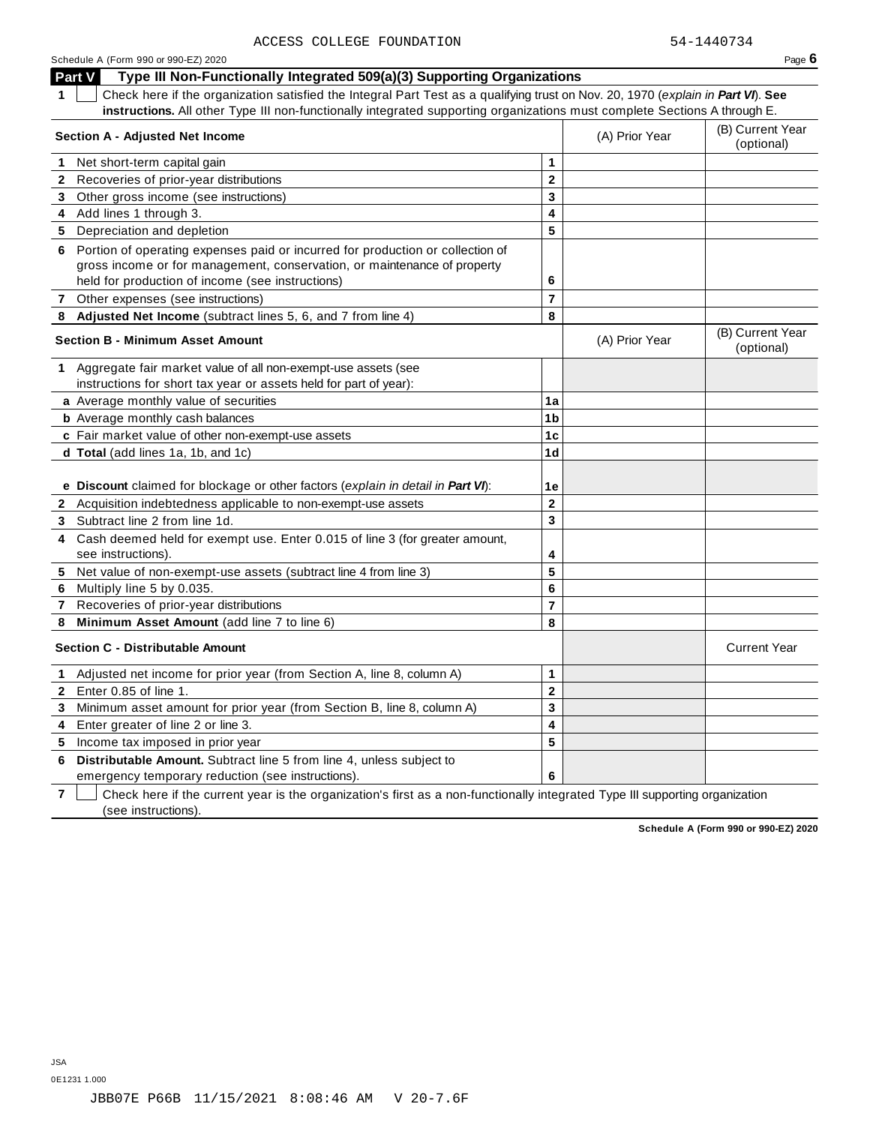|              | Type III Non-Functionally Integrated 509(a)(3) Supporting Organizations<br>Part V                                                                                                                              |                         |                                |                                |
|--------------|----------------------------------------------------------------------------------------------------------------------------------------------------------------------------------------------------------------|-------------------------|--------------------------------|--------------------------------|
|              | Check here if the organization satisfied the Integral Part Test as a qualifying trust on Nov. 20, 1970 (explain in Part VI). See                                                                               |                         |                                |                                |
|              | instructions. All other Type III non-functionally integrated supporting organizations must complete Sections A through E.                                                                                      |                         |                                |                                |
|              | Section A - Adjusted Net Income                                                                                                                                                                                | (A) Prior Year          | (B) Current Year<br>(optional) |                                |
| 1.           | Net short-term capital gain                                                                                                                                                                                    | $\mathbf{1}$            |                                |                                |
| $\mathbf{2}$ | Recoveries of prior-year distributions                                                                                                                                                                         | $\overline{\mathbf{2}}$ |                                |                                |
| 3            | Other gross income (see instructions)                                                                                                                                                                          | 3                       |                                |                                |
|              | 4 Add lines 1 through 3.                                                                                                                                                                                       | 4                       |                                |                                |
|              | 5 Depreciation and depletion                                                                                                                                                                                   | 5                       |                                |                                |
| 6.           | Portion of operating expenses paid or incurred for production or collection of<br>gross income or for management, conservation, or maintenance of property<br>held for production of income (see instructions) | 6                       |                                |                                |
|              | 7 Other expenses (see instructions)                                                                                                                                                                            | $\overline{7}$          |                                |                                |
| 8            | Adjusted Net Income (subtract lines 5, 6, and 7 from line 4)                                                                                                                                                   | 8                       |                                |                                |
|              | <b>Section B - Minimum Asset Amount</b>                                                                                                                                                                        |                         | (A) Prior Year                 | (B) Current Year<br>(optional) |
|              | 1 Aggregate fair market value of all non-exempt-use assets (see                                                                                                                                                |                         |                                |                                |
|              | instructions for short tax year or assets held for part of year):                                                                                                                                              |                         |                                |                                |
|              | a Average monthly value of securities                                                                                                                                                                          | 1a                      |                                |                                |
|              | <b>b</b> Average monthly cash balances                                                                                                                                                                         | 1 <sub>b</sub>          |                                |                                |
|              | c Fair market value of other non-exempt-use assets                                                                                                                                                             | 1 <sub>c</sub>          |                                |                                |
|              | d Total (add lines 1a, 1b, and 1c)                                                                                                                                                                             | 1 <sub>d</sub>          |                                |                                |
|              |                                                                                                                                                                                                                |                         |                                |                                |
|              | e Discount claimed for blockage or other factors (explain in detail in Part VI):                                                                                                                               | 1e                      |                                |                                |
|              | 2 Acquisition indebtedness applicable to non-exempt-use assets                                                                                                                                                 | $\mathbf 2$             |                                |                                |
|              | 3 Subtract line 2 from line 1d.                                                                                                                                                                                | 3                       |                                |                                |
| 4            | Cash deemed held for exempt use. Enter 0.015 of line 3 (for greater amount,                                                                                                                                    |                         |                                |                                |
|              | see instructions).                                                                                                                                                                                             | 4                       |                                |                                |
| 5.           | Net value of non-exempt-use assets (subtract line 4 from line 3)                                                                                                                                               | 5                       |                                |                                |
| 6.           | Multiply line 5 by 0.035.                                                                                                                                                                                      | 6                       |                                |                                |
| 7            | Recoveries of prior-year distributions                                                                                                                                                                         | $\overline{7}$          |                                |                                |
| 8            | Minimum Asset Amount (add line 7 to line 6)                                                                                                                                                                    | 8                       |                                |                                |
|              | <b>Section C - Distributable Amount</b>                                                                                                                                                                        |                         |                                | <b>Current Year</b>            |
| $\mathbf 1$  | Adjusted net income for prior year (from Section A, line 8, column A)                                                                                                                                          | 1                       |                                |                                |
| $\mathbf{2}$ | Enter 0.85 of line 1.                                                                                                                                                                                          | $\mathbf 2$             |                                |                                |
| 3            | Minimum asset amount for prior year (from Section B, line 8, column A)                                                                                                                                         | 3                       |                                |                                |
| 4            | Enter greater of line 2 or line 3.                                                                                                                                                                             | 4                       |                                |                                |
|              | 5 Income tax imposed in prior year                                                                                                                                                                             | 5                       |                                |                                |
| 6            | Distributable Amount. Subtract line 5 from line 4, unless subject to<br>emergency temporary reduction (see instructions).                                                                                      | 6                       |                                |                                |

**7** Check here if the current year is the organization's first as a non-functionally integrated Type III supporting organization (see instructions).

**Schedule A (Form 990 or 990-EZ) 2020**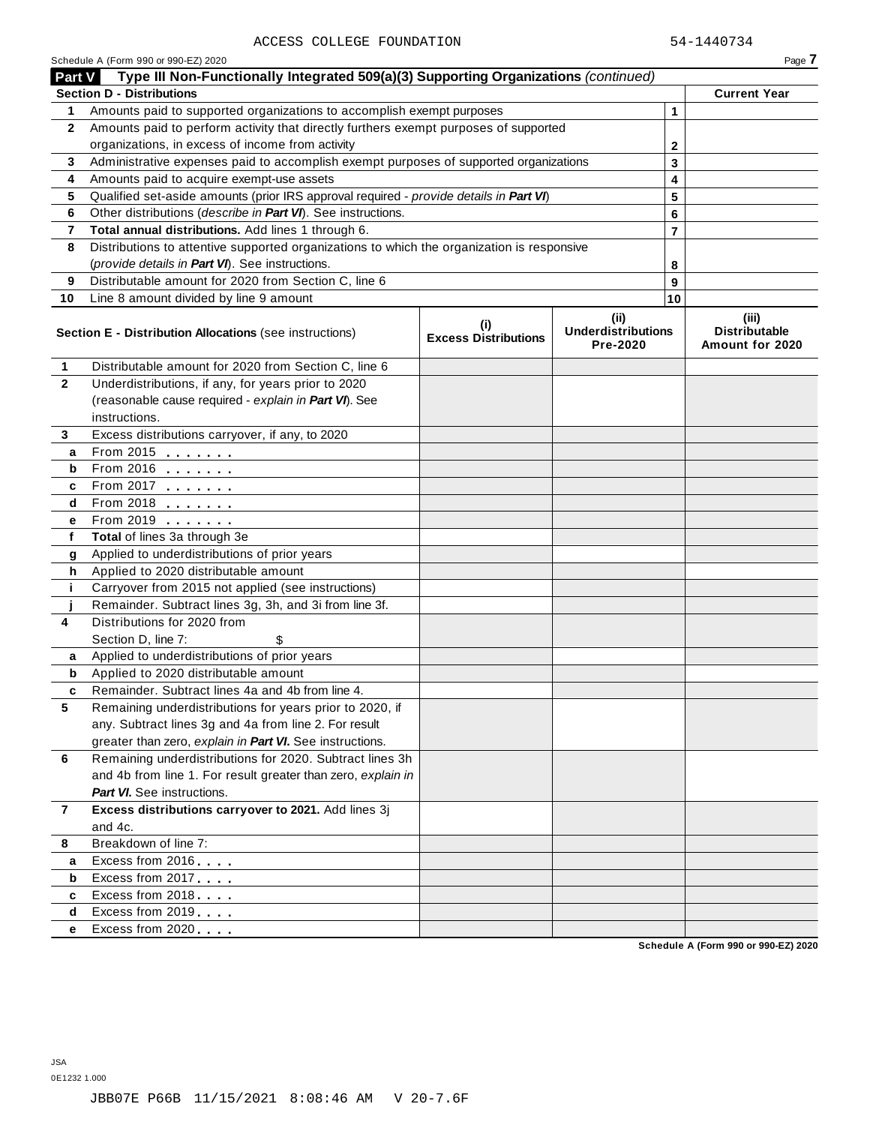|                | Schedule A (Form 990 or 990-EZ) 2020                                                          |                                    |                                               |    | Page 7                                           |  |  |
|----------------|-----------------------------------------------------------------------------------------------|------------------------------------|-----------------------------------------------|----|--------------------------------------------------|--|--|
|                | Type III Non-Functionally Integrated 509(a)(3) Supporting Organizations (continued)<br>Part V |                                    |                                               |    |                                                  |  |  |
|                | <b>Section D - Distributions</b>                                                              |                                    |                                               |    | <b>Current Year</b>                              |  |  |
| 1              | Amounts paid to supported organizations to accomplish exempt purposes                         |                                    |                                               | 1  |                                                  |  |  |
| $\mathbf{2}$   | Amounts paid to perform activity that directly furthers exempt purposes of supported          |                                    |                                               |    |                                                  |  |  |
|                | organizations, in excess of income from activity                                              |                                    | 2                                             |    |                                                  |  |  |
| 3              | Administrative expenses paid to accomplish exempt purposes of supported organizations         |                                    |                                               | 3  |                                                  |  |  |
| 4              | Amounts paid to acquire exempt-use assets                                                     |                                    |                                               | 4  |                                                  |  |  |
| 5              | Qualified set-aside amounts (prior IRS approval required - provide details in Part VI)        |                                    |                                               | 5  |                                                  |  |  |
| 6              | Other distributions (describe in Part VI). See instructions.                                  |                                    |                                               | 6  |                                                  |  |  |
| 7              | Total annual distributions. Add lines 1 through 6.                                            |                                    |                                               | 7  |                                                  |  |  |
| 8              | Distributions to attentive supported organizations to which the organization is responsive    |                                    |                                               |    |                                                  |  |  |
|                | (provide details in Part VI). See instructions.                                               |                                    |                                               | 8  |                                                  |  |  |
| 9              | Distributable amount for 2020 from Section C, line 6                                          |                                    |                                               | 9  |                                                  |  |  |
| 10             | Line 8 amount divided by line 9 amount                                                        |                                    |                                               | 10 |                                                  |  |  |
|                | <b>Section E - Distribution Allocations (see instructions)</b>                                | (i)<br><b>Excess Distributions</b> | (ii)<br><b>Underdistributions</b><br>Pre-2020 |    | (iii)<br><b>Distributable</b><br>Amount for 2020 |  |  |
| $\mathbf{1}$   | Distributable amount for 2020 from Section C, line 6                                          |                                    |                                               |    |                                                  |  |  |
| $\mathbf{2}$   | Underdistributions, if any, for years prior to 2020                                           |                                    |                                               |    |                                                  |  |  |
|                | (reasonable cause required - explain in Part VI). See                                         |                                    |                                               |    |                                                  |  |  |
|                | instructions.                                                                                 |                                    |                                               |    |                                                  |  |  |
| 3              | Excess distributions carryover, if any, to 2020                                               |                                    |                                               |    |                                                  |  |  |
| a              | From 2015 $\frac{1}{2}$                                                                       |                                    |                                               |    |                                                  |  |  |
| b              |                                                                                               |                                    |                                               |    |                                                  |  |  |
| c              | From 2017 $\frac{1}{2}$                                                                       |                                    |                                               |    |                                                  |  |  |
| d              | From 2018 $\frac{1}{2}$                                                                       |                                    |                                               |    |                                                  |  |  |
| е              | From 2019                                                                                     |                                    |                                               |    |                                                  |  |  |
| f              | Total of lines 3a through 3e                                                                  |                                    |                                               |    |                                                  |  |  |
| g              | Applied to underdistributions of prior years                                                  |                                    |                                               |    |                                                  |  |  |
| h              | Applied to 2020 distributable amount                                                          |                                    |                                               |    |                                                  |  |  |
| j.             | Carryover from 2015 not applied (see instructions)                                            |                                    |                                               |    |                                                  |  |  |
|                | Remainder. Subtract lines 3g, 3h, and 3i from line 3f.                                        |                                    |                                               |    |                                                  |  |  |
| 4              | Distributions for 2020 from                                                                   |                                    |                                               |    |                                                  |  |  |
|                | Section D, line 7:<br>Applied to underdistributions of prior years                            |                                    |                                               |    |                                                  |  |  |
| a<br>b         | Applied to 2020 distributable amount                                                          |                                    |                                               |    |                                                  |  |  |
|                | Remainder. Subtract lines 4a and 4b from line 4.                                              |                                    |                                               |    |                                                  |  |  |
| 5              | Remaining underdistributions for years prior to 2020, if                                      |                                    |                                               |    |                                                  |  |  |
|                | any. Subtract lines 3g and 4a from line 2. For result                                         |                                    |                                               |    |                                                  |  |  |
|                | greater than zero, explain in Part VI. See instructions.                                      |                                    |                                               |    |                                                  |  |  |
| 6              | Remaining underdistributions for 2020. Subtract lines 3h                                      |                                    |                                               |    |                                                  |  |  |
|                | and 4b from line 1. For result greater than zero, explain in                                  |                                    |                                               |    |                                                  |  |  |
|                | <b>Part VI.</b> See instructions.                                                             |                                    |                                               |    |                                                  |  |  |
| $\overline{7}$ | Excess distributions carryover to 2021. Add lines 3j                                          |                                    |                                               |    |                                                  |  |  |
|                | and 4c.                                                                                       |                                    |                                               |    |                                                  |  |  |
| 8              | Breakdown of line 7:                                                                          |                                    |                                               |    |                                                  |  |  |
| a              | Excess from 2016                                                                              |                                    |                                               |    |                                                  |  |  |
| b              | Excess from 2017                                                                              |                                    |                                               |    |                                                  |  |  |
| c              | Excess from 2018                                                                              |                                    |                                               |    |                                                  |  |  |
| d              | Excess from 2019                                                                              |                                    |                                               |    |                                                  |  |  |
| е              | Excess from 2020                                                                              |                                    |                                               |    |                                                  |  |  |
|                |                                                                                               |                                    |                                               |    | <b>Cohodule A (Form 000 or 000 EZ) 2020</b>      |  |  |

**Schedule A (Form 990 or 990-EZ) 2020**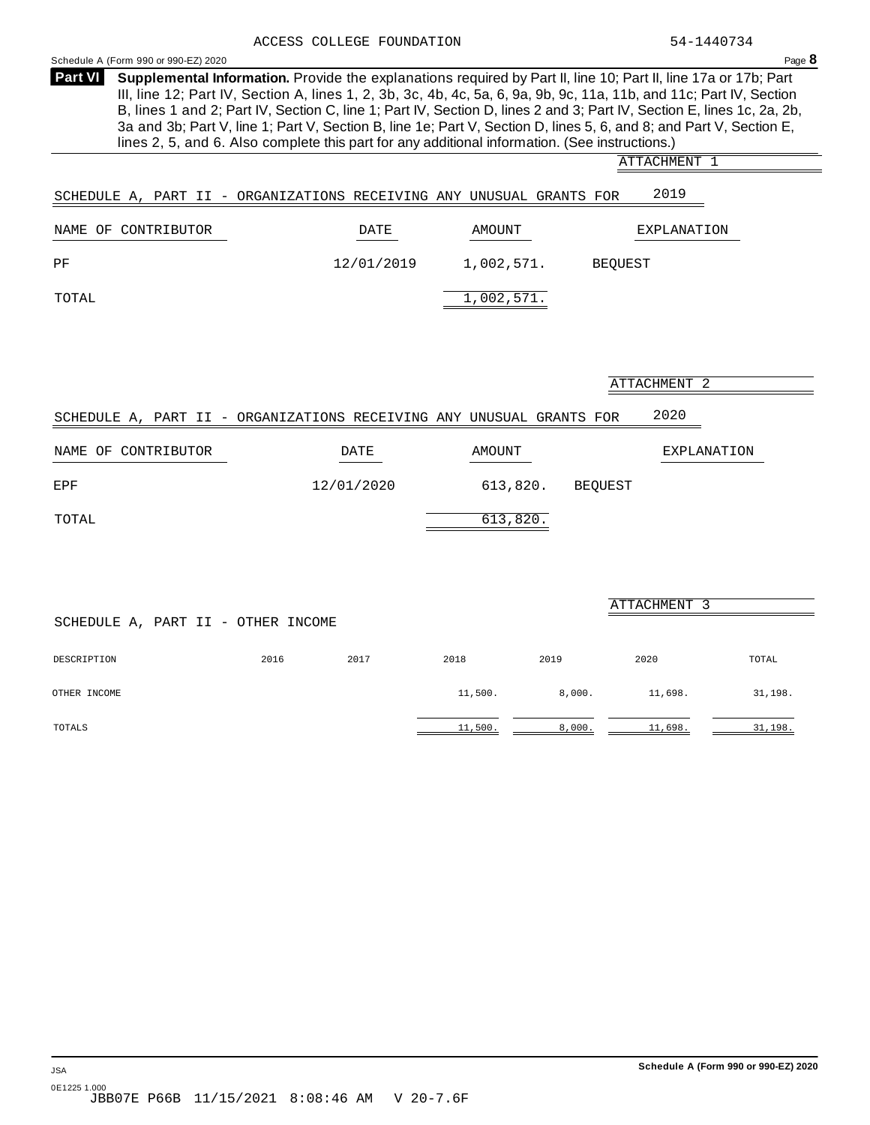<span id="page-21-0"></span>

| Schedule A (Form 990 or 990-EZ) 2020                                                                                                                                                                                                                                                                                                                                                                                                                                                                                                                                                                         |                                                                              |                |                |                | Page $8$    |  |  |  |
|--------------------------------------------------------------------------------------------------------------------------------------------------------------------------------------------------------------------------------------------------------------------------------------------------------------------------------------------------------------------------------------------------------------------------------------------------------------------------------------------------------------------------------------------------------------------------------------------------------------|------------------------------------------------------------------------------|----------------|----------------|----------------|-------------|--|--|--|
| <b>Part VI</b><br>Supplemental Information. Provide the explanations required by Part II, line 10; Part II, line 17a or 17b; Part<br>III, line 12; Part IV, Section A, lines 1, 2, 3b, 3c, 4b, 4c, 5a, 6, 9a, 9b, 9c, 11a, 11b, and 11c; Part IV, Section<br>B, lines 1 and 2; Part IV, Section C, line 1; Part IV, Section D, lines 2 and 3; Part IV, Section E, lines 1c, 2a, 2b,<br>3a and 3b; Part V, line 1; Part V, Section B, line 1e; Part V, Section D, lines 5, 6, and 8; and Part V, Section E,<br>lines 2, 5, and 6. Also complete this part for any additional information. (See instructions.) |                                                                              |                |                |                |             |  |  |  |
|                                                                                                                                                                                                                                                                                                                                                                                                                                                                                                                                                                                                              | ATTACHMENT 1                                                                 |                |                |                |             |  |  |  |
|                                                                                                                                                                                                                                                                                                                                                                                                                                                                                                                                                                                                              | 2019<br>SCHEDULE A, PART II - ORGANIZATIONS RECEIVING ANY UNUSUAL GRANTS FOR |                |                |                |             |  |  |  |
| NAME OF CONTRIBUTOR                                                                                                                                                                                                                                                                                                                                                                                                                                                                                                                                                                                          | DATE                                                                         | AMOUNT         |                | EXPLANATION    |             |  |  |  |
| ΡF                                                                                                                                                                                                                                                                                                                                                                                                                                                                                                                                                                                                           | 12/01/2019                                                                   | 1,002,571.     |                | <b>BEOUEST</b> |             |  |  |  |
| TOTAL                                                                                                                                                                                                                                                                                                                                                                                                                                                                                                                                                                                                        |                                                                              | 1,002,571.     |                |                |             |  |  |  |
|                                                                                                                                                                                                                                                                                                                                                                                                                                                                                                                                                                                                              |                                                                              |                |                |                |             |  |  |  |
|                                                                                                                                                                                                                                                                                                                                                                                                                                                                                                                                                                                                              |                                                                              |                |                | ATTACHMENT 2   |             |  |  |  |
|                                                                                                                                                                                                                                                                                                                                                                                                                                                                                                                                                                                                              | SCHEDULE A, PART II - ORGANIZATIONS RECEIVING ANY UNUSUAL GRANTS FOR         |                |                | 2020           |             |  |  |  |
| NAME OF CONTRIBUTOR                                                                                                                                                                                                                                                                                                                                                                                                                                                                                                                                                                                          | DATE                                                                         | AMOUNT         |                |                | EXPLANATION |  |  |  |
| EPF                                                                                                                                                                                                                                                                                                                                                                                                                                                                                                                                                                                                          | 12/01/2020                                                                   | 613,820.       | <b>BEQUEST</b> |                |             |  |  |  |
| TOTAL                                                                                                                                                                                                                                                                                                                                                                                                                                                                                                                                                                                                        |                                                                              | 613,820.       |                |                |             |  |  |  |
|                                                                                                                                                                                                                                                                                                                                                                                                                                                                                                                                                                                                              |                                                                              |                |                |                |             |  |  |  |
|                                                                                                                                                                                                                                                                                                                                                                                                                                                                                                                                                                                                              |                                                                              |                |                |                |             |  |  |  |
| SCHEDULE A, PART II - OTHER INCOME                                                                                                                                                                                                                                                                                                                                                                                                                                                                                                                                                                           |                                                                              |                |                | ATTACHMENT 3   |             |  |  |  |
| DESCRIPTION                                                                                                                                                                                                                                                                                                                                                                                                                                                                                                                                                                                                  | 2016<br>2017                                                                 | 2018           | 2019           | 2020           | TOTAL       |  |  |  |
| OTHER INCOME                                                                                                                                                                                                                                                                                                                                                                                                                                                                                                                                                                                                 |                                                                              | 11,500.        | 8,000.         | 11,698.        | 31,198.     |  |  |  |
| TOTALS                                                                                                                                                                                                                                                                                                                                                                                                                                                                                                                                                                                                       |                                                                              | <u>11,500.</u> | 8,000.         | 11,698.        | 31,198.     |  |  |  |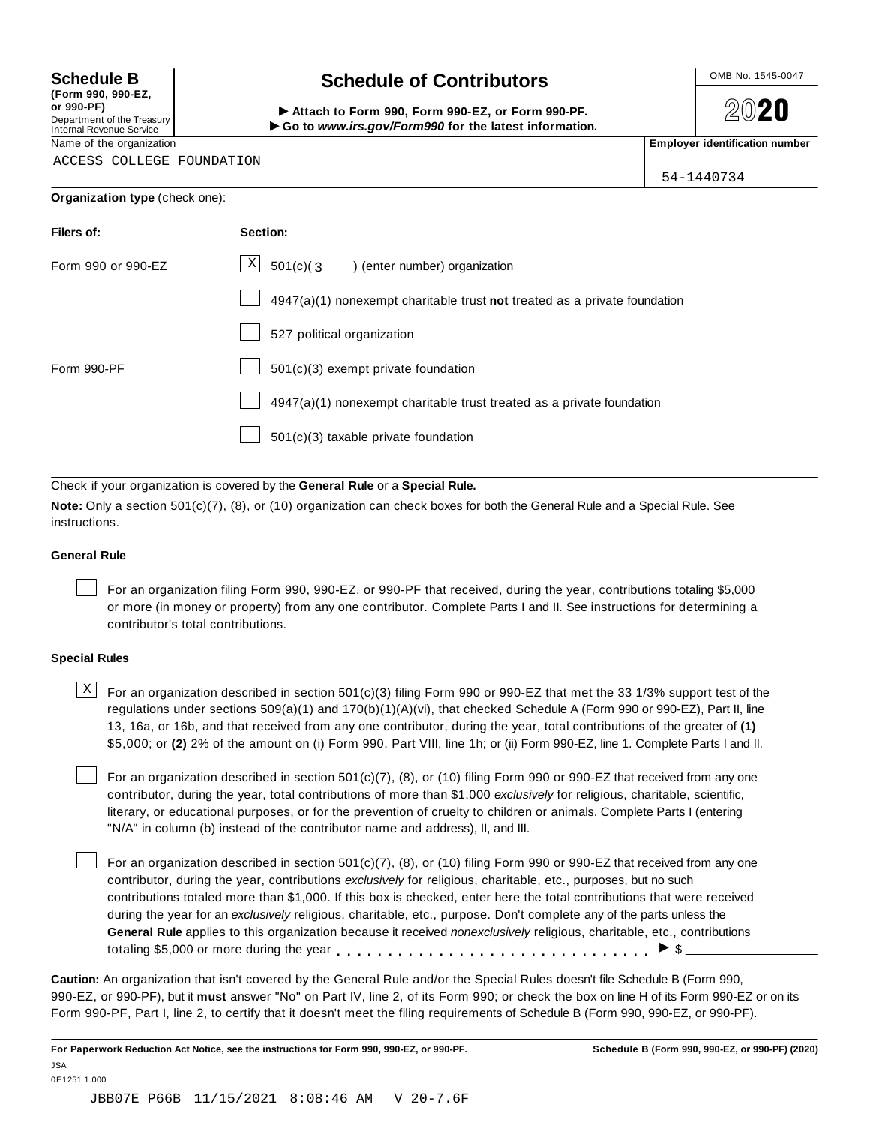**(Form 990, 990-EZ, or 990-PF)** Department of the Treasury<br>Internal Revenue Service

# **Schedule B chedule of Contributors**

(Form 990, 990-EZ,<br>
or 990-PF,<br>
Department of the Treasury **COLOCY**<br>
Internal Revenue Service **COLOCY**<br>
Name of the organization<br>
Name of the organization

**2020** 

54-1440734

ACCESS COLLEGE FOUNDATION

|  | Organization type (check one): |
|--|--------------------------------|
|--|--------------------------------|

| Filers of:         | Section:                                                                    |
|--------------------|-----------------------------------------------------------------------------|
| Form 990 or 990-EZ | $\mathbf{X}$<br>$501(c)$ (3<br>) (enter number) organization                |
|                    | $4947(a)(1)$ nonexempt charitable trust not treated as a private foundation |
|                    | 527 political organization                                                  |
| Form 990-PF        | 501(c)(3) exempt private foundation                                         |
|                    | 4947(a)(1) nonexempt charitable trust treated as a private foundation       |
|                    | $501(c)(3)$ taxable private foundation                                      |

Check if your organization is covered by the **General Rule** or a **Special Rule.**

**Note:** Only a section 501(c)(7), (8), or (10) organization can check boxes for both the General Rule and a Special Rule. See instructions.

# **General Rule**

For an organization filing Form 990, 990-EZ, or 990-PF that received, during the year, contributions totaling \$5,000 or more (in money or property) from any one contributor. Complete Parts I and II. See instructions for determining a contributor's total contributions.

# **Special Rules**

 $\text{X}$  For an organization described in section 501(c)(3) filing Form 990 or 990-EZ that met the 33 1/3% support test of the regulations under sections 509(a)(1) and 170(b)(1)(A)(vi), that checked Schedule A (Form 990 or 990-EZ), Part II, line 13, 16a, or 16b, and that received from any one contributor, during the year, total contributions of the greater of **(1)** \$5,000; or **(2)** 2% of the amount on (i) Form 990, Part VIII, line 1h; or (ii) Form 990-EZ, line 1. Complete Parts I and II.

For an organization described in section 501(c)(7), (8), or (10) filing Form 990 or 990-EZ that received from any one contributor, during the year, total contributions of more than \$1,000 *exclusively* for religious, charitable, scientific, literary, or educational purposes, or for the prevention of cruelty to children or animals. Complete Parts I (entering "N/A" in column (b) instead of the contributor name and address), II, and III.

For an organization described in section 501(c)(7), (8), or (10) filing Form 990 or 990-EZ that received from any one contributor, during the year, contributions *exclusively* for religious, charitable, etc., purposes, but no such contributions totaled more than \$1,000. If this box is checked, enter here the total contributions that were received during the year for an *exclusively* religious, charitable, etc., purpose. Don't complete any of the parts unless the **General Rule** applies to this organization because it received *nonexclusively* religious, charitable, etc., contributions totaling \$5,000 or more during the year  $\ldots \ldots \ldots \ldots \ldots \ldots \ldots \ldots \ldots \vdots$ 

**Caution:** An organization that isn't covered by the General Rule and/or the Special Rules doesn't file Schedule B (Form 990, 990-EZ, or 990-PF), but it **must** answer "No" on Part IV, line 2, of its Form 990; or check the box on line H of its Form 990-EZ or on its Form 990-PF, Part I, line 2, to certify that it doesn't meet the filing requirements of Schedule B (Form 990, 990-EZ, or 990-PF).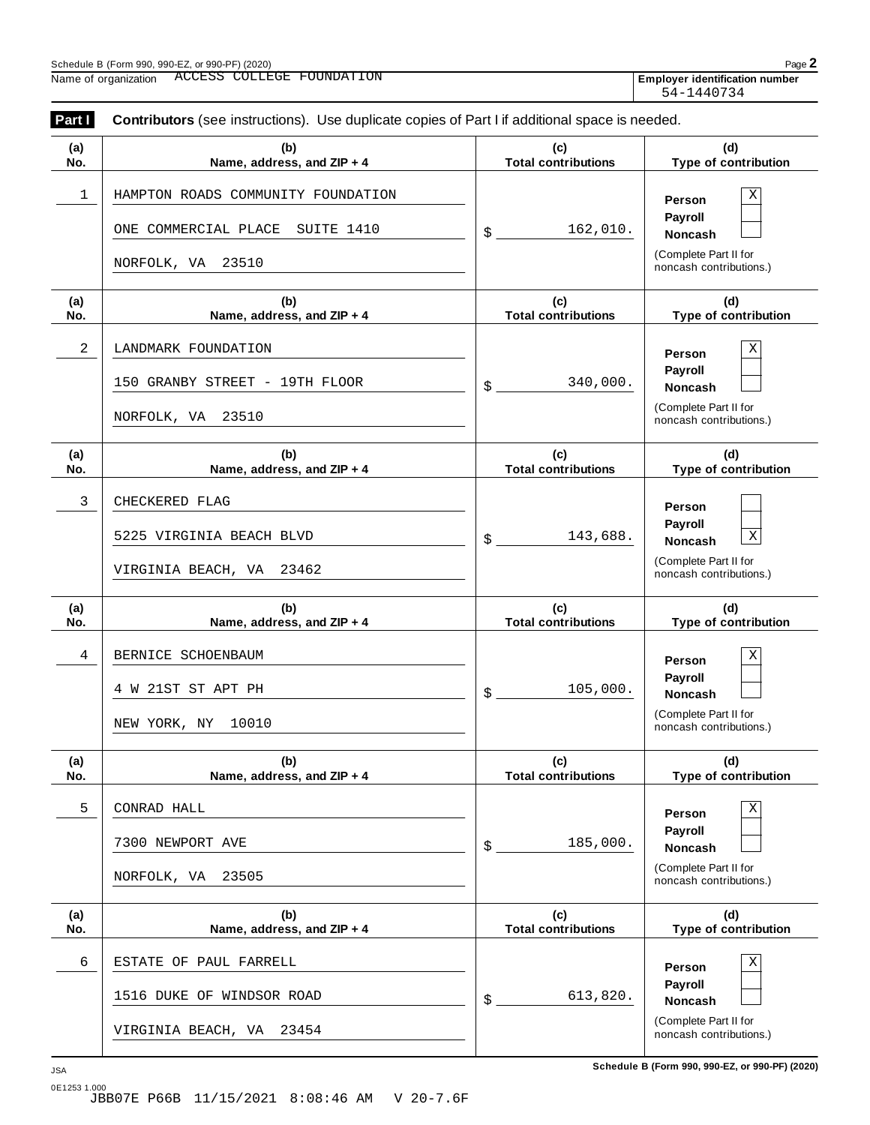**(a)**

**Part <b>I** Contributors (see instructions). Use duplicate copies of Part I if additional space is needed.

**(b)**

| No.        | Name, address, and ZIP + 4                                               | <b>Total contributions</b>        | <b>Type of contribution</b>                      |
|------------|--------------------------------------------------------------------------|-----------------------------------|--------------------------------------------------|
| 1          | HAMPTON ROADS COMMUNITY FOUNDATION<br>ONE COMMERCIAL PLACE<br>SUITE 1410 | 162,010.<br>\$                    | X<br>Person<br><b>Payroll</b><br><b>Noncash</b>  |
|            | 23510<br>NORFOLK, VA                                                     |                                   | (Complete Part II for<br>noncash contributions.) |
| (a)<br>No. | (b)<br>Name, address, and ZIP + 4                                        | (c)<br><b>Total contributions</b> | (d)<br>Type of contribution                      |
| 2          | LANDMARK FOUNDATION                                                      |                                   | X<br>Person                                      |
|            | 150 GRANBY STREET - 19TH FLOOR                                           | 340,000.<br>\$                    | <b>Payroll</b><br>Noncash                        |
|            | 23510<br>NORFOLK, VA                                                     |                                   | (Complete Part II for<br>noncash contributions.) |
| (a)<br>No. | (b)<br>Name, address, and ZIP + 4                                        | (c)<br><b>Total contributions</b> | (d)<br>Type of contribution                      |
| 3          | CHECKERED FLAG                                                           |                                   | Person                                           |
|            | 5225 VIRGINIA BEACH BLVD                                                 | 143,688.<br>\$                    | <b>Payroll</b><br>$\mathbf X$<br><b>Noncash</b>  |
|            | VIRGINIA BEACH, VA<br>23462                                              |                                   | (Complete Part II for<br>noncash contributions.) |
|            |                                                                          |                                   |                                                  |
| (a)<br>No. | (b)<br>Name, address, and ZIP + 4                                        | (c)<br><b>Total contributions</b> | (d)<br>Type of contribution                      |
| 4          | BERNICE SCHOENBAUM                                                       |                                   | X<br>Person                                      |
|            | 4 W 21ST ST APT PH                                                       | 105,000.<br>\$                    | Payroll<br><b>Noncash</b>                        |
|            | 10010<br>NEW YORK, NY                                                    |                                   | (Complete Part II for<br>noncash contributions.) |
| (a)<br>No. | (b)<br>Name, address, and ZIP + 4                                        | (c)<br><b>Total contributions</b> | (d)<br>Type of contribution                      |
| 5          | CONRAD HALL                                                              |                                   | Χ<br>Person                                      |
|            | 7300 NEWPORT AVE                                                         | 185,000.<br>\$                    | Payroll<br>Noncash                               |
|            | 23505<br>NORFOLK, VA                                                     |                                   | (Complete Part II for<br>noncash contributions.) |
| (a)<br>No. | (b)<br>Name, address, and ZIP + 4                                        | (c)<br><b>Total contributions</b> | (d)<br>Type of contribution                      |
| 6          | ESTATE OF PAUL FARRELL                                                   |                                   | Χ<br>Person                                      |
|            | 1516 DUKE OF WINDSOR ROAD                                                | 613,820.<br>\$                    | Payroll<br><b>Noncash</b>                        |

54-1440734

**(d)**

**(c)**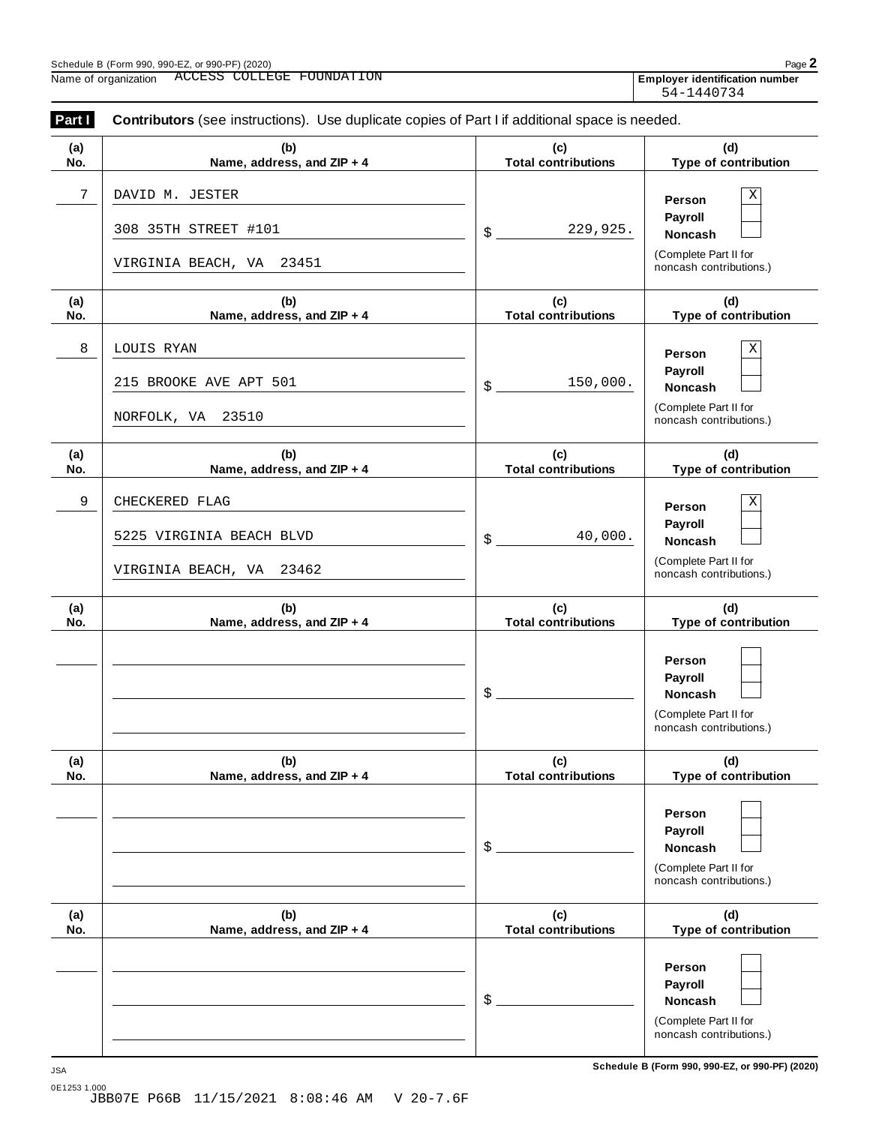**(b) Name, address, and ZIP + 4**

**(a) No.**

**(a) No.**

**(a) No.**

**(a) No.**

**(a) No.**

**(a) No.**

noncash contributions.)

**Part I** Contributors (see instructions). Use duplicate copies of Part I if additional space is needed. **(c) Total contributions (d) Type of contribution** 54-1440734

| 7 | DAVID M. JESTER                                                        |                                   | $\overline{\textbf{X}}$<br>Person<br>Payroll                                                                  |
|---|------------------------------------------------------------------------|-----------------------------------|---------------------------------------------------------------------------------------------------------------|
|   | 308 35TH STREET #101<br>VIRGINIA BEACH, VA 23451                       | 229,925.<br>$\frac{1}{2}$         | Noncash<br>(Complete Part II for<br>noncash contributions.)                                                   |
|   | (b)<br>Name, address, and ZIP + 4                                      | (c)<br><b>Total contributions</b> | (d)<br>Type of contribution                                                                                   |
| 8 | LOUIS RYAN<br>215 BROOKE AVE APT 501                                   | 150,000.<br>$\frac{1}{2}$         | Χ<br><b>Person</b><br>Payroll<br>Noncash                                                                      |
|   | NORFOLK, VA 23510                                                      |                                   | (Complete Part II for<br>noncash contributions.)                                                              |
|   | (b)<br>Name, address, and ZIP + 4                                      | (c)<br><b>Total contributions</b> | (d)<br>Type of contribution                                                                                   |
| 9 | CHECKERED FLAG<br>5225 VIRGINIA BEACH BLVD<br>VIRGINIA BEACH, VA 23462 | 40,000.<br>$\frac{1}{2}$          | $\mathbf X$<br><b>Person</b><br>Payroll<br><b>Noncash</b><br>(Complete Part II for<br>noncash contributions.) |
|   | (b)<br>Name, address, and ZIP + 4                                      | (c)<br><b>Total contributions</b> | (d)<br>Type of contribution                                                                                   |
|   |                                                                        | $\frac{1}{2}$                     | <b>Person</b><br>Payroll<br><b>Noncash</b><br>(Complete Part II for<br>noncash contributions.)                |
|   | (b)<br>Name, address, and ZIP + 4                                      | (c)<br><b>Total contributions</b> | (d)<br>Type of contribution                                                                                   |
|   |                                                                        | \$                                | Person<br>Payroll<br>Noncash<br>(Complete Part II for<br>noncash contributions.)                              |
|   | (b)<br>Name, address, and ZIP + 4                                      | (c)<br><b>Total contributions</b> | (d)<br>Type of contribution                                                                                   |
|   |                                                                        | \$                                | Person<br>Payroll<br>Noncash<br>(Complete Part II for                                                         |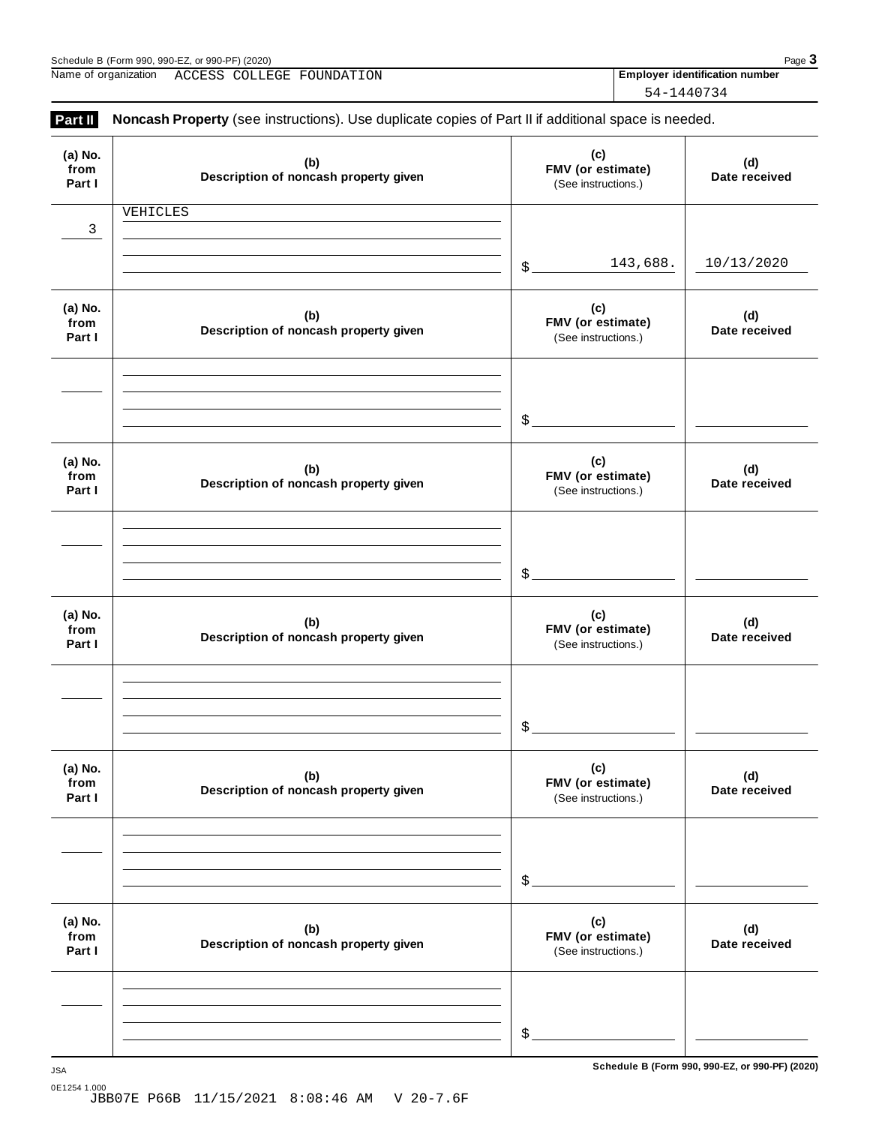| Page<br>Schedule B (Form 990, 990-EZ, or 990-PF) (2020)<br>Emplover identification number<br>Name of<br>FOUNDATION<br>LEGE<br>$\cap$ $\cap$ $\Gamma$<br>ACCESS<br>r organization<br>∕ UI |  |  |  |  |
|------------------------------------------------------------------------------------------------------------------------------------------------------------------------------------------|--|--|--|--|
|                                                                                                                                                                                          |  |  |  |  |

54-1440734

| (a) No.<br>from<br>Part I | (b)<br>Description of noncash property given | (c)<br>FMV (or estimate)<br>(See instructions.) | (d)<br>Date received |
|---------------------------|----------------------------------------------|-------------------------------------------------|----------------------|
| 3                         | VEHICLES                                     |                                                 |                      |
|                           |                                              | 143,688.<br>$\mathcal{L}_{-}$                   | 10/13/2020           |
| (a) No.<br>from<br>Part I | (b)<br>Description of noncash property given | (c)<br>FMV (or estimate)<br>(See instructions.) | (d)<br>Date received |
|                           |                                              | $\mathcal{L}_{-}$                               |                      |
| (a) No.<br>from<br>Part I | (b)<br>Description of noncash property given | (c)<br>FMV (or estimate)<br>(See instructions.) | (d)<br>Date received |
|                           |                                              | $\mathcal{L}_{-}$                               |                      |
| (a) No.<br>from<br>Part I | (b)<br>Description of noncash property given | (c)<br>FMV (or estimate)<br>(See instructions.) | (d)<br>Date received |
|                           |                                              | \$                                              |                      |
| (a) No.<br>from<br>Part I | (b)<br>Description of noncash property given | (c)<br>FMV (or estimate)<br>(See instructions.) | (d)<br>Date received |
|                           |                                              | \$                                              |                      |
| (a) No.<br>from<br>Part I | (b)<br>Description of noncash property given | (c)<br>FMV (or estimate)<br>(See instructions.) | (d)<br>Date received |
|                           |                                              |                                                 |                      |

**Schedule B (Form 990, 990-EZ, or 990-PF) (2020)** JSA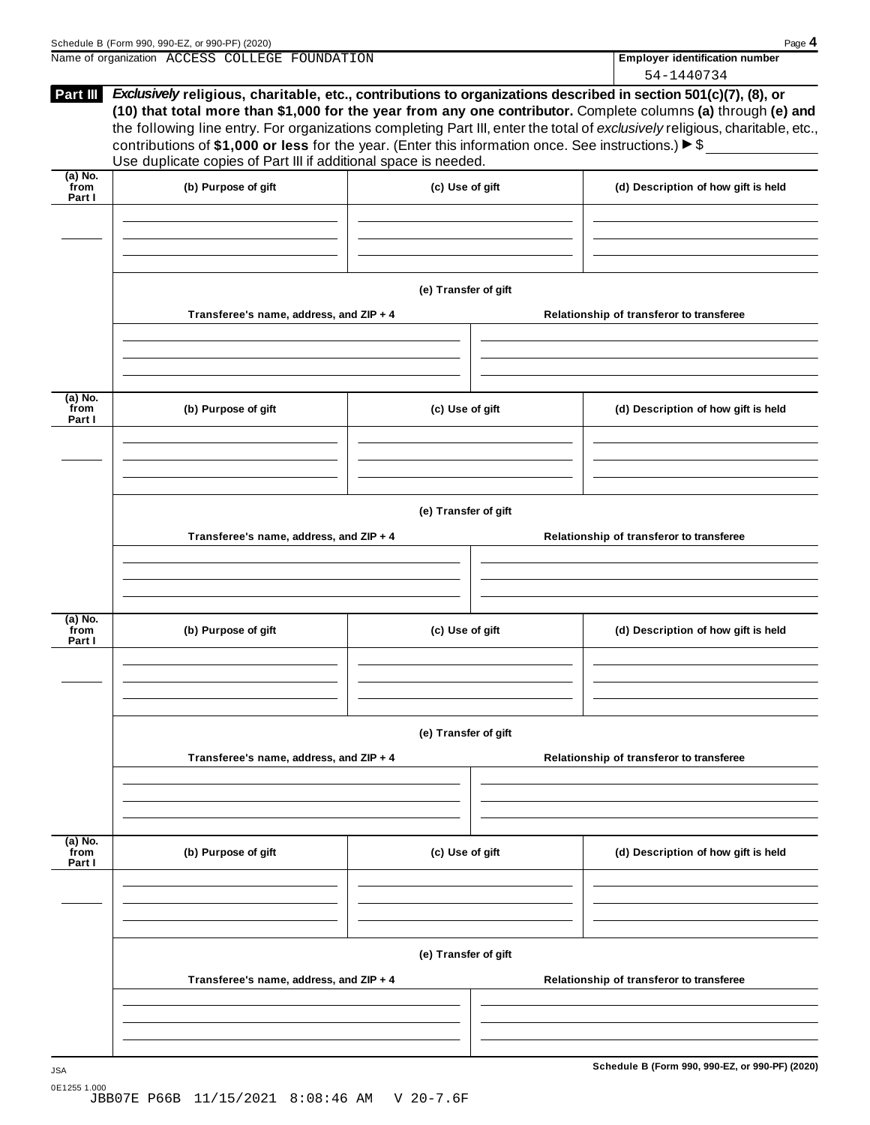| <b>Employer identification number</b><br>Name of organization ACCESS COLLEGE FOUNDATION<br>54-1440734<br>Exclusively religious, charitable, etc., contributions to organizations described in section 501(c)(7), (8), or<br>Part III<br>(10) that total more than \$1,000 for the year from any one contributor. Complete columns (a) through (e) and<br>the following line entry. For organizations completing Part III, enter the total of exclusively religious, charitable, etc.,<br>contributions of \$1,000 or less for the year. (Enter this information once. See instructions.) $\triangleright$ \$<br>Use duplicate copies of Part III if additional space is needed.<br>$(a)$ No.<br>from<br>(b) Purpose of gift<br>(d) Description of how gift is held<br>(c) Use of gift<br>Part I<br>(e) Transfer of gift<br>Transferee's name, address, and ZIP + 4<br>Relationship of transferor to transferee<br>$(a)$ No.<br>from<br>(b) Purpose of gift<br>(c) Use of gift<br>(d) Description of how gift is held<br>Part I<br>(e) Transfer of gift<br>Transferee's name, address, and ZIP + 4<br>Relationship of transferor to transferee<br>(a) No.<br>from<br>(b) Purpose of gift<br>(c) Use of gift<br>(d) Description of how gift is held<br>Part I<br>(e) Transfer of gift<br>Transferee's name, address, and ZIP + 4<br>Relationship of transferor to transferee<br>$(a)$ No.<br>from<br>(c) Use of gift<br>(b) Purpose of gift<br>(d) Description of how gift is held<br>Part I<br>(e) Transfer of gift<br>Transferee's name, address, and ZIP + 4<br>Relationship of transferor to transferee | Schedule B (Form 990, 990-EZ, or 990-PF) (2020) |  |  | Page 4 |  |  |  |  |
|-----------------------------------------------------------------------------------------------------------------------------------------------------------------------------------------------------------------------------------------------------------------------------------------------------------------------------------------------------------------------------------------------------------------------------------------------------------------------------------------------------------------------------------------------------------------------------------------------------------------------------------------------------------------------------------------------------------------------------------------------------------------------------------------------------------------------------------------------------------------------------------------------------------------------------------------------------------------------------------------------------------------------------------------------------------------------------------------------------------------------------------------------------------------------------------------------------------------------------------------------------------------------------------------------------------------------------------------------------------------------------------------------------------------------------------------------------------------------------------------------------------------------------------------------------------------------------------------------------------|-------------------------------------------------|--|--|--------|--|--|--|--|
|                                                                                                                                                                                                                                                                                                                                                                                                                                                                                                                                                                                                                                                                                                                                                                                                                                                                                                                                                                                                                                                                                                                                                                                                                                                                                                                                                                                                                                                                                                                                                                                                           |                                                 |  |  |        |  |  |  |  |
|                                                                                                                                                                                                                                                                                                                                                                                                                                                                                                                                                                                                                                                                                                                                                                                                                                                                                                                                                                                                                                                                                                                                                                                                                                                                                                                                                                                                                                                                                                                                                                                                           |                                                 |  |  |        |  |  |  |  |
|                                                                                                                                                                                                                                                                                                                                                                                                                                                                                                                                                                                                                                                                                                                                                                                                                                                                                                                                                                                                                                                                                                                                                                                                                                                                                                                                                                                                                                                                                                                                                                                                           |                                                 |  |  |        |  |  |  |  |
|                                                                                                                                                                                                                                                                                                                                                                                                                                                                                                                                                                                                                                                                                                                                                                                                                                                                                                                                                                                                                                                                                                                                                                                                                                                                                                                                                                                                                                                                                                                                                                                                           |                                                 |  |  |        |  |  |  |  |
|                                                                                                                                                                                                                                                                                                                                                                                                                                                                                                                                                                                                                                                                                                                                                                                                                                                                                                                                                                                                                                                                                                                                                                                                                                                                                                                                                                                                                                                                                                                                                                                                           |                                                 |  |  |        |  |  |  |  |
|                                                                                                                                                                                                                                                                                                                                                                                                                                                                                                                                                                                                                                                                                                                                                                                                                                                                                                                                                                                                                                                                                                                                                                                                                                                                                                                                                                                                                                                                                                                                                                                                           |                                                 |  |  |        |  |  |  |  |
|                                                                                                                                                                                                                                                                                                                                                                                                                                                                                                                                                                                                                                                                                                                                                                                                                                                                                                                                                                                                                                                                                                                                                                                                                                                                                                                                                                                                                                                                                                                                                                                                           |                                                 |  |  |        |  |  |  |  |
|                                                                                                                                                                                                                                                                                                                                                                                                                                                                                                                                                                                                                                                                                                                                                                                                                                                                                                                                                                                                                                                                                                                                                                                                                                                                                                                                                                                                                                                                                                                                                                                                           |                                                 |  |  |        |  |  |  |  |
|                                                                                                                                                                                                                                                                                                                                                                                                                                                                                                                                                                                                                                                                                                                                                                                                                                                                                                                                                                                                                                                                                                                                                                                                                                                                                                                                                                                                                                                                                                                                                                                                           |                                                 |  |  |        |  |  |  |  |
|                                                                                                                                                                                                                                                                                                                                                                                                                                                                                                                                                                                                                                                                                                                                                                                                                                                                                                                                                                                                                                                                                                                                                                                                                                                                                                                                                                                                                                                                                                                                                                                                           |                                                 |  |  |        |  |  |  |  |
|                                                                                                                                                                                                                                                                                                                                                                                                                                                                                                                                                                                                                                                                                                                                                                                                                                                                                                                                                                                                                                                                                                                                                                                                                                                                                                                                                                                                                                                                                                                                                                                                           |                                                 |  |  |        |  |  |  |  |
|                                                                                                                                                                                                                                                                                                                                                                                                                                                                                                                                                                                                                                                                                                                                                                                                                                                                                                                                                                                                                                                                                                                                                                                                                                                                                                                                                                                                                                                                                                                                                                                                           |                                                 |  |  |        |  |  |  |  |
|                                                                                                                                                                                                                                                                                                                                                                                                                                                                                                                                                                                                                                                                                                                                                                                                                                                                                                                                                                                                                                                                                                                                                                                                                                                                                                                                                                                                                                                                                                                                                                                                           |                                                 |  |  |        |  |  |  |  |
|                                                                                                                                                                                                                                                                                                                                                                                                                                                                                                                                                                                                                                                                                                                                                                                                                                                                                                                                                                                                                                                                                                                                                                                                                                                                                                                                                                                                                                                                                                                                                                                                           |                                                 |  |  |        |  |  |  |  |
|                                                                                                                                                                                                                                                                                                                                                                                                                                                                                                                                                                                                                                                                                                                                                                                                                                                                                                                                                                                                                                                                                                                                                                                                                                                                                                                                                                                                                                                                                                                                                                                                           |                                                 |  |  |        |  |  |  |  |
|                                                                                                                                                                                                                                                                                                                                                                                                                                                                                                                                                                                                                                                                                                                                                                                                                                                                                                                                                                                                                                                                                                                                                                                                                                                                                                                                                                                                                                                                                                                                                                                                           |                                                 |  |  |        |  |  |  |  |
|                                                                                                                                                                                                                                                                                                                                                                                                                                                                                                                                                                                                                                                                                                                                                                                                                                                                                                                                                                                                                                                                                                                                                                                                                                                                                                                                                                                                                                                                                                                                                                                                           |                                                 |  |  |        |  |  |  |  |
|                                                                                                                                                                                                                                                                                                                                                                                                                                                                                                                                                                                                                                                                                                                                                                                                                                                                                                                                                                                                                                                                                                                                                                                                                                                                                                                                                                                                                                                                                                                                                                                                           |                                                 |  |  |        |  |  |  |  |
|                                                                                                                                                                                                                                                                                                                                                                                                                                                                                                                                                                                                                                                                                                                                                                                                                                                                                                                                                                                                                                                                                                                                                                                                                                                                                                                                                                                                                                                                                                                                                                                                           |                                                 |  |  |        |  |  |  |  |
|                                                                                                                                                                                                                                                                                                                                                                                                                                                                                                                                                                                                                                                                                                                                                                                                                                                                                                                                                                                                                                                                                                                                                                                                                                                                                                                                                                                                                                                                                                                                                                                                           |                                                 |  |  |        |  |  |  |  |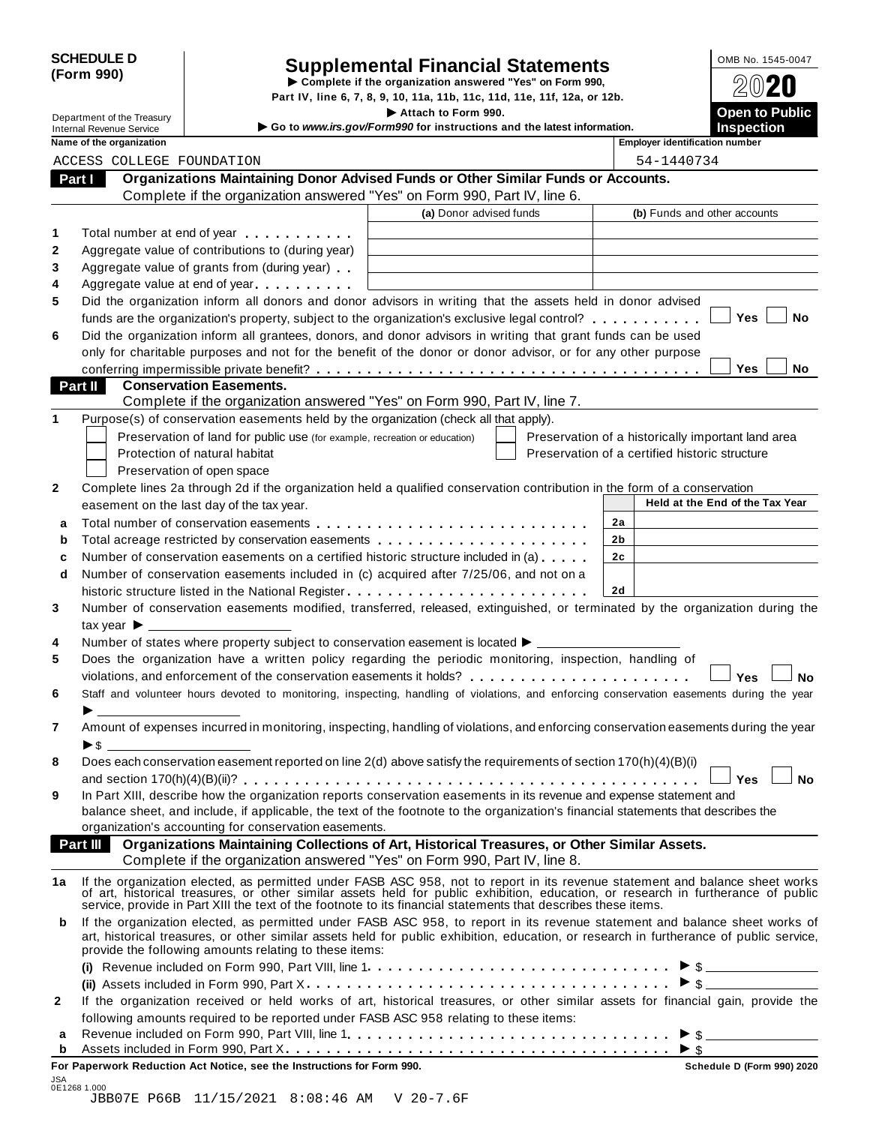|            | <b>SCHEDULE D</b> |
|------------|-------------------|
| (Form 990) |                   |

# SCHEDULE D<br>
Supplemental Financial Statements<br>
Form 990)<br>
Part IV, line 6, 7, 8, 9, 10, 11a, 11b, 11c, 11d, 11e, 11f, 12a, or 12b.<br>
Part IV, line 6, 7, 8, 9, 10, 11a, 11b, 11c, 11d, 11e, 11f, 12a, or 12b.

|    |                                                               |                                                                                                                                                                                                                                                                                                                                                  | Part IV, line 6, 7, 8, 9, 10, 11a, 11b, 11c, 11d, 11e, 11f, 12a, or 12b.                      |    |                                                    |           |
|----|---------------------------------------------------------------|--------------------------------------------------------------------------------------------------------------------------------------------------------------------------------------------------------------------------------------------------------------------------------------------------------------------------------------------------|-----------------------------------------------------------------------------------------------|----|----------------------------------------------------|-----------|
|    | Department of the Treasury<br><b>Internal Revenue Service</b> |                                                                                                                                                                                                                                                                                                                                                  | Attach to Form 990.<br>Go to www.irs.gov/Form990 for instructions and the latest information. |    | <b>Open to Public</b><br><b>Inspection</b>         |           |
|    | Name of the organization                                      |                                                                                                                                                                                                                                                                                                                                                  |                                                                                               |    | <b>Employer identification number</b>              |           |
|    | ACCESS COLLEGE FOUNDATION                                     |                                                                                                                                                                                                                                                                                                                                                  |                                                                                               |    | 54-1440734                                         |           |
|    | Part I                                                        | Organizations Maintaining Donor Advised Funds or Other Similar Funds or Accounts.                                                                                                                                                                                                                                                                |                                                                                               |    |                                                    |           |
|    |                                                               | Complete if the organization answered "Yes" on Form 990, Part IV, line 6.                                                                                                                                                                                                                                                                        |                                                                                               |    |                                                    |           |
|    |                                                               |                                                                                                                                                                                                                                                                                                                                                  | (a) Donor advised funds                                                                       |    | (b) Funds and other accounts                       |           |
| 1  |                                                               | Total number at end of year <b>that the state of the state of the state of the state of the state of the state of the state of the state of the state of the state of the state of the state of the state of the state of the st</b>                                                                                                             |                                                                                               |    |                                                    |           |
| 2  |                                                               | Aggregate value of contributions to (during year)                                                                                                                                                                                                                                                                                                |                                                                                               |    |                                                    |           |
| 3  |                                                               | Aggregate value of grants from (during year)                                                                                                                                                                                                                                                                                                     |                                                                                               |    |                                                    |           |
| 4  |                                                               | Aggregate value at end of year                                                                                                                                                                                                                                                                                                                   |                                                                                               |    |                                                    |           |
| 5  |                                                               | Did the organization inform all donors and donor advisors in writing that the assets held in donor advised                                                                                                                                                                                                                                       |                                                                                               |    |                                                    |           |
|    |                                                               | funds are the organization's property, subject to the organization's exclusive legal control?                                                                                                                                                                                                                                                    |                                                                                               |    | Yes                                                | No        |
| 6  |                                                               | Did the organization inform all grantees, donors, and donor advisors in writing that grant funds can be used                                                                                                                                                                                                                                     |                                                                                               |    |                                                    |           |
|    |                                                               | only for charitable purposes and not for the benefit of the donor or donor advisor, or for any other purpose                                                                                                                                                                                                                                     |                                                                                               |    |                                                    |           |
|    |                                                               |                                                                                                                                                                                                                                                                                                                                                  |                                                                                               |    | Yes                                                | No        |
|    | Part II                                                       | <b>Conservation Easements.</b>                                                                                                                                                                                                                                                                                                                   |                                                                                               |    |                                                    |           |
|    |                                                               | Complete if the organization answered "Yes" on Form 990, Part IV, line 7.                                                                                                                                                                                                                                                                        |                                                                                               |    |                                                    |           |
| 1  |                                                               | Purpose(s) of conservation easements held by the organization (check all that apply).                                                                                                                                                                                                                                                            |                                                                                               |    |                                                    |           |
|    |                                                               | Preservation of land for public use (for example, recreation or education)                                                                                                                                                                                                                                                                       |                                                                                               |    | Preservation of a historically important land area |           |
|    |                                                               | Protection of natural habitat                                                                                                                                                                                                                                                                                                                    |                                                                                               |    | Preservation of a certified historic structure     |           |
|    |                                                               | Preservation of open space                                                                                                                                                                                                                                                                                                                       |                                                                                               |    |                                                    |           |
| 2  |                                                               | Complete lines 2a through 2d if the organization held a qualified conservation contribution in the form of a conservation                                                                                                                                                                                                                        |                                                                                               |    | Held at the End of the Tax Year                    |           |
|    |                                                               | easement on the last day of the tax year.                                                                                                                                                                                                                                                                                                        |                                                                                               |    |                                                    |           |
| a  |                                                               |                                                                                                                                                                                                                                                                                                                                                  |                                                                                               | 2a |                                                    |           |
| b  |                                                               | Total acreage restricted by conservation easements                                                                                                                                                                                                                                                                                               |                                                                                               | 2b |                                                    |           |
| c  |                                                               | Number of conservation easements on a certified historic structure included in (a)                                                                                                                                                                                                                                                               |                                                                                               | 2c |                                                    |           |
| d  |                                                               | Number of conservation easements included in (c) acquired after 7/25/06, and not on a                                                                                                                                                                                                                                                            |                                                                                               |    |                                                    |           |
|    |                                                               | Number of conservation easements modified, transferred, released, extinguished, or terminated by the organization during the                                                                                                                                                                                                                     |                                                                                               | 2d |                                                    |           |
| 3  | tax year $\blacktriangleright$ $\perp$                        |                                                                                                                                                                                                                                                                                                                                                  |                                                                                               |    |                                                    |           |
| 4  |                                                               | Number of states where property subject to conservation easement is located ▶ _________                                                                                                                                                                                                                                                          |                                                                                               |    |                                                    |           |
| 5  |                                                               | Does the organization have a written policy regarding the periodic monitoring, inspection, handling of                                                                                                                                                                                                                                           |                                                                                               |    |                                                    |           |
|    |                                                               | violations, and enforcement of the conservation easements it holds?                                                                                                                                                                                                                                                                              |                                                                                               |    | Yes                                                | No        |
| 6  |                                                               | Staff and volunteer hours devoted to monitoring, inspecting, handling of violations, and enforcing conservation easements during the year                                                                                                                                                                                                        |                                                                                               |    |                                                    |           |
|    |                                                               |                                                                                                                                                                                                                                                                                                                                                  |                                                                                               |    |                                                    |           |
| 7  |                                                               | Amount of expenses incurred in monitoring, inspecting, handling of violations, and enforcing conservation easements during the year                                                                                                                                                                                                              |                                                                                               |    |                                                    |           |
|    |                                                               |                                                                                                                                                                                                                                                                                                                                                  |                                                                                               |    |                                                    |           |
| 8  |                                                               | Does each conservation easement reported on line 2(d) above satisfy the requirements of section 170(h)(4)(B)(i)                                                                                                                                                                                                                                  |                                                                                               |    |                                                    |           |
|    |                                                               |                                                                                                                                                                                                                                                                                                                                                  |                                                                                               |    | Yes                                                | <b>No</b> |
| 9  |                                                               | In Part XIII, describe how the organization reports conservation easements in its revenue and expense statement and                                                                                                                                                                                                                              |                                                                                               |    |                                                    |           |
|    |                                                               | balance sheet, and include, if applicable, the text of the footnote to the organization's financial statements that describes the                                                                                                                                                                                                                |                                                                                               |    |                                                    |           |
|    |                                                               | organization's accounting for conservation easements.                                                                                                                                                                                                                                                                                            |                                                                                               |    |                                                    |           |
|    | Part III                                                      | Organizations Maintaining Collections of Art, Historical Treasures, or Other Similar Assets.                                                                                                                                                                                                                                                     |                                                                                               |    |                                                    |           |
|    |                                                               | Complete if the organization answered "Yes" on Form 990, Part IV, line 8.                                                                                                                                                                                                                                                                        |                                                                                               |    |                                                    |           |
| 1a |                                                               | If the organization elected, as permitted under FASB ASC 958, not to report in its revenue statement and balance sheet works of art, historical treasures, or other similar assets held for public exhibition, education, or r<br>service, provide in Part XIII the text of the footnote to its financial statements that describes these items. |                                                                                               |    |                                                    |           |
| b  |                                                               | If the organization elected, as permitted under FASB ASC 958, to report in its revenue statement and balance sheet works of<br>art, historical treasures, or other similar assets held for public exhibition, education, or research in furtherance of public service,<br>provide the following amounts relating to these items:                 |                                                                                               |    |                                                    |           |
|    |                                                               |                                                                                                                                                                                                                                                                                                                                                  |                                                                                               |    |                                                    |           |
|    |                                                               |                                                                                                                                                                                                                                                                                                                                                  |                                                                                               |    | $\triangleright$ \$                                |           |
| 2  |                                                               | If the organization received or held works of art, historical treasures, or other similar assets for financial gain, provide the                                                                                                                                                                                                                 |                                                                                               |    |                                                    |           |
|    |                                                               | following amounts required to be reported under FASB ASC 958 relating to these items:                                                                                                                                                                                                                                                            |                                                                                               |    |                                                    |           |
| а  |                                                               |                                                                                                                                                                                                                                                                                                                                                  |                                                                                               |    |                                                    |           |
| b  |                                                               |                                                                                                                                                                                                                                                                                                                                                  |                                                                                               |    |                                                    |           |

| Schedule D (Form 990) 2020 |  |  |
|----------------------------|--|--|
|                            |  |  |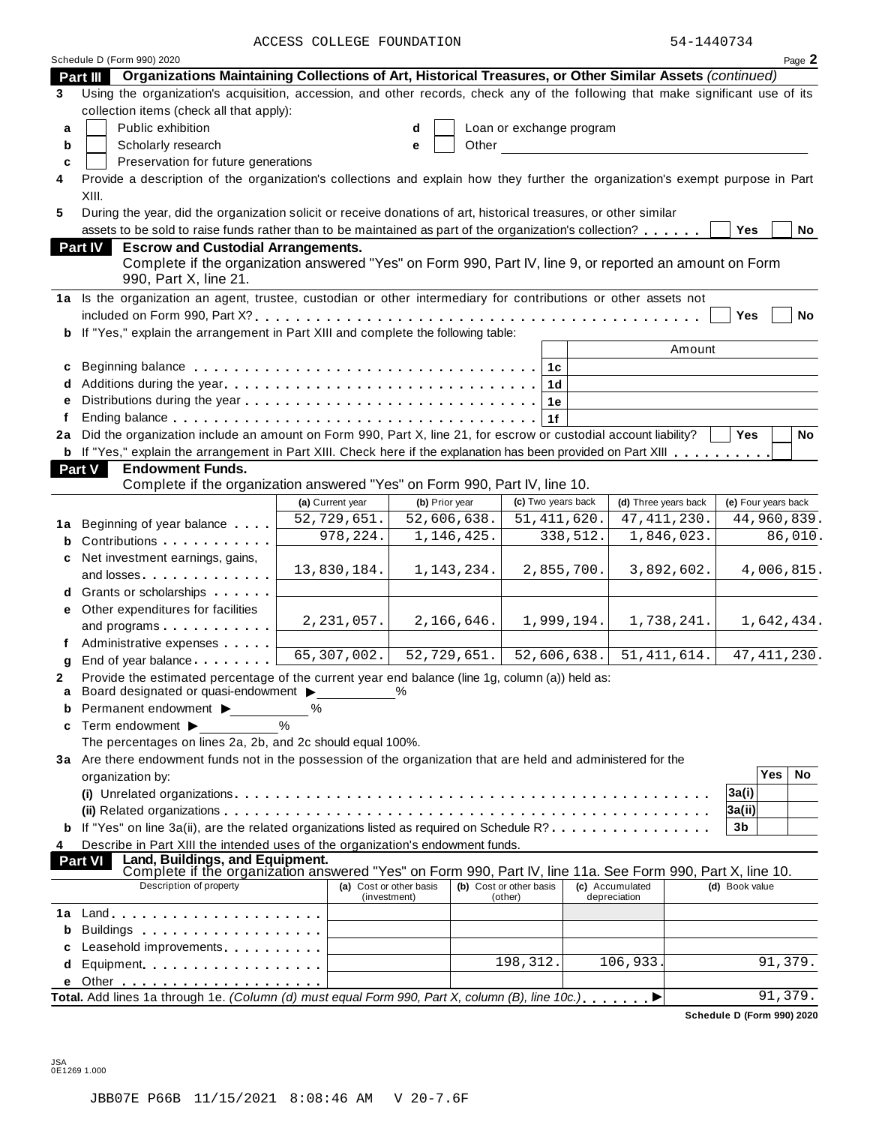|    | Schedule D (Form 990) 2020                                                                                                            | ACCESS COLLEGE FOUNDAIION |                |                          |          | シューエキキい ハンキ          |                     |            | Page 2        |
|----|---------------------------------------------------------------------------------------------------------------------------------------|---------------------------|----------------|--------------------------|----------|----------------------|---------------------|------------|---------------|
|    | Organizations Maintaining Collections of Art, Historical Treasures, or Other Similar Assets (continued)<br>Part III                   |                           |                |                          |          |                      |                     |            |               |
| 3  | Using the organization's acquisition, accession, and other records, check any of the following that make significant use of its       |                           |                |                          |          |                      |                     |            |               |
|    | collection items (check all that apply):                                                                                              |                           |                |                          |          |                      |                     |            |               |
| a  | Public exhibition                                                                                                                     |                           | d              | Loan or exchange program |          |                      |                     |            |               |
| b  | Scholarly research                                                                                                                    |                           | Other<br>е     |                          |          |                      |                     |            |               |
| C  | Preservation for future generations                                                                                                   |                           |                |                          |          |                      |                     |            |               |
| 4  | Provide a description of the organization's collections and explain how they further the organization's exempt purpose in Part        |                           |                |                          |          |                      |                     |            |               |
|    | XIII.                                                                                                                                 |                           |                |                          |          |                      |                     |            |               |
| 5  | During the year, did the organization solicit or receive donations of art, historical treasures, or other similar                     |                           |                |                          |          |                      |                     |            |               |
|    | assets to be sold to raise funds rather than to be maintained as part of the organization's collection?                               |                           |                |                          |          |                      | Yes                 |            | No            |
|    | <b>Escrow and Custodial Arrangements.</b><br><b>Part IV</b>                                                                           |                           |                |                          |          |                      |                     |            |               |
|    | Complete if the organization answered "Yes" on Form 990, Part IV, line 9, or reported an amount on Form                               |                           |                |                          |          |                      |                     |            |               |
|    | 990, Part X, line 21.                                                                                                                 |                           |                |                          |          |                      |                     |            |               |
|    | 1a Is the organization an agent, trustee, custodian or other intermediary for contributions or other assets not                       |                           |                |                          |          |                      |                     |            |               |
|    |                                                                                                                                       |                           |                |                          |          |                      | <b>Yes</b>          |            | No            |
| b  | If "Yes," explain the arrangement in Part XIII and complete the following table:                                                      |                           |                |                          |          |                      |                     |            |               |
|    |                                                                                                                                       |                           |                |                          |          | Amount               |                     |            |               |
| c  | Beginning balance enterpreteration of the contract of the contract of the contract of the contract of the contr                       |                           |                | 1 <sub>c</sub>           |          |                      |                     |            |               |
| d  |                                                                                                                                       |                           |                | 1 <sub>d</sub>           |          |                      |                     |            |               |
| e  |                                                                                                                                       |                           |                | 1е                       |          |                      |                     |            |               |
| f  |                                                                                                                                       |                           |                | 1f                       |          |                      |                     |            |               |
| 2a | Did the organization include an amount on Form 990, Part X, line 21, for escrow or custodial account liability?                       |                           |                |                          |          |                      | Yes                 |            | No            |
| b  | If "Yes," explain the arrangement in Part XIII. Check here if the explanation has been provided on Part XIII                          |                           |                |                          |          |                      |                     |            |               |
|    | Part V<br><b>Endowment Funds.</b>                                                                                                     |                           |                |                          |          |                      |                     |            |               |
|    | Complete if the organization answered "Yes" on Form 990, Part IV, line 10.                                                            |                           |                |                          |          |                      |                     |            |               |
|    |                                                                                                                                       | (a) Current year          | (b) Prior year | (c) Two years back       |          | (d) Three years back | (e) Four years back |            |               |
|    | 1a Beginning of year balance                                                                                                          | 52,729,651.               | 52,606,638.    | 51, 411, 620.            |          | 47, 411, 230.        |                     |            | 44,960,839.   |
| b  | Contributions                                                                                                                         | 978,224.                  | 1,146,425.     |                          | 338,512. | 1,846,023.           |                     |            | 86,010.       |
| c  | Net investment earnings, gains,                                                                                                       |                           |                |                          |          |                      |                     |            |               |
|    | and losses experiences and losses                                                                                                     | 13,830,184.               | 1,143,234.     | 2,855,700.               |          | 3,892,602.           |                     |            | 4,006,815.    |
|    | d Grants or scholarships                                                                                                              |                           |                |                          |          |                      |                     |            |               |
| е  | Other expenditures for facilities                                                                                                     |                           |                |                          |          |                      |                     |            |               |
|    | and programs                                                                                                                          | 2, 231, 057.              | 2,166,646.     | 1,999,194.               |          | 1,738,241.           |                     |            | 1,642,434.    |
| f  | Administrative expenses                                                                                                               |                           |                |                          |          |                      |                     |            |               |
| g  | End of year balance                                                                                                                   | 65,307,002.               | 52,729,651.    | 52,606,638.              |          | 51, 411, 614.        |                     |            | 47, 411, 230. |
|    | Provide the estimated percentage of the current year end balance (line 1g, column (a)) held as:                                       |                           |                |                          |          |                      |                     |            |               |
| a  | Board designated or quasi-endowment >                                                                                                 |                           | %              |                          |          |                      |                     |            |               |
| b  | Permanent endowment >                                                                                                                 | %                         |                |                          |          |                      |                     |            |               |
| c  | Term endowment ▶                                                                                                                      |                           |                |                          |          |                      |                     |            |               |
|    | The percentages on lines 2a, 2b, and 2c should equal 100%.                                                                            |                           |                |                          |          |                      |                     |            |               |
|    | 3a Are there endowment funds not in the possession of the organization that are held and administered for the                         |                           |                |                          |          |                      |                     |            |               |
|    | organization by:                                                                                                                      |                           |                |                          |          |                      |                     | <b>Yes</b> | No            |
|    |                                                                                                                                       |                           |                |                          |          |                      | 3a(i)               |            |               |
|    |                                                                                                                                       |                           |                |                          |          |                      | 3a(ii)              |            |               |
|    | If "Yes" on line 3a(ii), are the related organizations listed as required on Schedule R?                                              |                           |                |                          |          |                      | 3b                  |            |               |
| 4  | Describe in Part XIII the intended uses of the organization's endowment funds.                                                        |                           |                |                          |          |                      |                     |            |               |
|    | Land, Buildings, and Equipment.<br><b>Part VI</b>                                                                                     |                           |                |                          |          |                      |                     |            |               |
|    | Complete if the organization answered "Yes" on Form 990, Part IV, line 11a. See Form 990, Part X, line 10.<br>Description of property | (a) Cost or other basis   |                | (b) Cost or other basis  |          | (c) Accumulated      | (d) Book value      |            |               |
|    |                                                                                                                                       | (investment)              |                | (other)                  |          | depreciation         |                     |            |               |
| 1а |                                                                                                                                       |                           |                |                          |          |                      |                     |            |               |
| b  | Buildings                                                                                                                             |                           |                |                          |          |                      |                     |            |               |
| с  | Leasehold improvements experiences                                                                                                    |                           |                |                          |          |                      |                     |            |               |
| d  | Equipment                                                                                                                             |                           |                | 198,312.                 |          | 106,933.             |                     | 91,379.    |               |
| е  |                                                                                                                                       |                           |                |                          |          |                      |                     |            |               |
|    | Total. Add lines 1a through 1e. (Column (d) must equal Form 990, Part X, column (B), line 10c.)                                       |                           |                |                          |          |                      |                     | 91,379.    |               |

**Schedule D (Form 990) 2020**

JSA 0E1269 1.000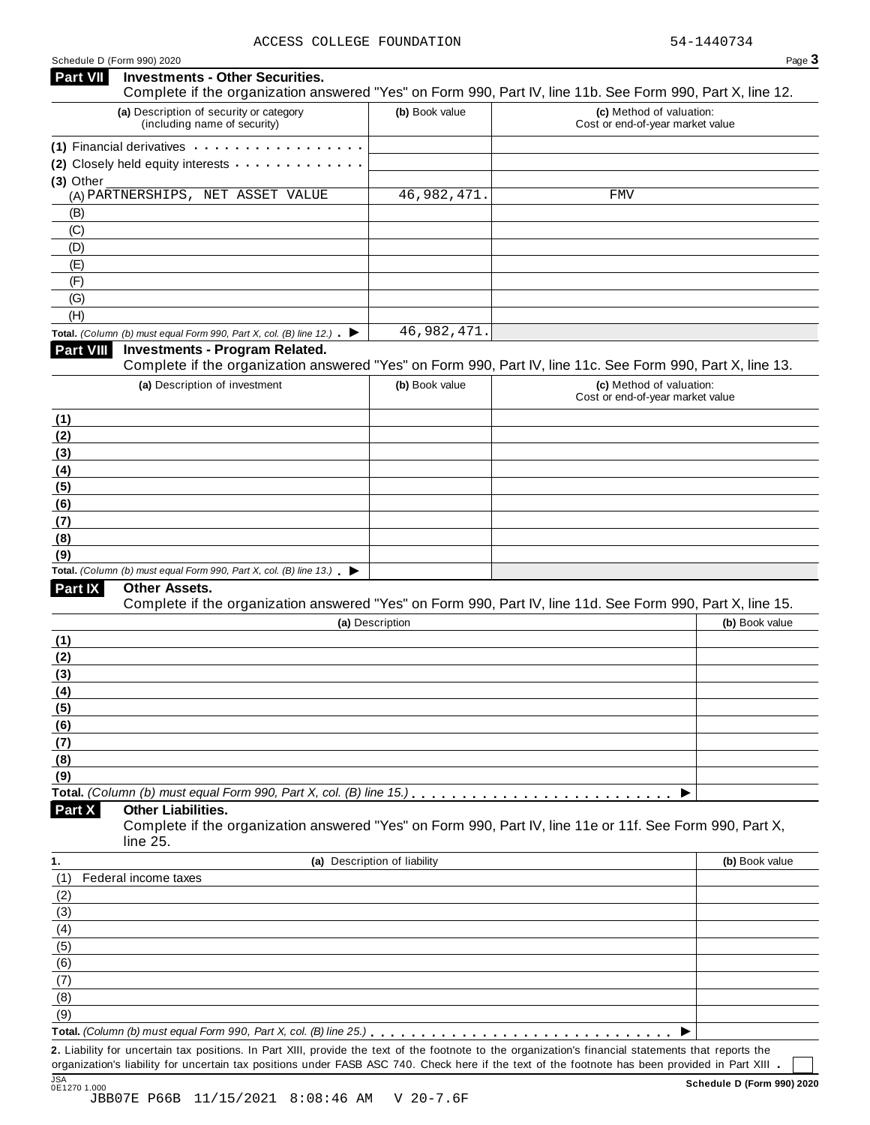| Schedule D (Form 990) 2020 |  |  |
|----------------------------|--|--|

| Schedule D (Form 990) 2020                                                                                                                            |                              | Page 3                                                                                                     |
|-------------------------------------------------------------------------------------------------------------------------------------------------------|------------------------------|------------------------------------------------------------------------------------------------------------|
| <b>Part VII</b><br><b>Investments - Other Securities.</b>                                                                                             |                              | Complete if the organization answered "Yes" on Form 990, Part IV, line 11b. See Form 990, Part X, line 12. |
| (a) Description of security or category<br>(including name of security)                                                                               | (b) Book value               | (c) Method of valuation:<br>Cost or end-of-year market value                                               |
| (1) Financial derivatives                                                                                                                             |                              |                                                                                                            |
| (2) Closely held equity interests<br>(3) Other                                                                                                        |                              |                                                                                                            |
| (A) PARTNERSHIPS, NET ASSET VALUE                                                                                                                     | 46,982,471.                  | FMV                                                                                                        |
| (B)                                                                                                                                                   |                              |                                                                                                            |
| (C)                                                                                                                                                   |                              |                                                                                                            |
| (D)                                                                                                                                                   |                              |                                                                                                            |
| (E)                                                                                                                                                   |                              |                                                                                                            |
| (F)                                                                                                                                                   |                              |                                                                                                            |
| (G)                                                                                                                                                   |                              |                                                                                                            |
| (H)                                                                                                                                                   | 46,982,471                   |                                                                                                            |
| Total. (Column (b) must equal Form 990, Part X, col. (B) line 12.) $\blacktriangleright$<br><b>Part VIII</b><br><b>Investments - Program Related.</b> |                              | Complete if the organization answered "Yes" on Form 990, Part IV, line 11c. See Form 990, Part X, line 13. |
| (a) Description of investment                                                                                                                         | (b) Book value               | (c) Method of valuation:<br>Cost or end-of-year market value                                               |
| (1)                                                                                                                                                   |                              |                                                                                                            |
| (2)                                                                                                                                                   |                              |                                                                                                            |
| (3)                                                                                                                                                   |                              |                                                                                                            |
| (4)                                                                                                                                                   |                              |                                                                                                            |
| (5)                                                                                                                                                   |                              |                                                                                                            |
| (6)                                                                                                                                                   |                              |                                                                                                            |
| (7)                                                                                                                                                   |                              |                                                                                                            |
| (8)<br>(9)                                                                                                                                            |                              |                                                                                                            |
| Total. (Column (b) must equal Form 990, Part X, col. (B) line $13$ .)                                                                                 |                              |                                                                                                            |
| Part IX<br><b>Other Assets.</b>                                                                                                                       |                              | Complete if the organization answered "Yes" on Form 990, Part IV, line 11d. See Form 990, Part X, line 15. |
|                                                                                                                                                       | (a) Description              | (b) Book value                                                                                             |
| (1)                                                                                                                                                   |                              |                                                                                                            |
| (2)                                                                                                                                                   |                              |                                                                                                            |
| (3)                                                                                                                                                   |                              |                                                                                                            |
| (4)                                                                                                                                                   |                              |                                                                                                            |
| (5)                                                                                                                                                   |                              |                                                                                                            |
| (6)<br>(7)                                                                                                                                            |                              |                                                                                                            |
| (8)                                                                                                                                                   |                              |                                                                                                            |
| (9)                                                                                                                                                   |                              |                                                                                                            |
|                                                                                                                                                       |                              |                                                                                                            |
| Part X<br><b>Other Liabilities.</b><br>line 25.                                                                                                       |                              | Complete if the organization answered "Yes" on Form 990, Part IV, line 11e or 11f. See Form 990, Part X,   |
| 1.                                                                                                                                                    | (a) Description of liability | (b) Book value                                                                                             |
| Federal income taxes<br>(1)                                                                                                                           |                              |                                                                                                            |
| (2)                                                                                                                                                   |                              |                                                                                                            |
| (3)                                                                                                                                                   |                              |                                                                                                            |
| (4)                                                                                                                                                   |                              |                                                                                                            |
| (5)                                                                                                                                                   |                              |                                                                                                            |
| (6)                                                                                                                                                   |                              |                                                                                                            |
| (7)                                                                                                                                                   |                              |                                                                                                            |
| (8)<br>(9)                                                                                                                                            |                              |                                                                                                            |
|                                                                                                                                                       |                              |                                                                                                            |
| 2. Liability for uncertain tax positions. In Part XIII, provide the text of the footnote to the organization's financial statements that reports the  |                              |                                                                                                            |
| organization's liability for uncertain tax positions under FASB ASC 740. Check here if the text of the footnote has been provided in Part XIII        |                              |                                                                                                            |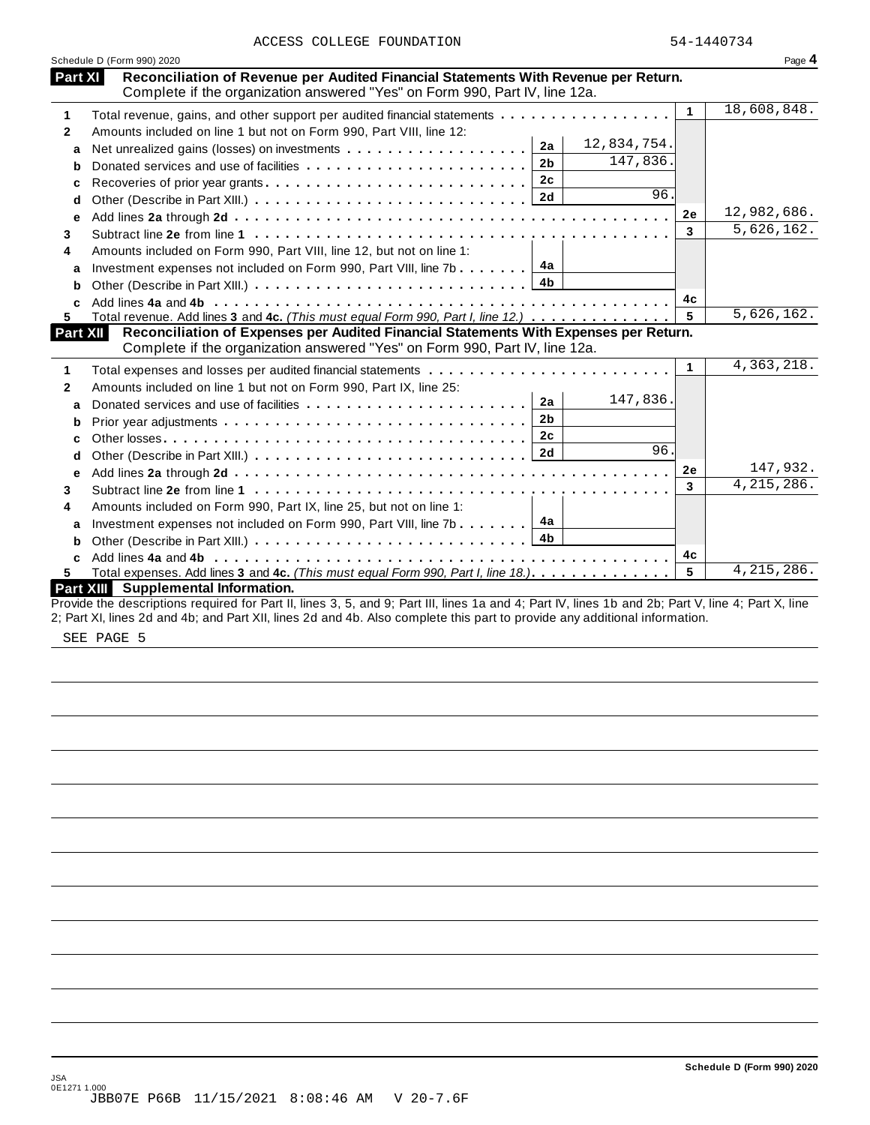|              | Reconciliation of Revenue per Audited Financial Statements With Revenue per Return.<br>Part XI    |              |              |
|--------------|---------------------------------------------------------------------------------------------------|--------------|--------------|
| 1            | Complete if the organization answered "Yes" on Form 990, Part IV, line 12a.                       | $\mathbf{1}$ | 18,608,848.  |
| $\mathbf{2}$ | Total revenue, gains, and other support per audited financial statements                          |              |              |
|              | Amounts included on line 1 but not on Form 990, Part VIII, line 12:<br>12,834,754.<br>2a          |              |              |
| a            | 147,836.<br>2 <sub>b</sub>                                                                        |              |              |
| b            | 2 <sub>c</sub>                                                                                    |              |              |
| c            | Recoveries of prior year grants<br>96.                                                            |              |              |
| d            | 2d                                                                                                |              | 12,982,686.  |
| e            |                                                                                                   | 2e           |              |
| 3            |                                                                                                   | 3            | 5,626,162.   |
| 4            | Amounts included on Form 990, Part VIII, line 12, but not on line 1:                              |              |              |
| a            | 4а<br>Investment expenses not included on Form 990, Part VIII, line 7b $\ldots \ldots$            |              |              |
| b            | 4b                                                                                                |              |              |
| C            |                                                                                                   | 4c           |              |
| 5.           | Total revenue. Add lines 3 and 4c. (This must equal Form 990, Part I, line 12.)                   | 5            | 5,626,162.   |
|              | Reconciliation of Expenses per Audited Financial Statements With Expenses per Return.<br>Part XII |              |              |
|              | Complete if the organization answered "Yes" on Form 990, Part IV, line 12a.                       |              |              |
|              |                                                                                                   | 1            | 4, 363, 218. |
|              | Amounts included on line 1 but not on Form 990, Part IX, line 25:                                 |              |              |
| a            | 147,836.<br>2a                                                                                    |              |              |
| b            | 2 <sub>b</sub>                                                                                    |              |              |
| C            | 2c                                                                                                |              |              |
| d            | 96.<br>2d                                                                                         |              |              |
| е            |                                                                                                   | 2e           | 147,932.     |
| 3.           |                                                                                                   | 3            | 4, 215, 286. |
| 4            | Amounts included on Form 990, Part IX, line 25, but not on line 1:                                |              |              |
| a            | 4a<br>Investment expenses not included on Form 990, Part VIII, line 7b                            |              |              |
|              |                                                                                                   |              |              |
|              |                                                                                                   | 4c           |              |
|              |                                                                                                   |              | 4, 215, 286. |
| C<br>5.      | Total expenses. Add lines 3 and 4c. (This must equal Form 990, Part I, line 18.).                 | 5            |              |

SEE PAGE 5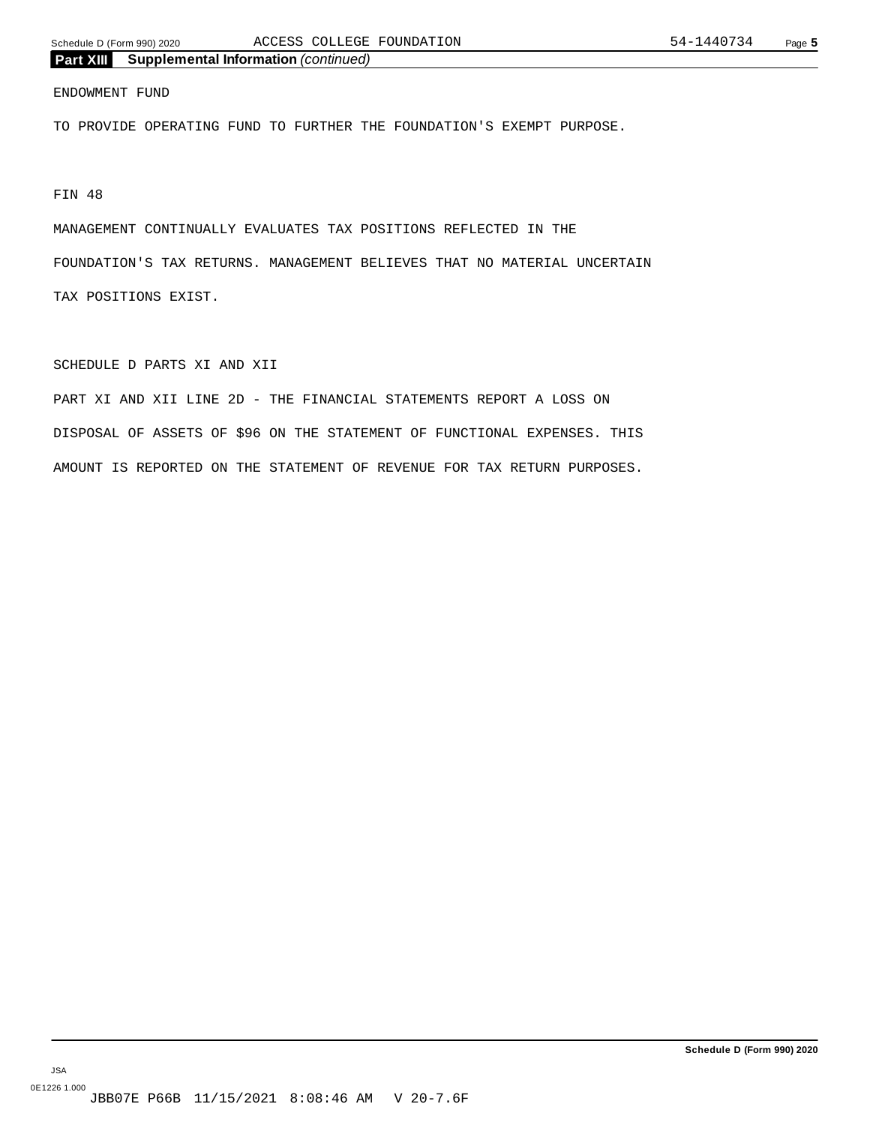# ENDOWMENT FUND

TO PROVIDE OPERATING FUND TO FURTHER THE FOUNDATION'S EXEMPT PURPOSE.

FIN 48

MANAGEMENT CONTINUALLY EVALUATES TAX POSITIONS REFLECTED IN THE FOUNDATION'S TAX RETURNS. MANAGEMENT BELIEVES THAT NO MATERIAL UNCERTAIN TAX POSITIONS EXIST.

# SCHEDULE D PARTS XI AND XII

PART XI AND XII LINE 2D - THE FINANCIAL STATEMENTS REPORT A LOSS ON DISPOSAL OF ASSETS OF \$96 ON THE STATEMENT OF FUNCTIONAL EXPENSES. THIS AMOUNT IS REPORTED ON THE STATEMENT OF REVENUE FOR TAX RETURN PURPOSES.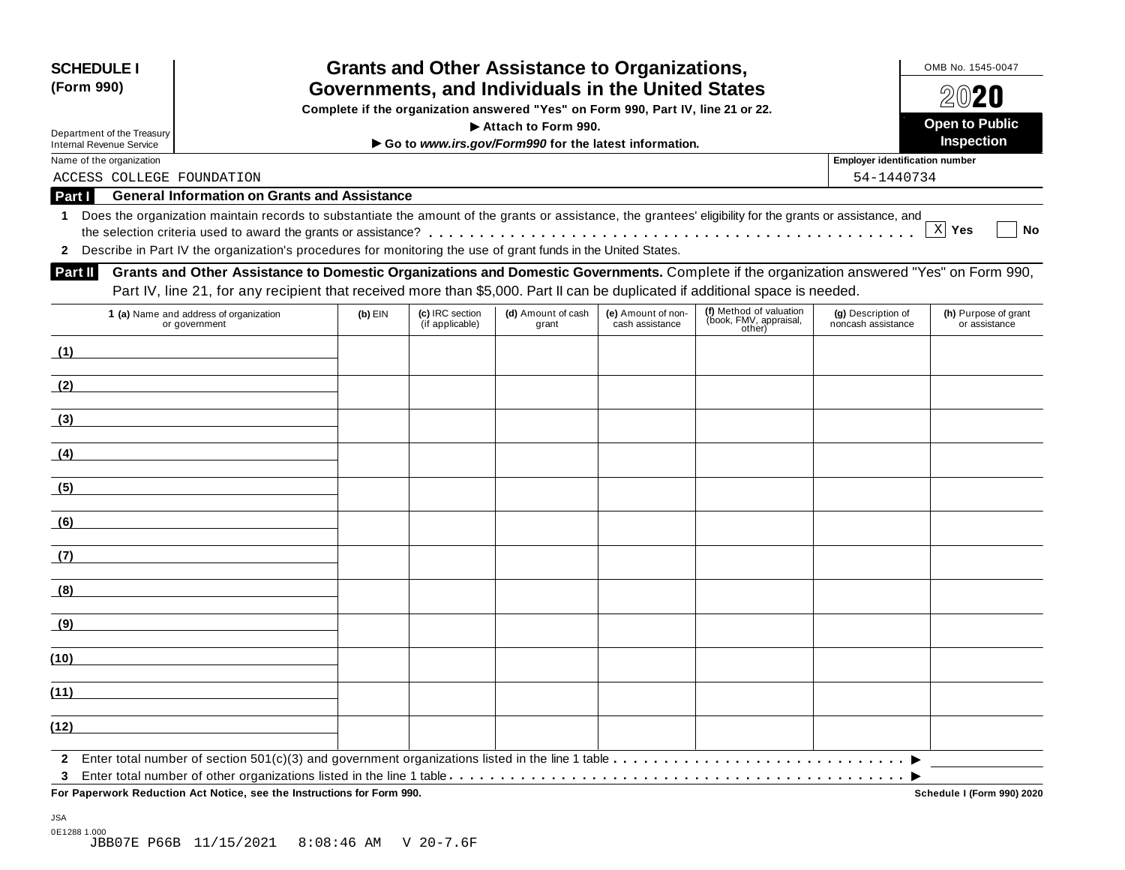| <b>SCHEDULE I</b><br>(Form 990)                               | <b>Grants and Other Assistance to Organizations,</b><br>Governments, and Individuals in the United States<br>Complete if the organization answered "Yes" on Form 990, Part IV, line 21 or 22.                                                                                 |           |                                    |                                                                              |                                       |                                                             |                                          | OMB No. 1545-0047<br>$20$ 20          |
|---------------------------------------------------------------|-------------------------------------------------------------------------------------------------------------------------------------------------------------------------------------------------------------------------------------------------------------------------------|-----------|------------------------------------|------------------------------------------------------------------------------|---------------------------------------|-------------------------------------------------------------|------------------------------------------|---------------------------------------|
| Department of the Treasury<br><b>Internal Revenue Service</b> |                                                                                                                                                                                                                                                                               |           |                                    | Attach to Form 990.<br>Go to www.irs.gov/Form990 for the latest information. |                                       |                                                             |                                          | <b>Open to Public</b><br>Inspection   |
| Name of the organization                                      |                                                                                                                                                                                                                                                                               |           |                                    |                                                                              |                                       |                                                             | <b>Employer identification number</b>    |                                       |
| ACCESS COLLEGE FOUNDATION                                     |                                                                                                                                                                                                                                                                               |           |                                    |                                                                              |                                       |                                                             | 54-1440734                               |                                       |
| <b>Part I</b>                                                 | <b>General Information on Grants and Assistance</b>                                                                                                                                                                                                                           |           |                                    |                                                                              |                                       |                                                             |                                          |                                       |
| 1                                                             | Does the organization maintain records to substantiate the amount of the grants or assistance, the grantees' eligibility for the grants or assistance, and<br>2 Describe in Part IV the organization's procedures for monitoring the use of grant funds in the United States. |           |                                    |                                                                              |                                       |                                                             |                                          | X Yes<br>No                           |
| Part II                                                       | Grants and Other Assistance to Domestic Organizations and Domestic Governments. Complete if the organization answered "Yes" on Form 990,<br>Part IV, line 21, for any recipient that received more than \$5,000. Part II can be duplicated if additional space is needed.     |           |                                    |                                                                              |                                       |                                                             |                                          |                                       |
|                                                               | 1 (a) Name and address of organization<br>or government                                                                                                                                                                                                                       | $(b)$ EIN | (c) IRC section<br>(if applicable) | (d) Amount of cash<br>grant                                                  | (e) Amount of non-<br>cash assistance | (f) Method of valuation<br>(book, FMV, appraisal,<br>other) | (g) Description of<br>noncash assistance | (h) Purpose of grant<br>or assistance |
|                                                               | (1)                                                                                                                                                                                                                                                                           |           |                                    |                                                                              |                                       |                                                             |                                          |                                       |
| (2)                                                           |                                                                                                                                                                                                                                                                               |           |                                    |                                                                              |                                       |                                                             |                                          |                                       |
| $\left(3\right)$                                              |                                                                                                                                                                                                                                                                               |           |                                    |                                                                              |                                       |                                                             |                                          |                                       |
| $\left(4\right)$                                              |                                                                                                                                                                                                                                                                               |           |                                    |                                                                              |                                       |                                                             |                                          |                                       |
| (5)                                                           |                                                                                                                                                                                                                                                                               |           |                                    |                                                                              |                                       |                                                             |                                          |                                       |
| (6)                                                           |                                                                                                                                                                                                                                                                               |           |                                    |                                                                              |                                       |                                                             |                                          |                                       |
| (7)                                                           |                                                                                                                                                                                                                                                                               |           |                                    |                                                                              |                                       |                                                             |                                          |                                       |
| (8)                                                           |                                                                                                                                                                                                                                                                               |           |                                    |                                                                              |                                       |                                                             |                                          |                                       |
| (9)                                                           |                                                                                                                                                                                                                                                                               |           |                                    |                                                                              |                                       |                                                             |                                          |                                       |
| (10)                                                          |                                                                                                                                                                                                                                                                               |           |                                    |                                                                              |                                       |                                                             |                                          |                                       |
| (11)                                                          |                                                                                                                                                                                                                                                                               |           |                                    |                                                                              |                                       |                                                             |                                          |                                       |
| (12)                                                          |                                                                                                                                                                                                                                                                               |           |                                    |                                                                              |                                       |                                                             |                                          |                                       |
| 3                                                             | For Paperwork Reduction Act Notice, see the Instructions for Form 990.                                                                                                                                                                                                        |           |                                    |                                                                              |                                       |                                                             |                                          | Schedule I (Form 990) 2020            |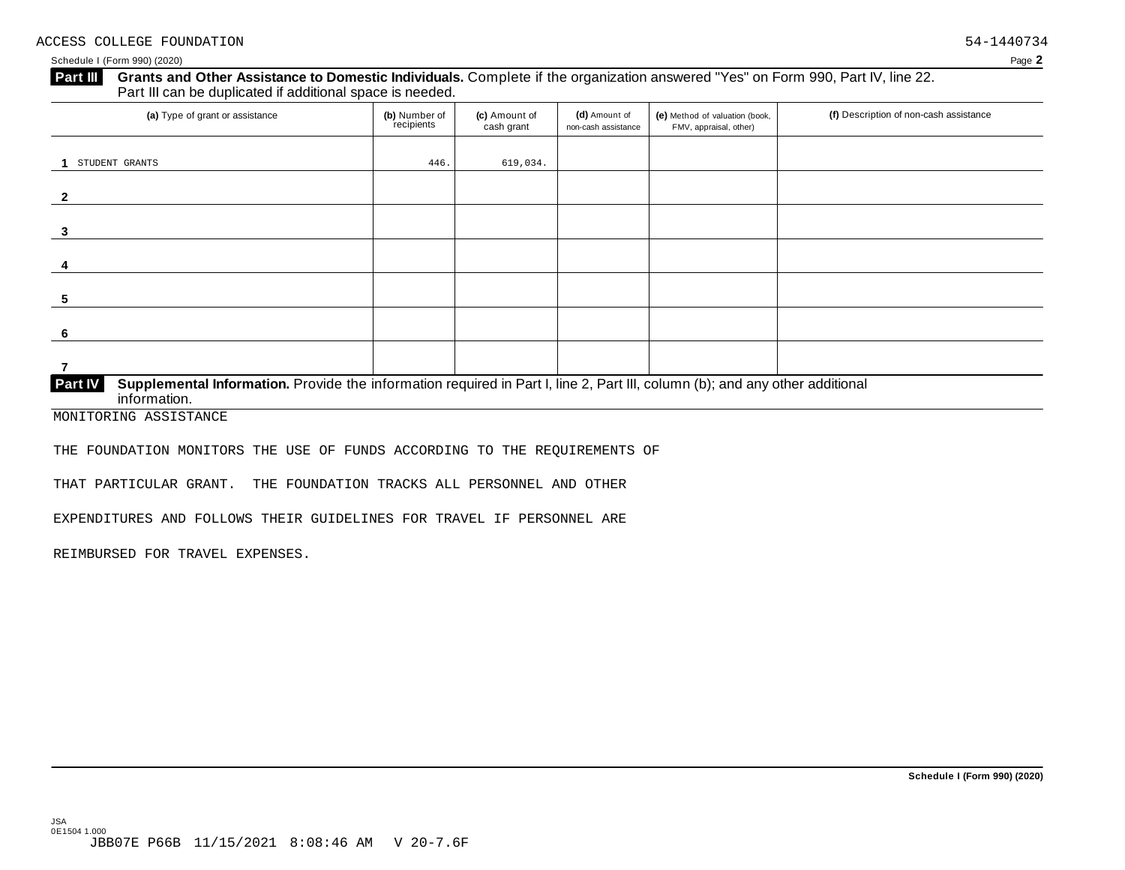Schedule I (Form 990) (2020) Page **2**

# Grants and Other Assistance to Domestic Individuals. Complete if the organization answered "Yes" on Form 990, Part IV, line 22. **Part III** Grants and Other Assistance to Domestic Individuals<br>Part III can be duplicated if additional space is needed.

| (a) Type of grant or assistance                                                                                                                                | (b) Number of<br>recipients | (c) Amount of<br>cash grant | (d) Amount of<br>non-cash assistance | (e) Method of valuation (book,<br>FMV, appraisal, other) | (f) Description of non-cash assistance |
|----------------------------------------------------------------------------------------------------------------------------------------------------------------|-----------------------------|-----------------------------|--------------------------------------|----------------------------------------------------------|----------------------------------------|
|                                                                                                                                                                |                             |                             |                                      |                                                          |                                        |
| STUDENT GRANTS                                                                                                                                                 | 446.                        | 619,034.                    |                                      |                                                          |                                        |
|                                                                                                                                                                |                             |                             |                                      |                                                          |                                        |
| 3                                                                                                                                                              |                             |                             |                                      |                                                          |                                        |
|                                                                                                                                                                |                             |                             |                                      |                                                          |                                        |
| 5                                                                                                                                                              |                             |                             |                                      |                                                          |                                        |
| 6                                                                                                                                                              |                             |                             |                                      |                                                          |                                        |
|                                                                                                                                                                |                             |                             |                                      |                                                          |                                        |
| Supplemental Information. Provide the information required in Part I, line 2, Part III, column (b); and any other additional<br><b>Part IV</b><br>information. |                             |                             |                                      |                                                          |                                        |

MONITORING ASSISTANCE

THE FOUNDATION MONITORS THE USE OF FUNDS ACCORDING TO THE REQUIREMENTS OF

THAT PARTICULAR GRANT. THE FOUNDATION TRACKS ALL PERSONNEL AND OTHER

EXPENDITURES AND FOLLOWS THEIR GUIDELINES FOR TRAVEL IF PERSONNEL ARE

REIMBURSED FOR TRAVEL EXPENSES.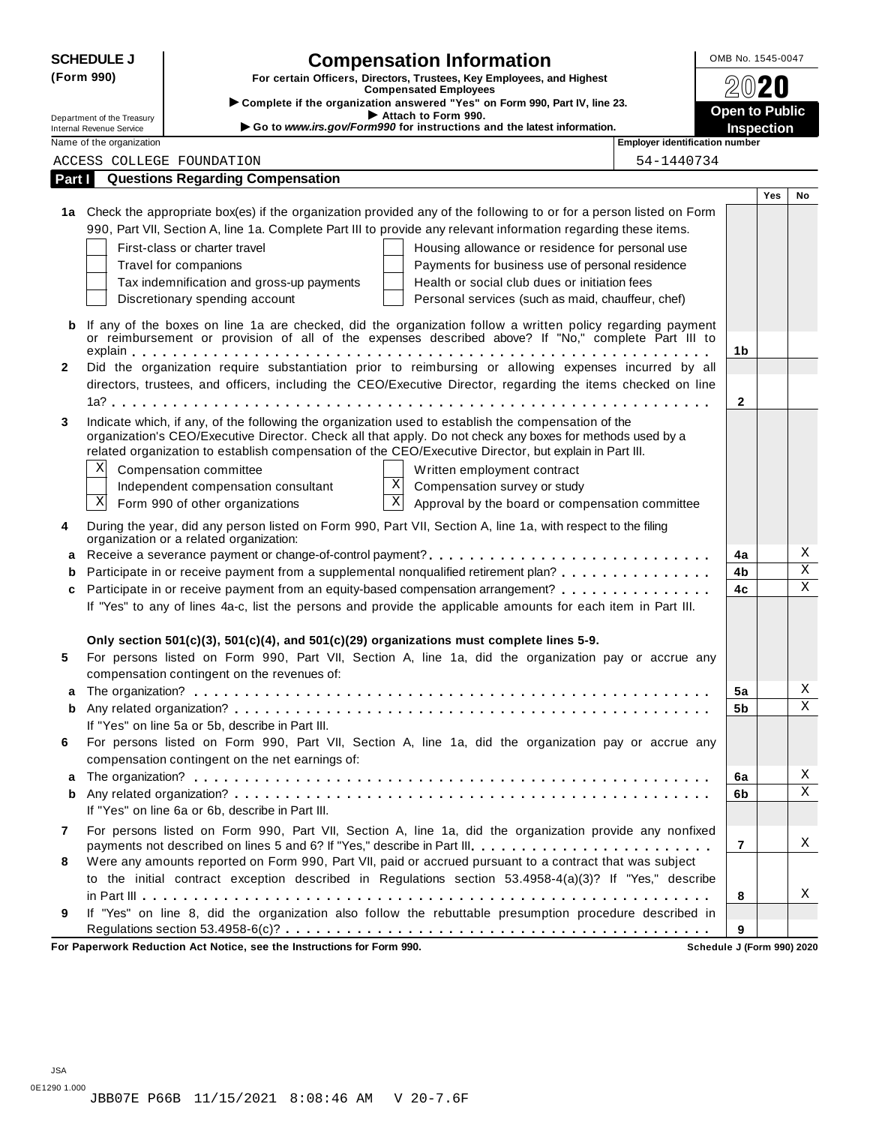| <b>SCHEDULE J</b> |                                                                                                                                                                | <b>Compensation Information</b>                                                                                                                                                                                                                                                                                                                                                      | OMB No. 1545-0047                          |     |                         |  |
|-------------------|----------------------------------------------------------------------------------------------------------------------------------------------------------------|--------------------------------------------------------------------------------------------------------------------------------------------------------------------------------------------------------------------------------------------------------------------------------------------------------------------------------------------------------------------------------------|--------------------------------------------|-----|-------------------------|--|
| (Form 990)        |                                                                                                                                                                | For certain Officers, Directors, Trustees, Key Employees, and Highest<br><b>Compensated Employees</b>                                                                                                                                                                                                                                                                                |                                            |     |                         |  |
|                   |                                                                                                                                                                | Complete if the organization answered "Yes" on Form 990, Part IV, line 23.                                                                                                                                                                                                                                                                                                           |                                            |     |                         |  |
|                   | Attach to Form 990.<br>Department of the Treasury<br>Go to www.irs.gov/Form990 for instructions and the latest information.<br><b>Internal Revenue Service</b> |                                                                                                                                                                                                                                                                                                                                                                                      | <b>Open to Public</b><br><b>Inspection</b> |     |                         |  |
|                   | <b>Employer identification number</b><br>Name of the organization                                                                                              |                                                                                                                                                                                                                                                                                                                                                                                      |                                            |     |                         |  |
|                   |                                                                                                                                                                | ACCESS COLLEGE FOUNDATION<br>54-1440734                                                                                                                                                                                                                                                                                                                                              |                                            |     |                         |  |
| Part I            |                                                                                                                                                                | <b>Questions Regarding Compensation</b>                                                                                                                                                                                                                                                                                                                                              |                                            |     |                         |  |
|                   |                                                                                                                                                                |                                                                                                                                                                                                                                                                                                                                                                                      |                                            | Yes | No                      |  |
|                   |                                                                                                                                                                | 1a Check the appropriate box(es) if the organization provided any of the following to or for a person listed on Form<br>990, Part VII, Section A, line 1a. Complete Part III to provide any relevant information regarding these items.                                                                                                                                              |                                            |     |                         |  |
|                   |                                                                                                                                                                | First-class or charter travel<br>Housing allowance or residence for personal use                                                                                                                                                                                                                                                                                                     |                                            |     |                         |  |
|                   |                                                                                                                                                                | Travel for companions<br>Payments for business use of personal residence                                                                                                                                                                                                                                                                                                             |                                            |     |                         |  |
|                   |                                                                                                                                                                | Tax indemnification and gross-up payments<br>Health or social club dues or initiation fees                                                                                                                                                                                                                                                                                           |                                            |     |                         |  |
|                   |                                                                                                                                                                | Discretionary spending account<br>Personal services (such as maid, chauffeur, chef)                                                                                                                                                                                                                                                                                                  |                                            |     |                         |  |
| b                 |                                                                                                                                                                | If any of the boxes on line 1a are checked, did the organization follow a written policy regarding payment<br>or reimbursement or provision of all of the expenses described above? If "No," complete Part III to                                                                                                                                                                    |                                            |     |                         |  |
|                   |                                                                                                                                                                |                                                                                                                                                                                                                                                                                                                                                                                      | 1b                                         |     |                         |  |
| $\mathbf{2}$      |                                                                                                                                                                | Did the organization require substantiation prior to reimbursing or allowing expenses incurred by all<br>directors, trustees, and officers, including the CEO/Executive Director, regarding the items checked on line                                                                                                                                                                |                                            |     |                         |  |
|                   |                                                                                                                                                                |                                                                                                                                                                                                                                                                                                                                                                                      | $\mathbf{2}$                               |     |                         |  |
| 3                 |                                                                                                                                                                | Indicate which, if any, of the following the organization used to establish the compensation of the<br>organization's CEO/Executive Director. Check all that apply. Do not check any boxes for methods used by a<br>related organization to establish compensation of the CEO/Executive Director, but explain in Part III.                                                           |                                            |     |                         |  |
|                   | Χ                                                                                                                                                              | Compensation committee<br>Written employment contract                                                                                                                                                                                                                                                                                                                                |                                            |     |                         |  |
|                   |                                                                                                                                                                | X<br>Independent compensation consultant<br>Compensation survey or study                                                                                                                                                                                                                                                                                                             |                                            |     |                         |  |
|                   | Χ                                                                                                                                                              | $\mathbf X$<br>Form 990 of other organizations<br>Approval by the board or compensation committee                                                                                                                                                                                                                                                                                    |                                            |     |                         |  |
| 4                 |                                                                                                                                                                | During the year, did any person listed on Form 990, Part VII, Section A, line 1a, with respect to the filing<br>organization or a related organization:                                                                                                                                                                                                                              |                                            |     |                         |  |
| a                 |                                                                                                                                                                |                                                                                                                                                                                                                                                                                                                                                                                      | 4a                                         |     | Χ                       |  |
| b                 |                                                                                                                                                                | Participate in or receive payment from a supplemental nonqualified retirement plan?                                                                                                                                                                                                                                                                                                  | 4b                                         |     | $\overline{\mathbf{x}}$ |  |
| c                 |                                                                                                                                                                | Participate in or receive payment from an equity-based compensation arrangement?                                                                                                                                                                                                                                                                                                     | 4c                                         |     | $\mathbf X$             |  |
|                   |                                                                                                                                                                | If "Yes" to any of lines 4a-c, list the persons and provide the applicable amounts for each item in Part III.                                                                                                                                                                                                                                                                        |                                            |     |                         |  |
|                   |                                                                                                                                                                | Only section 501(c)(3), 501(c)(4), and 501(c)(29) organizations must complete lines 5-9.                                                                                                                                                                                                                                                                                             |                                            |     |                         |  |
| 5                 |                                                                                                                                                                | For persons listed on Form 990, Part VII, Section A, line 1a, did the organization pay or accrue any<br>compensation contingent on the revenues of:                                                                                                                                                                                                                                  |                                            |     |                         |  |
|                   |                                                                                                                                                                |                                                                                                                                                                                                                                                                                                                                                                                      | 5a                                         |     | Χ                       |  |
| b                 |                                                                                                                                                                | If "Yes" on line 5a or 5b, describe in Part III.                                                                                                                                                                                                                                                                                                                                     | 5b                                         |     | X                       |  |
| 6                 |                                                                                                                                                                | For persons listed on Form 990, Part VII, Section A, line 1a, did the organization pay or accrue any<br>compensation contingent on the net earnings of:                                                                                                                                                                                                                              |                                            |     |                         |  |
| a                 |                                                                                                                                                                |                                                                                                                                                                                                                                                                                                                                                                                      | 6a                                         |     | Χ                       |  |
| b                 |                                                                                                                                                                |                                                                                                                                                                                                                                                                                                                                                                                      | 6b                                         |     | X                       |  |
|                   |                                                                                                                                                                | If "Yes" on line 6a or 6b, describe in Part III.                                                                                                                                                                                                                                                                                                                                     |                                            |     |                         |  |
| 7                 |                                                                                                                                                                | For persons listed on Form 990, Part VII, Section A, line 1a, did the organization provide any nonfixed                                                                                                                                                                                                                                                                              |                                            |     |                         |  |
|                   |                                                                                                                                                                | payments not described on lines 5 and 6? If "Yes," describe in Part III.                                                                                                                                                                                                                                                                                                             | $\overline{7}$                             |     | Χ                       |  |
| 8                 |                                                                                                                                                                | Were any amounts reported on Form 990, Part VII, paid or accrued pursuant to a contract that was subject                                                                                                                                                                                                                                                                             |                                            |     |                         |  |
|                   |                                                                                                                                                                | to the initial contract exception described in Regulations section 53.4958-4(a)(3)? If "Yes," describe                                                                                                                                                                                                                                                                               |                                            |     |                         |  |
|                   |                                                                                                                                                                |                                                                                                                                                                                                                                                                                                                                                                                      | 8                                          |     | Χ                       |  |
| 9                 |                                                                                                                                                                | If "Yes" on line 8, did the organization also follow the rebuttable presumption procedure described in                                                                                                                                                                                                                                                                               |                                            |     |                         |  |
|                   |                                                                                                                                                                | $\overline{a}$ $\overline{a}$ $\overline{a}$ $\overline{a}$ $\overline{a}$ $\overline{a}$ $\overline{a}$ $\overline{a}$ $\overline{a}$ $\overline{a}$ $\overline{a}$ $\overline{a}$ $\overline{a}$ $\overline{a}$ $\overline{a}$ $\overline{a}$ $\overline{a}$ $\overline{a}$ $\overline{a}$ $\overline{a}$ $\overline{a}$ $\overline{a}$ $\overline{a}$ $\overline{a}$ $\overline{$ | 9                                          |     |                         |  |

**For Paperwork Reduction Act Notice, see the Instructions for Form 990. Schedule J (Form 990) 2020**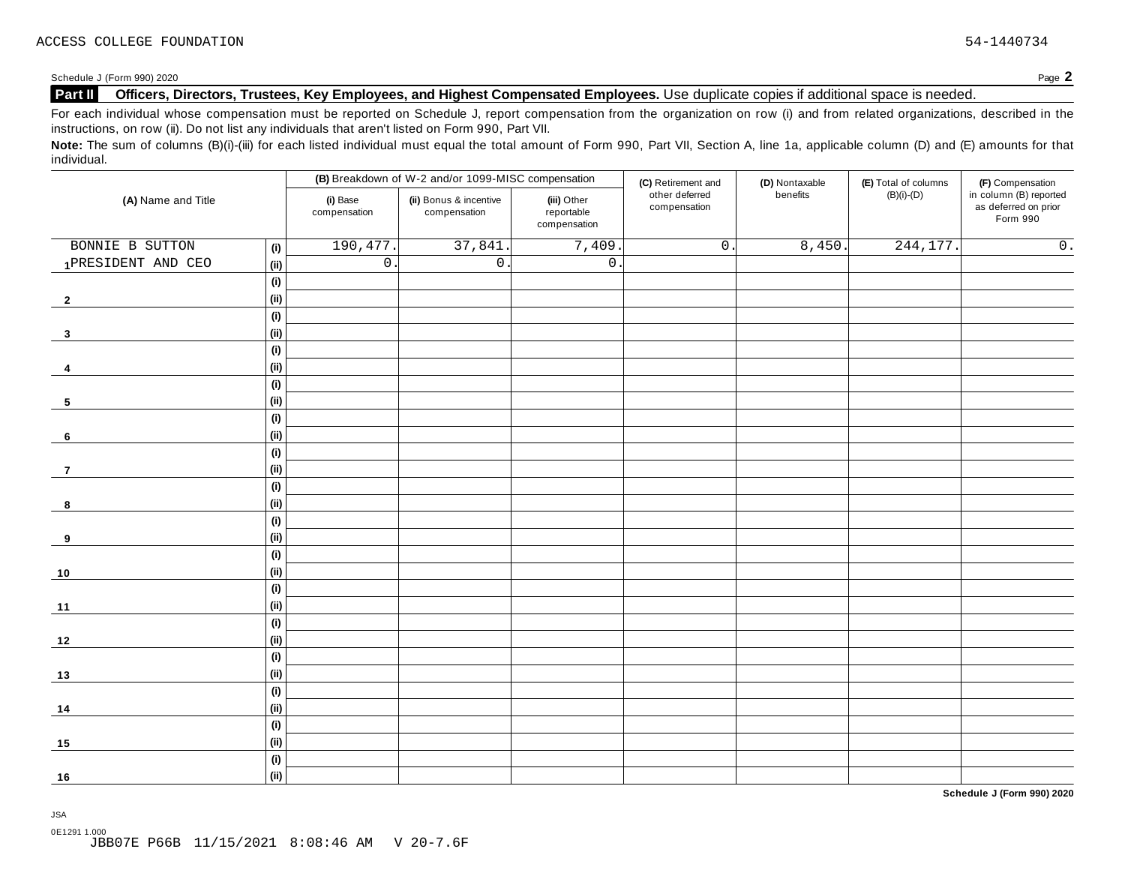Schedule <sup>J</sup> (Form 990) <sup>2020</sup> Page **2**

# **Part II Officers, Directors, Trustees, Key Employees, and Highest Compensated Employees.** Use duplicate copies ifadditional space is needed.

For each individual whose compensation must be reported on Schedule J, report compensation from the organization on row (i) and from related organizations, described in the instructions, on row (ii). Do not list any individuals that aren't listed on Form 990, Part VII.

Note: The sum of columns (B)(i)-(iii) for each listed individual must equal the total amount of Form 990, Part VII, Section A, line 1a, applicable column (D) and (E) amounts for that individual.

| (A) Name and Title |      |                          | (B) Breakdown of W-2 and/or 1099-MISC compensation |                                           | (C) Retirement and             | (D) Nontaxable | (E) Total of columns<br>$(B)(i)-(D)$ | (F) Compensation                                           |
|--------------------|------|--------------------------|----------------------------------------------------|-------------------------------------------|--------------------------------|----------------|--------------------------------------|------------------------------------------------------------|
|                    |      | (i) Base<br>compensation | (ii) Bonus & incentive<br>compensation             | (iii) Other<br>reportable<br>compensation | other deferred<br>compensation | benefits       |                                      | in column (B) reported<br>as deferred on prior<br>Form 990 |
| BONNIE B SUTTON    | (i)  | 190,477                  | 37,841                                             | 7,409.                                    | $\overline{0}$ .               | 8,450.         | 244, 177.                            | $\overline{0}$ .                                           |
| 1PRESIDENT AND CEO | (ii) | $\overline{0}$ .         | $\overline{0}$ .                                   | $\overline{0}$ .                          |                                |                |                                      |                                                            |
|                    | (i)  |                          |                                                    |                                           |                                |                |                                      |                                                            |
| $\mathbf{2}$       | (i)  |                          |                                                    |                                           |                                |                |                                      |                                                            |
|                    | (i)  |                          |                                                    |                                           |                                |                |                                      |                                                            |
| $\mathbf{3}$       | (i)  |                          |                                                    |                                           |                                |                |                                      |                                                            |
|                    | (i)  |                          |                                                    |                                           |                                |                |                                      |                                                            |
| 4                  | (ii) |                          |                                                    |                                           |                                |                |                                      |                                                            |
|                    | (i)  |                          |                                                    |                                           |                                |                |                                      |                                                            |
| 5                  | (ii) |                          |                                                    |                                           |                                |                |                                      |                                                            |
|                    | (i)  |                          |                                                    |                                           |                                |                |                                      |                                                            |
| $6\phantom{.}6$    | (ii) |                          |                                                    |                                           |                                |                |                                      |                                                            |
|                    | (i)  |                          |                                                    |                                           |                                |                |                                      |                                                            |
| $\overline{7}$     | (ii) |                          |                                                    |                                           |                                |                |                                      |                                                            |
|                    | (i)  |                          |                                                    |                                           |                                |                |                                      |                                                            |
| 8                  | (ii) |                          |                                                    |                                           |                                |                |                                      |                                                            |
|                    | (i)  |                          |                                                    |                                           |                                |                |                                      |                                                            |
| 9                  | (i)  |                          |                                                    |                                           |                                |                |                                      |                                                            |
|                    | (i)  |                          |                                                    |                                           |                                |                |                                      |                                                            |
| 10                 | (i)  |                          |                                                    |                                           |                                |                |                                      |                                                            |
|                    | (i)  |                          |                                                    |                                           |                                |                |                                      |                                                            |
| 11                 | (ii) |                          |                                                    |                                           |                                |                |                                      |                                                            |
|                    | (i)  |                          |                                                    |                                           |                                |                |                                      |                                                            |
| 12                 | (ii) |                          |                                                    |                                           |                                |                |                                      |                                                            |
|                    | (i)  |                          |                                                    |                                           |                                |                |                                      |                                                            |
| $13$               | (ii) |                          |                                                    |                                           |                                |                |                                      |                                                            |
|                    | (i)  |                          |                                                    |                                           |                                |                |                                      |                                                            |
| 14                 | (ii) |                          |                                                    |                                           |                                |                |                                      |                                                            |
|                    | (i)  |                          |                                                    |                                           |                                |                |                                      |                                                            |
| 15                 | (ii) |                          |                                                    |                                           |                                |                |                                      |                                                            |
|                    | (i)  |                          |                                                    |                                           |                                |                |                                      |                                                            |
| 16                 | (ii) |                          |                                                    |                                           |                                |                |                                      |                                                            |

**Schedule J (Form 990) 2020**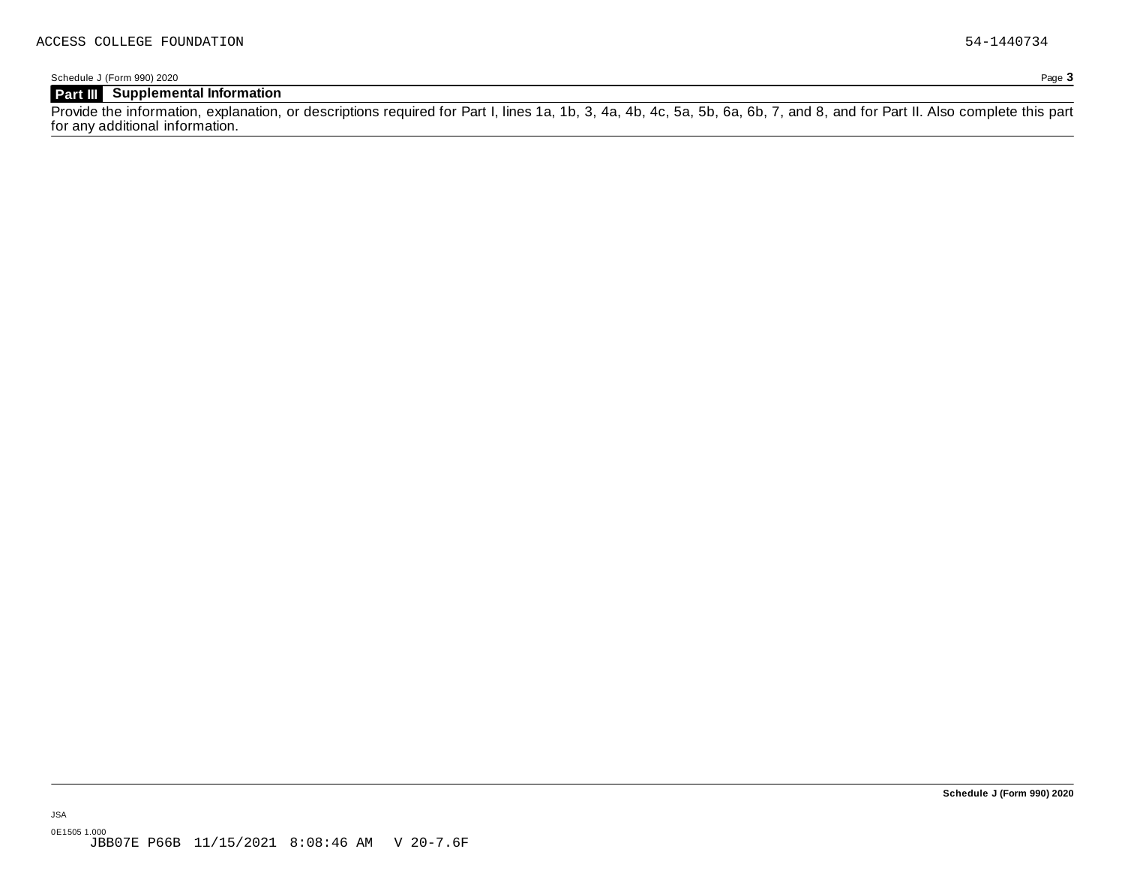# **Part III Supplemental Information**

Provide the information, explanation, or descriptions required for Part I, lines 1a, 1b, 3, 4a, 4b, 4c, 5a, 5b, 6a, 6b, 7, and 8, and for Part II. Also complete this part for any additional information.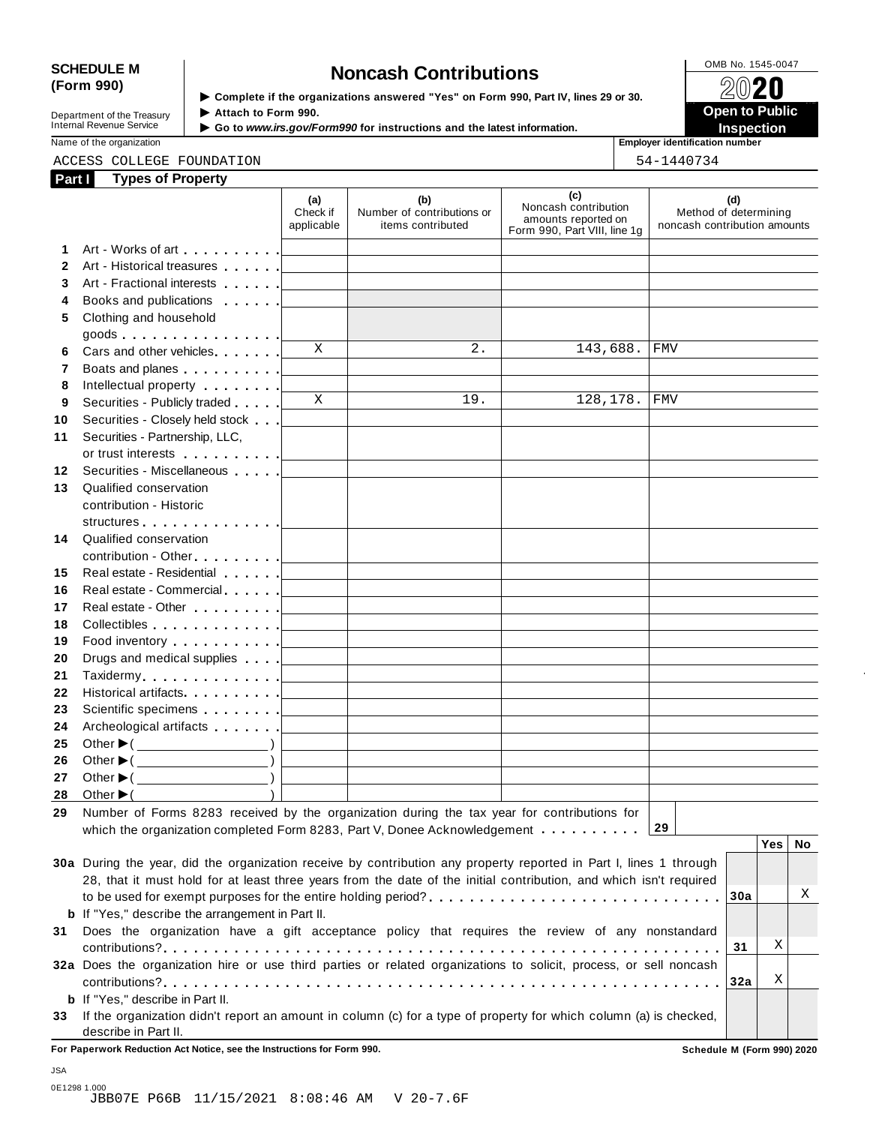# SCHEDULE M<br>
(Form 990) **Supplementary of the organizations answered** "Yes" on Form 990 Part IV lines 29 or 30

| Department of the Treasury |
|----------------------------|
|                            |
| Internal Revenue Service   |
|                            |

**Examplete** if the organizations answered "Yes" on Form 990, Part Ⅳ, lines 29 or 30. 
<br>
■ **Open to Public**  $\blacktriangleright$  Attach to Form 990. **Department of the Treasury ▶ Attach to Form 990.**<br>Internal Revenue Service ▶ Go to *www.irs.gov/Form990* for instructions and the latest information.<br>Nome of the organization aumhor

Name of the organization **intervalse and the original contract of the original contract of the original contract of the original contract of the original contract of the original contract of the original contract of the or** 

# ACCESS COLLEGE FOUNDATION 54-1440734

| $\begin{array}{c}\n1 & 1 & 1 & 0 & 0 \\ 1 & 0 & 0 & 0 & 0\n\end{array}$ |  |
|-------------------------------------------------------------------------|--|

| Part I       | <b>Types of Property</b>                                                                                                                                                                                                           |                                   |                                                                            |                                                                                    |                                                              |
|--------------|------------------------------------------------------------------------------------------------------------------------------------------------------------------------------------------------------------------------------------|-----------------------------------|----------------------------------------------------------------------------|------------------------------------------------------------------------------------|--------------------------------------------------------------|
|              |                                                                                                                                                                                                                                    | (a)<br>Check if<br>applicable     | (b)<br>Number of contributions or<br>items contributed                     | (c)<br>Noncash contribution<br>amounts reported on<br>Form 990, Part VIII, line 1g | (d)<br>Method of determining<br>noncash contribution amounts |
| 1.           |                                                                                                                                                                                                                                    |                                   | the control of the control of the control of the                           |                                                                                    |                                                              |
| $\mathbf{2}$ | Art - Historical treasures <b>Fig. 1.1 (1994)</b>                                                                                                                                                                                  |                                   | <u> 1990 - Jan Barbara (j. 1980)</u>                                       |                                                                                    |                                                              |
| 3            | Art - Fractional interests [1994]                                                                                                                                                                                                  |                                   |                                                                            |                                                                                    |                                                              |
| 4            | Books and publications entering and publications                                                                                                                                                                                   |                                   |                                                                            |                                                                                    |                                                              |
| 5            | Clothing and household                                                                                                                                                                                                             |                                   |                                                                            |                                                                                    |                                                              |
|              | goods $\ldots$ $\ldots$ $\ldots$ $\ldots$ $\ldots$ $\ldots$                                                                                                                                                                        |                                   |                                                                            |                                                                                    |                                                              |
| 6            | Cars and other vehicles                                                                                                                                                                                                            | X                                 | 2.                                                                         | 143,688.                                                                           | FMV                                                          |
| 7            | Boats and planes <b>Example 20</b> is a set of the set of the set of the set of the set of the set of the set of the set of the set of the set of the set of the set of the set of the set of the set of the set of the set of the |                                   |                                                                            |                                                                                    |                                                              |
| 8            |                                                                                                                                                                                                                                    |                                   |                                                                            |                                                                                    |                                                              |
| 9            | Securities - Publicly traded                                                                                                                                                                                                       | X                                 | 19.                                                                        | 128,178.                                                                           | <b>FMV</b>                                                   |
| 10           | Securities - Closely held stock                                                                                                                                                                                                    |                                   |                                                                            |                                                                                    |                                                              |
| 11           | Securities - Partnership, LLC,                                                                                                                                                                                                     |                                   |                                                                            |                                                                                    |                                                              |
|              | or trust interests in the state of the state of the state of the state of the state of the state of the state o                                                                                                                    |                                   |                                                                            |                                                                                    |                                                              |
| 12           | Securities - Miscellaneous                                                                                                                                                                                                         |                                   |                                                                            |                                                                                    |                                                              |
| 13           | Qualified conservation                                                                                                                                                                                                             |                                   |                                                                            |                                                                                    |                                                              |
|              | contribution - Historic                                                                                                                                                                                                            |                                   |                                                                            |                                                                                    |                                                              |
|              |                                                                                                                                                                                                                                    |                                   |                                                                            |                                                                                    |                                                              |
| 14           | Qualified conservation                                                                                                                                                                                                             |                                   |                                                                            |                                                                                    |                                                              |
|              | contribution - Other [19] [19] Contribution - Other [19] [19] [19] Contribution - Contribution - Contribution -                                                                                                                    |                                   |                                                                            |                                                                                    |                                                              |
| 15           | Real estate - Residential                                                                                                                                                                                                          |                                   | the control of the control of the control of the control of the control of |                                                                                    |                                                              |
| 16           |                                                                                                                                                                                                                                    | <b>Contract Contract Contract</b> | the control of the control of the control of the control of the control of |                                                                                    |                                                              |
| 17           |                                                                                                                                                                                                                                    |                                   |                                                                            |                                                                                    |                                                              |
| 18           |                                                                                                                                                                                                                                    |                                   |                                                                            | the control of the control of the control of the control of the control of         |                                                              |
| 19           |                                                                                                                                                                                                                                    |                                   |                                                                            | the control of the control of the control of the control of the control of         |                                                              |
| 20           |                                                                                                                                                                                                                                    |                                   |                                                                            | the control of the control of the control of                                       |                                                              |
| 21           |                                                                                                                                                                                                                                    |                                   |                                                                            | <u> 1989 - Johann Barbara, martxa alemani</u> ar                                   |                                                              |
| 22           |                                                                                                                                                                                                                                    |                                   |                                                                            |                                                                                    |                                                              |
| 23           |                                                                                                                                                                                                                                    |                                   |                                                                            |                                                                                    |                                                              |
| 24           | Archeological artifacts [1999]                                                                                                                                                                                                     |                                   |                                                                            |                                                                                    |                                                              |
| 25           | Other $\blacktriangleright$ ( $\_\_\_\_\_\_\_\_\_$ )                                                                                                                                                                               |                                   | the control of the control of the control of the control of the control of |                                                                                    |                                                              |
| 26           | Other $\blacktriangleright$ ( $\qquad \qquad$ )                                                                                                                                                                                    |                                   |                                                                            |                                                                                    |                                                              |
| 27           | Other $\blacktriangleright$ ( $\_\_\_\_\_\_\_\_$ )                                                                                                                                                                                 |                                   |                                                                            |                                                                                    |                                                              |
|              | 28 Other $\blacktriangleright$ (                                                                                                                                                                                                   |                                   |                                                                            |                                                                                    |                                                              |
|              | 29 Number of Forms 8283 received by the organization during the tax year for contributions for                                                                                                                                     |                                   |                                                                            |                                                                                    |                                                              |
|              | which the organization completed Form 8283, Part V, Donee Acknowledgement                                                                                                                                                          |                                   |                                                                            |                                                                                    | 29                                                           |
|              |                                                                                                                                                                                                                                    |                                   |                                                                            |                                                                                    | Yes  <br>No                                                  |
|              | 30a During the year, did the organization receive by contribution any property reported in Part I, lines 1 through                                                                                                                 |                                   |                                                                            |                                                                                    |                                                              |
|              | 28, that it must hold for at least three years from the date of the initial contribution, and which isn't required                                                                                                                 |                                   |                                                                            |                                                                                    |                                                              |
|              |                                                                                                                                                                                                                                    |                                   |                                                                            |                                                                                    | Χ<br>30a                                                     |
|              | <b>b</b> If "Yes," describe the arrangement in Part II.                                                                                                                                                                            |                                   |                                                                            |                                                                                    |                                                              |
|              |                                                                                                                                                                                                                                    |                                   |                                                                            |                                                                                    |                                                              |
| 31           | Does the organization have a gift acceptance policy that requires the review of any nonstandard                                                                                                                                    |                                   |                                                                            |                                                                                    | Χ                                                            |
|              |                                                                                                                                                                                                                                    |                                   |                                                                            |                                                                                    | 31                                                           |
|              | 32a Does the organization hire or use third parties or related organizations to solicit, process, or sell noncash                                                                                                                  |                                   |                                                                            |                                                                                    | Χ                                                            |
|              |                                                                                                                                                                                                                                    |                                   |                                                                            |                                                                                    | 32a                                                          |
|              | <b>b</b> If "Yes," describe in Part II.                                                                                                                                                                                            |                                   |                                                                            |                                                                                    |                                                              |
| 33           | If the organization didn't report an amount in column (c) for a type of property for which column (a) is checked,<br>describe in Part II.                                                                                          |                                   |                                                                            |                                                                                    |                                                              |

**For Paperwork Reduction Act Notice, see the Instructions for Form 990. Schedule M (Form 990) 2020**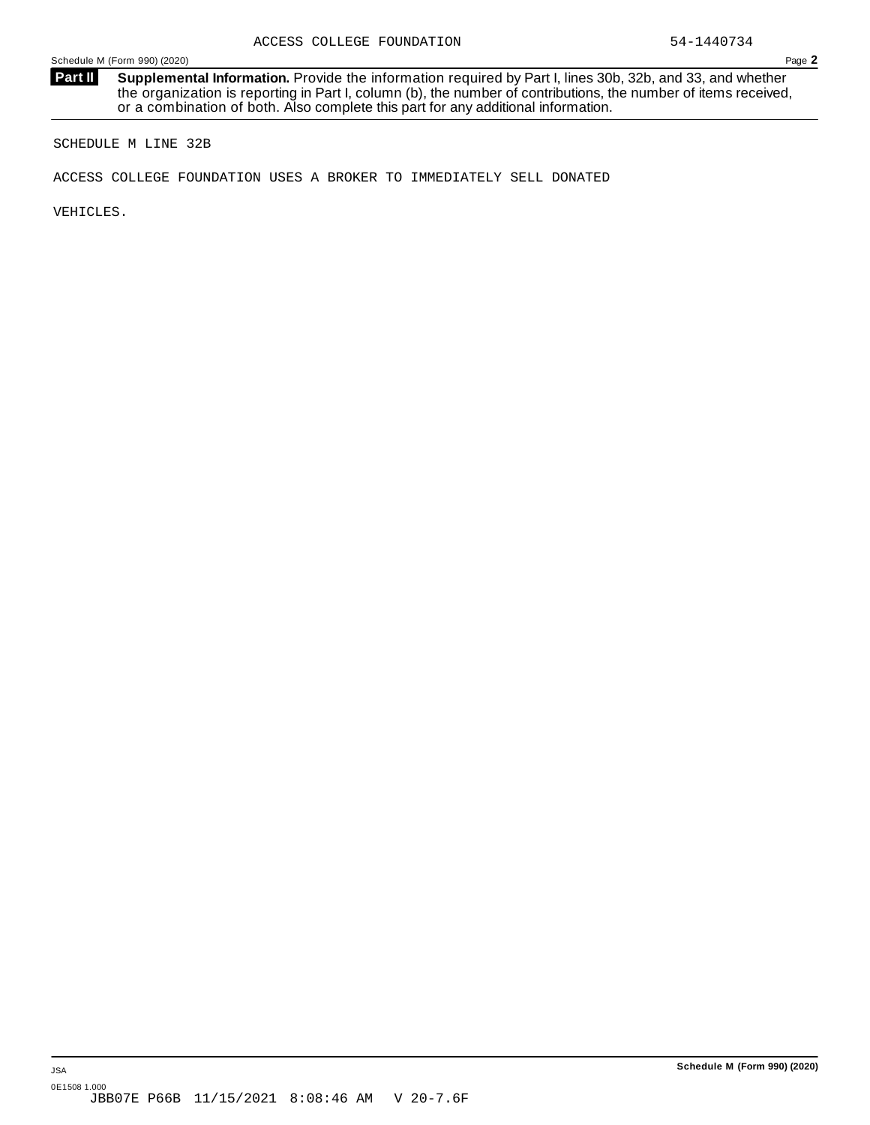**Supplemental Information.** Provide the information required by Part I, lines 30b, 32b, and 33, and whether the organization is reporting in Part I, column (b), the number of contributions, the number of items received, or a combination of both. Also complete this part for any additional information. **Part II**

SCHEDULE M LINE 32B

ACCESS COLLEGE FOUNDATION USES A BROKER TO IMMEDIATELY SELL DONATED

VEHICLES.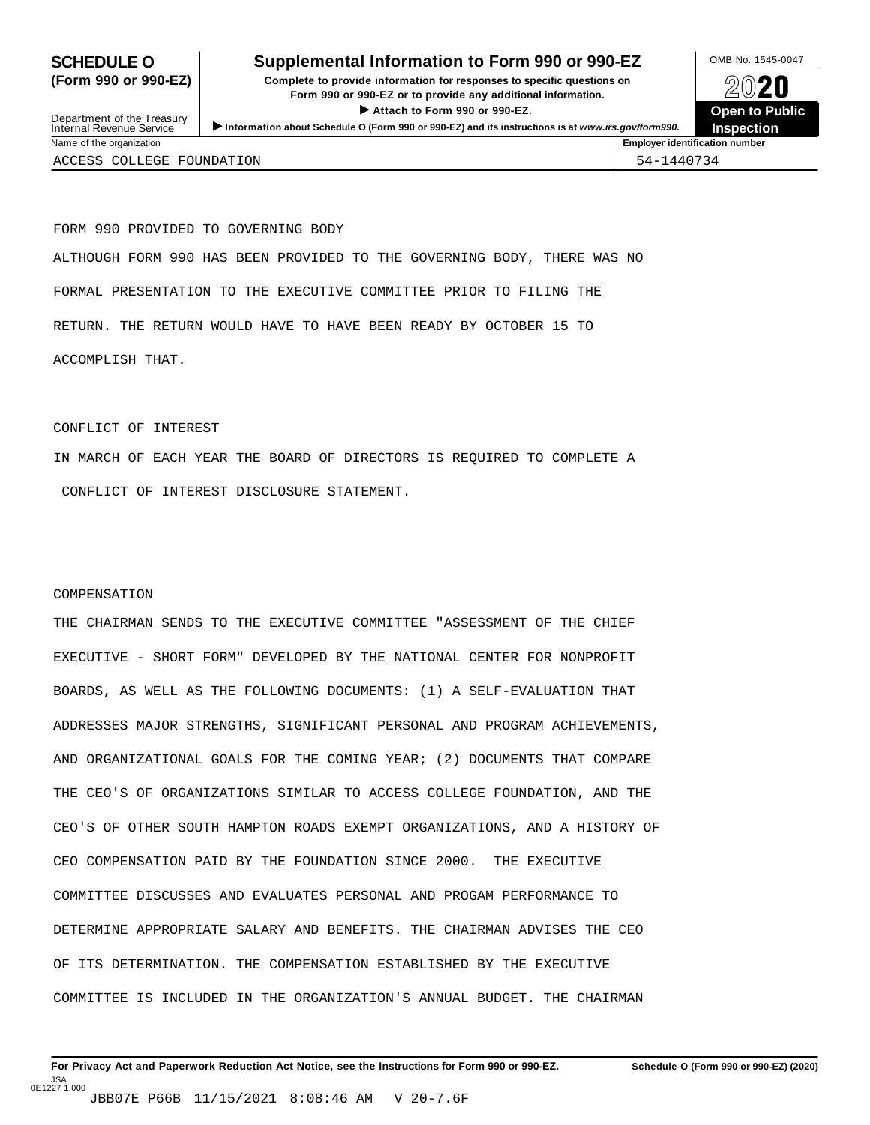# **SCHEDULE O** Supplemental Information to Form 990 or 990-EZ DMB No. 1545-0047

**(Form 990 or 990-EZ) Complete to provide information for responses to specific questions on** plete to provide information for responses to specific questions on  $\bigotimes_{\mathbb{Z}}\mathbb{Q}$  20 **EVECT**<br>
Attach to Form 990 or 990-EZ.<br>
and the Communication of the Communication of the Communication of the Communication of the Communication of the Communication of the Communication of the Communication of the Commu Department of the Treasury <br>Depen to Public<br>Name of the organization<br>Name of the organization<br>Name of the organization<br>Name of the organization<br>Inspection



Department of the Treasury<br>Internal Revenue Service ACCESS COLLEGE FOUNDATION 61 COLLEGE AND LOSTED AT LAST 1991 AND SAFEKEEPING AT LAST 1991 AND SAFEKEEPING AT LA

FORM 990 PROVIDED TO GOVERNING BODY ALTHOUGH FORM 990 HAS BEEN PROVIDED TO THE GOVERNING BODY, THERE WAS NO FORMAL PRESENTATION TO THE EXECUTIVE COMMITTEE PRIOR TO FILING THE RETURN. THE RETURN WOULD HAVE TO HAVE BEEN READY BY OCTOBER 15 TO ACCOMPLISH THAT.

CONFLICT OF INTEREST

IN MARCH OF EACH YEAR THE BOARD OF DIRECTORS IS REQUIRED TO COMPLETE A CONFLICT OF INTEREST DISCLOSURE STATEMENT.

# COMPENSATION

THE CHAIRMAN SENDS TO THE EXECUTIVE COMMITTEE "ASSESSMENT OF THE CHIEF EXECUTIVE - SHORT FORM" DEVELOPED BY THE NATIONAL CENTER FOR NONPROFIT BOARDS, AS WELL AS THE FOLLOWING DOCUMENTS: (1) A SELF-EVALUATION THAT ADDRESSES MAJOR STRENGTHS, SIGNIFICANT PERSONAL AND PROGRAM ACHIEVEMENTS, AND ORGANIZATIONAL GOALS FOR THE COMING YEAR; (2) DOCUMENTS THAT COMPARE THE CEO'S OF ORGANIZATIONS SIMILAR TO ACCESS COLLEGE FOUNDATION, AND THE CEO'S OF OTHER SOUTH HAMPTON ROADS EXEMPT ORGANIZATIONS, AND A HISTORY OF CEO COMPENSATION PAID BY THE FOUNDATION SINCE 2000. THE EXECUTIVE COMMITTEE DISCUSSES AND EVALUATES PERSONAL AND PROGAM PERFORMANCE TO DETERMINE APPROPRIATE SALARY AND BENEFITS. THE CHAIRMAN ADVISES THE CEO OF ITS DETERMINATION. THE COMPENSATION ESTABLISHED BY THE EXECUTIVE COMMITTEE IS INCLUDED IN THE ORGANIZATION'S ANNUAL BUDGET. THE CHAIRMAN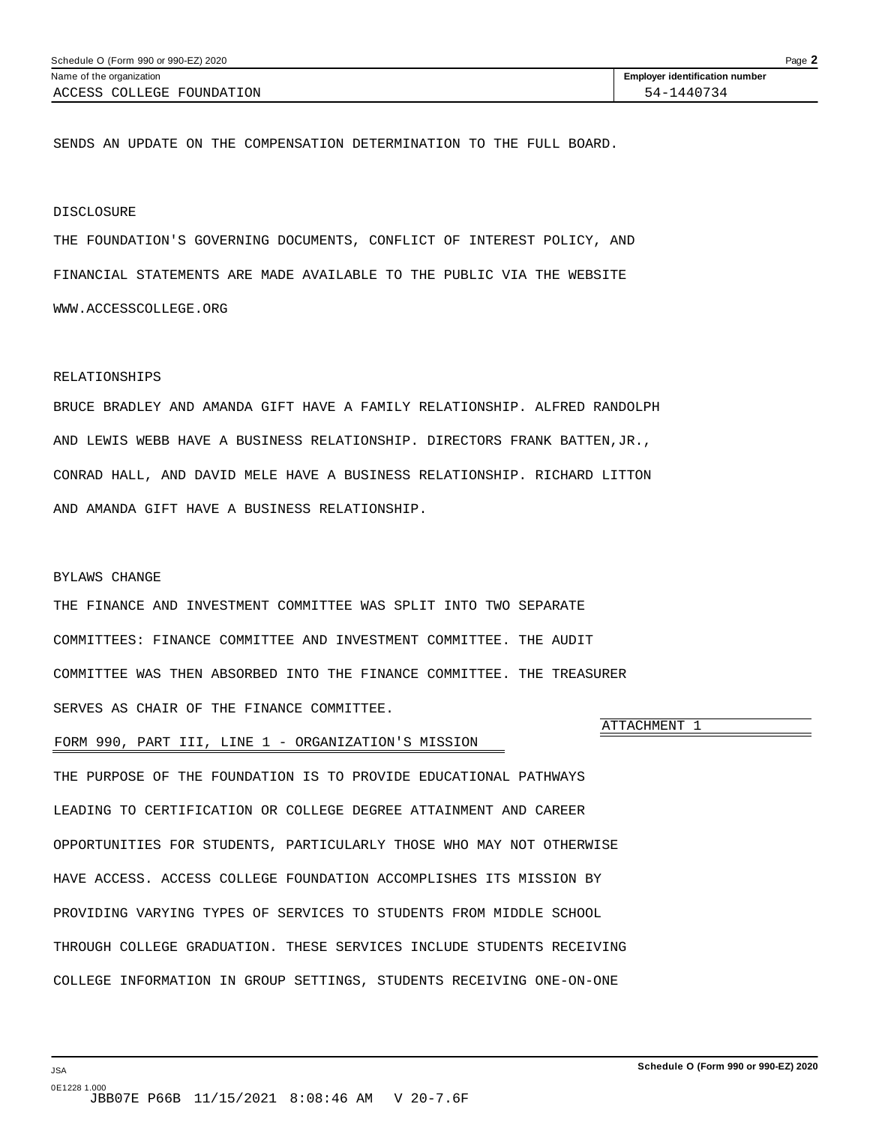<span id="page-40-0"></span>SENDS AN UPDATE ON THE COMPENSATION DETERMINATION TO THE FULL BOARD.

# DISCLOSURE

THE FOUNDATION'S GOVERNING DOCUMENTS, CONFLICT OF INTEREST POLICY, AND FINANCIAL STATEMENTS ARE MADE AVAILABLE TO THE PUBLIC VIA THE WEBSITE WWW.ACCESSCOLLEGE.ORG

# RELATIONSHIPS

BRUCE BRADLEY AND AMANDA GIFT HAVE A FAMILY RELATIONSHIP. ALFRED RANDOLPH AND LEWIS WEBB HAVE A BUSINESS RELATIONSHIP. DIRECTORS FRANK BATTEN,JR., CONRAD HALL, AND DAVID MELE HAVE A BUSINESS RELATIONSHIP. RICHARD LITTON AND AMANDA GIFT HAVE A BUSINESS RELATIONSHIP.

# BYLAWS CHANGE

THE FINANCE AND INVESTMENT COMMITTEE WAS SPLIT INTO TWO SEPARATE COMMITTEES: FINANCE COMMITTEE AND INVESTMENT COMMITTEE. THE AUDIT COMMITTEE WAS THEN ABSORBED INTO THE FINANCE COMMITTEE. THE TREASURER SERVES AS CHAIR OF THE FINANCE COMMITTEE.

# FORM 990, PART III, LINE 1 - ORGANIZATION'S MISSION

THE PURPOSE OF THE FOUNDATION IS TO PROVIDE EDUCATIONAL PATHWAYS LEADING TO CERTIFICATION OR COLLEGE DEGREE ATTAINMENT AND CAREER OPPORTUNITIES FOR STUDENTS, PARTICULARLY THOSE WHO MAY NOT OTHERWISE HAVE ACCESS. ACCESS COLLEGE FOUNDATION ACCOMPLISHES ITS MISSION BY PROVIDING VARYING TYPES OF SERVICES TO STUDENTS FROM MIDDLE SCHOOL THROUGH COLLEGE GRADUATION. THESE SERVICES INCLUDE STUDENTS RECEIVING COLLEGE INFORMATION IN GROUP SETTINGS, STUDENTS RECEIVING ONE-ON-ONE

## ATTACHMENT 1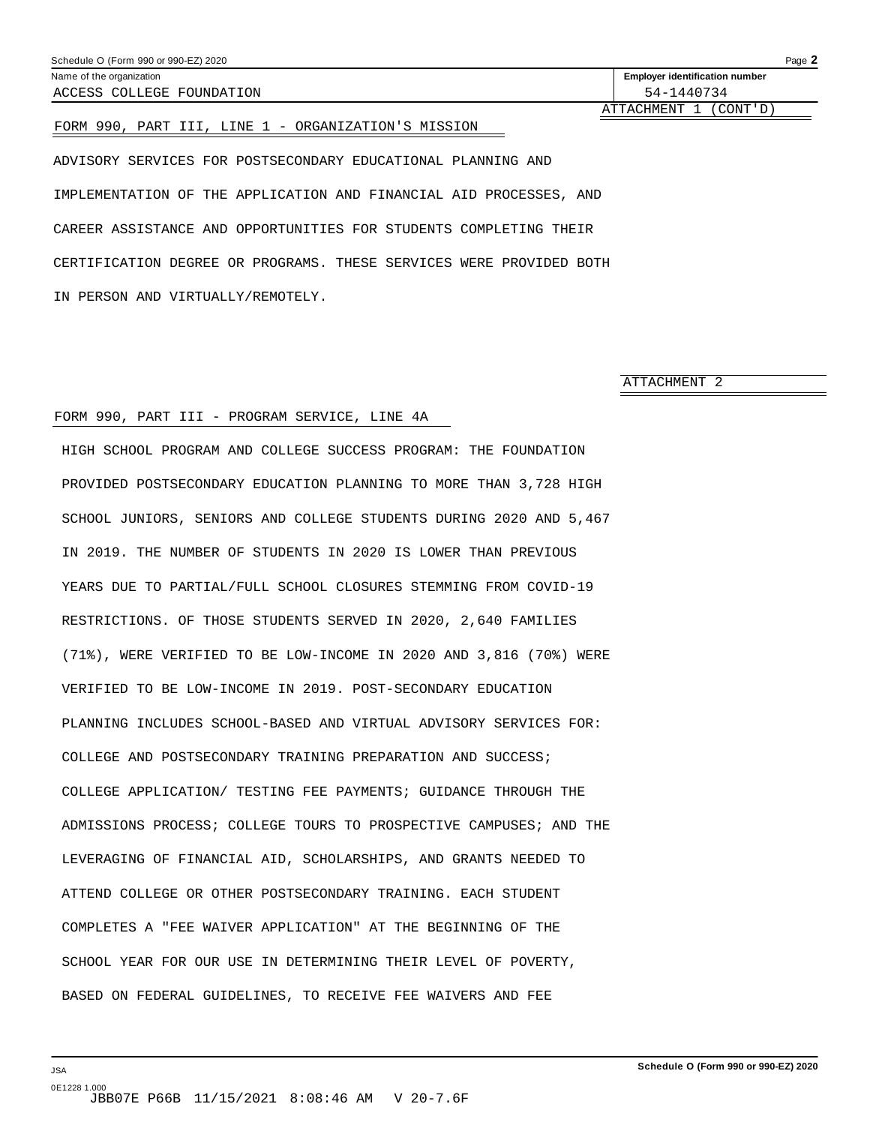<span id="page-41-0"></span>

| Schedule O (Form 990 or 990-EZ) 2020 |                                       | Page |
|--------------------------------------|---------------------------------------|------|
| Name of the organization             | <b>Employer identification number</b> |      |
| FOUNDATION<br>LEGE<br>ACCE:<br>. 11  |                                       |      |

**Employer identification number** ATTACHMENT 1 (CONT'D)

# FORM 990, PART III, LINE 1 - ORGANIZATION'S MISSION

ADVISORY SERVICES FOR POSTSECONDARY EDUCATIONAL PLANNING AND IMPLEMENTATION OF THE APPLICATION AND FINANCIAL AID PROCESSES, AND CAREER ASSISTANCE AND OPPORTUNITIES FOR STUDENTS COMPLETING THEIR CERTIFICATION DEGREE OR PROGRAMS. THESE SERVICES WERE PROVIDED BOTH IN PERSON AND VIRTUALLY/REMOTELY.

ATTACHMENT 2

# FORM 990, PART III - PROGRAM SERVICE, LINE 4A

HIGH SCHOOL PROGRAM AND COLLEGE SUCCESS PROGRAM: THE FOUNDATION PROVIDED POSTSECONDARY EDUCATION PLANNING TO MORE THAN 3,728 HIGH SCHOOL JUNIORS, SENIORS AND COLLEGE STUDENTS DURING 2020 AND 5,467 IN 2019. THE NUMBER OF STUDENTS IN 2020 IS LOWER THAN PREVIOUS YEARS DUE TO PARTIAL/FULL SCHOOL CLOSURES STEMMING FROM COVID-19 RESTRICTIONS. OF THOSE STUDENTS SERVED IN 2020, 2,640 FAMILIES (71%), WERE VERIFIED TO BE LOW-INCOME IN 2020 AND 3,816 (70%) WERE VERIFIED TO BE LOW-INCOME IN 2019. POST-SECONDARY EDUCATION PLANNING INCLUDES SCHOOL-BASED AND VIRTUAL ADVISORY SERVICES FOR: COLLEGE AND POSTSECONDARY TRAINING PREPARATION AND SUCCESS; COLLEGE APPLICATION/ TESTING FEE PAYMENTS; GUIDANCE THROUGH THE ADMISSIONS PROCESS; COLLEGE TOURS TO PROSPECTIVE CAMPUSES; AND THE LEVERAGING OF FINANCIAL AID, SCHOLARSHIPS, AND GRANTS NEEDED TO ATTEND COLLEGE OR OTHER POSTSECONDARY TRAINING. EACH STUDENT COMPLETES A "FEE WAIVER APPLICATION" AT THE BEGINNING OF THE SCHOOL YEAR FOR OUR USE IN DETERMINING THEIR LEVEL OF POVERTY, BASED ON FEDERAL GUIDELINES, TO RECEIVE FEE WAIVERS AND FEE

JSA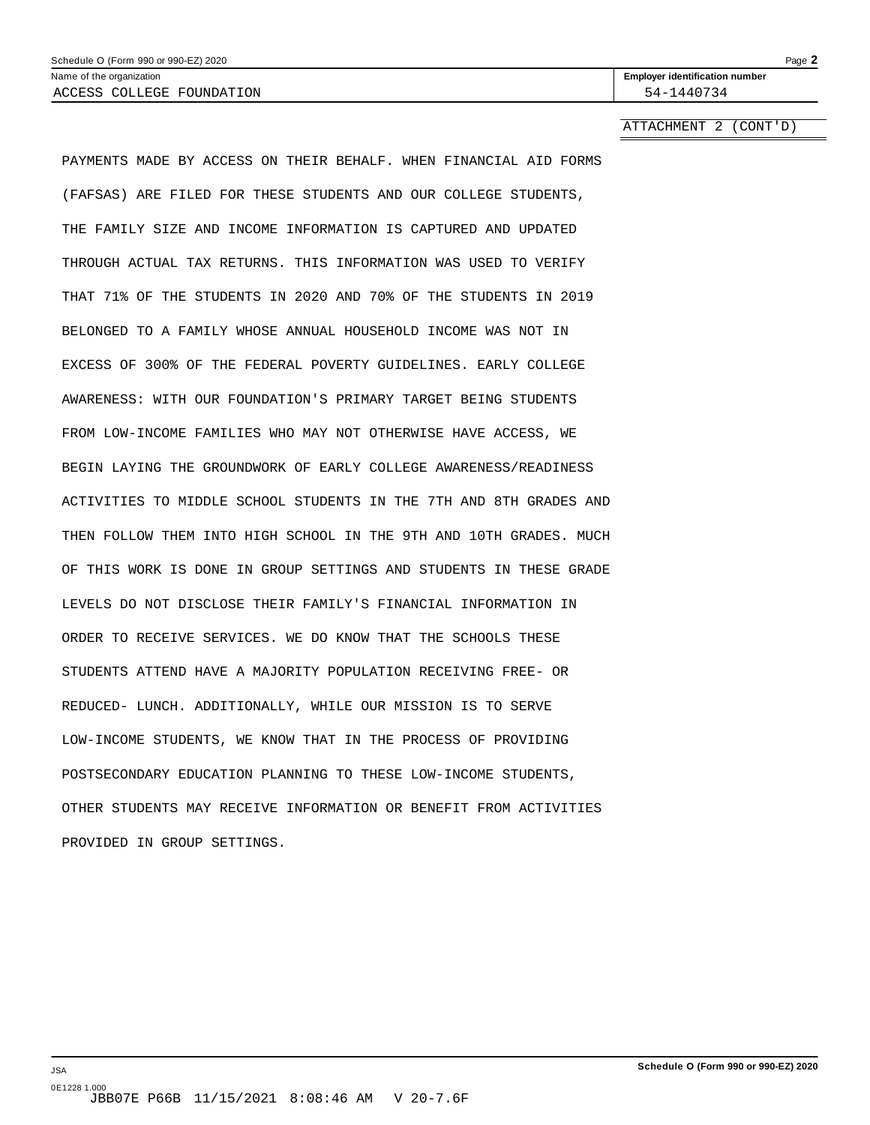ATTACHMENT 2 (CONT'D)

PAYMENTS MADE BY ACCESS ON THEIR BEHALF. WHEN FINANCIAL AID FORMS (FAFSAS) ARE FILED FOR THESE STUDENTS AND OUR COLLEGE STUDENTS, THE FAMILY SIZE AND INCOME INFORMATION IS CAPTURED AND UPDATED THROUGH ACTUAL TAX RETURNS. THIS INFORMATION WAS USED TO VERIFY THAT 71% OF THE STUDENTS IN 2020 AND 70% OF THE STUDENTS IN 2019 BELONGED TO A FAMILY WHOSE ANNUAL HOUSEHOLD INCOME WAS NOT IN EXCESS OF 300% OF THE FEDERAL POVERTY GUIDELINES. EARLY COLLEGE AWARENESS: WITH OUR FOUNDATION'S PRIMARY TARGET BEING STUDENTS FROM LOW-INCOME FAMILIES WHO MAY NOT OTHERWISE HAVE ACCESS, WE BEGIN LAYING THE GROUNDWORK OF EARLY COLLEGE AWARENESS/READINESS ACTIVITIES TO MIDDLE SCHOOL STUDENTS IN THE 7TH AND 8TH GRADES AND THEN FOLLOW THEM INTO HIGH SCHOOL IN THE 9TH AND 10TH GRADES. MUCH OF THIS WORK IS DONE IN GROUP SETTINGS AND STUDENTS IN THESE GRADE LEVELS DO NOT DISCLOSE THEIR FAMILY'S FINANCIAL INFORMATION IN ORDER TO RECEIVE SERVICES. WE DO KNOW THAT THE SCHOOLS THESE STUDENTS ATTEND HAVE A MAJORITY POPULATION RECEIVING FREE- OR REDUCED- LUNCH. ADDITIONALLY, WHILE OUR MISSION IS TO SERVE LOW-INCOME STUDENTS, WE KNOW THAT IN THE PROCESS OF PROVIDING POSTSECONDARY EDUCATION PLANNING TO THESE LOW-INCOME STUDENTS, OTHER STUDENTS MAY RECEIVE INFORMATION OR BENEFIT FROM ACTIVITIES PROVIDED IN GROUP SETTINGS.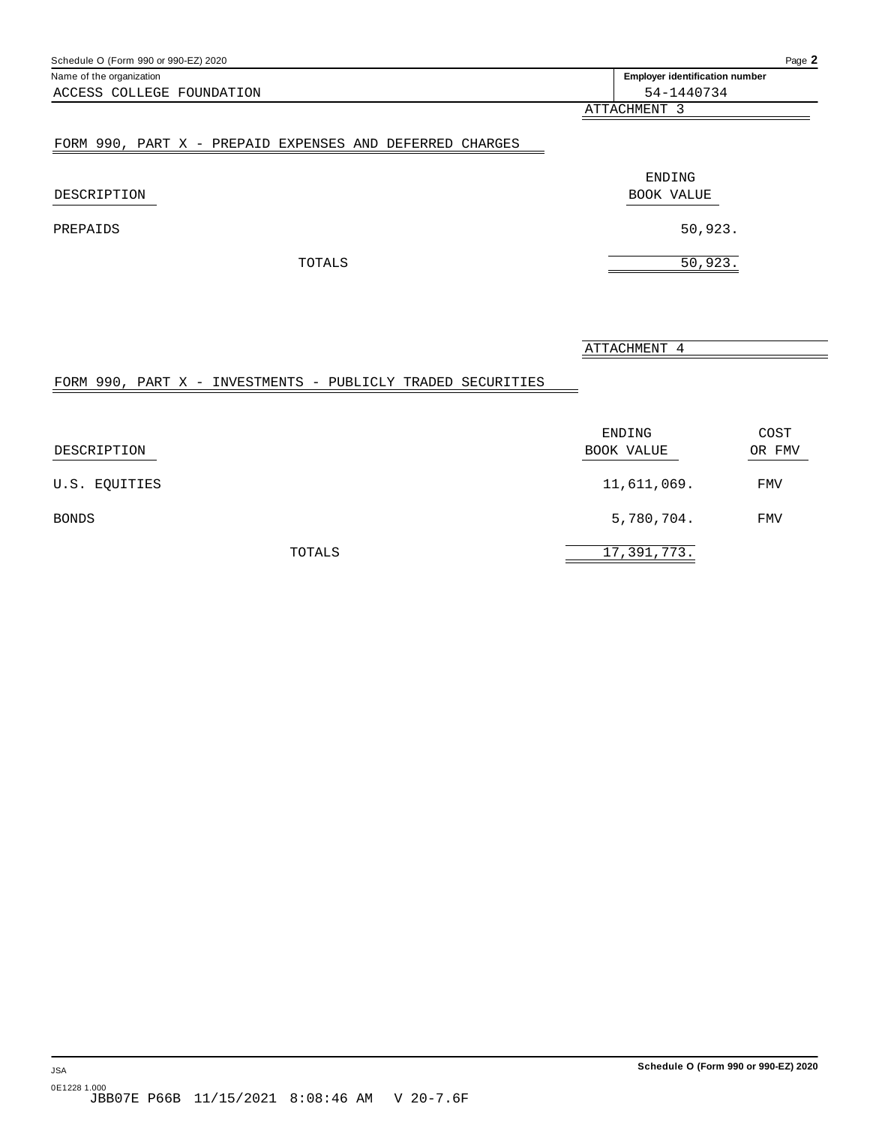<span id="page-43-0"></span>

| Schedule O (Form 990 or 990-EZ) 2020                     | Page 2                                |
|----------------------------------------------------------|---------------------------------------|
| Name of the organization                                 | <b>Employer identification number</b> |
| ACCESS COLLEGE FOUNDATION                                | 54-1440734                            |
|                                                          | ATTACHMENT 3                          |
| FORM 990, PART X - PREPAID EXPENSES AND DEFERRED CHARGES |                                       |
|                                                          | ENDING                                |
| DESCRIPTION                                              | <b>BOOK VALUE</b>                     |
| PREPAIDS                                                 | 50,923.                               |
| TOTALS                                                   | 50,923.                               |

ATTACHMENT 4

# FORM 990, PART X - INVESTMENTS - PUBLICLY TRADED SECURITIES

| DESCRIPTION   |        | ENDING<br>BOOK VALUE | COST<br>OR FMV |
|---------------|--------|----------------------|----------------|
| U.S. EQUITIES |        | 11,611,069.          | <b>FMV</b>     |
| <b>BONDS</b>  |        | 5,780,704.           | <b>FMV</b>     |
|               | TOTALS | 17,391,773.          |                |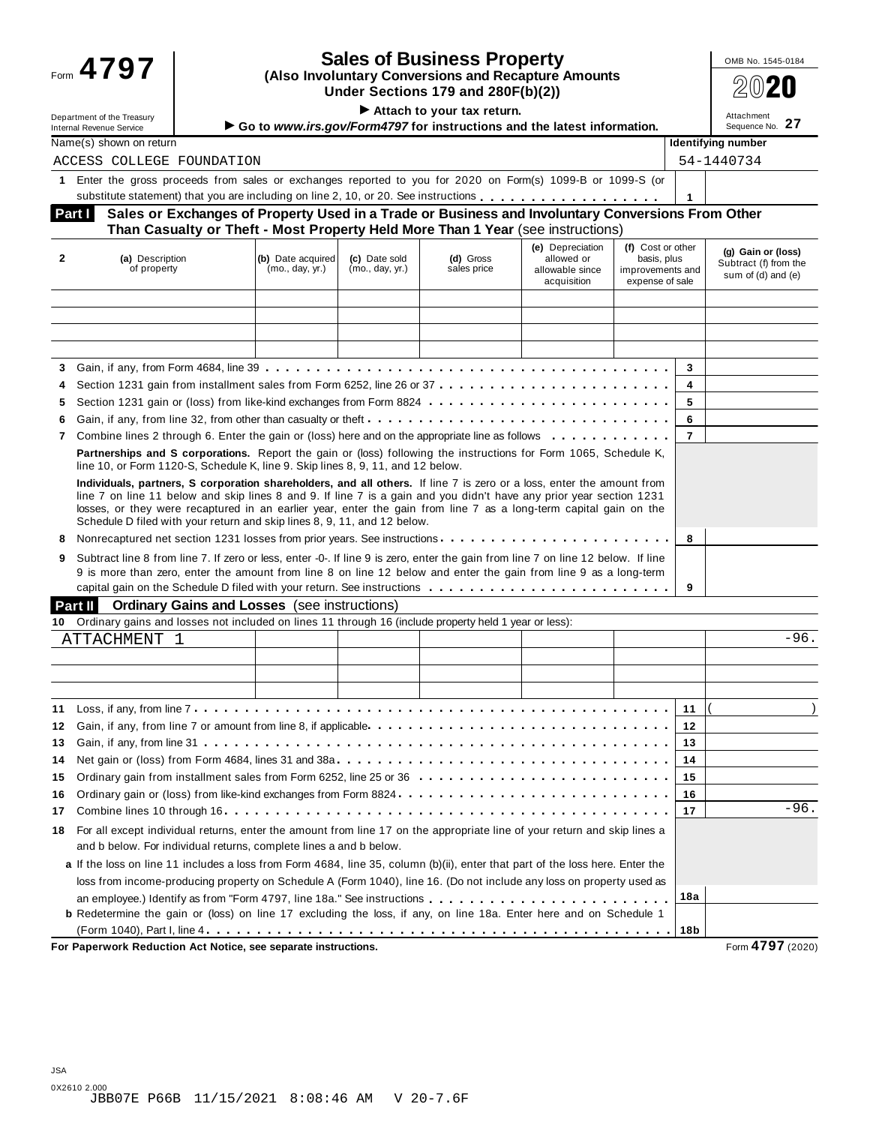# **Sales of Business Property** Demand Assembly COMB No. 1545-0184 **(Also Involuntary Conversions and Recapture Amounts Under Sections 179 and 280F(b)(2))**

**2020** 

| Department of the Treasu |  |
|--------------------------|--|
| Internal Devenue Consice |  |

|                                                        | <b>UNDER SECUPITS 173 AND LOVE (D)(2))</b>                                                                                    | ت ⊒ ש ڪ                              |
|--------------------------------------------------------|-------------------------------------------------------------------------------------------------------------------------------|--------------------------------------|
| Department of the Treasurv<br>Internal Revenue Service | $\blacktriangleright$ Attach to your tax return.<br>► Go to www.irs.gov/Form4797 for instructions and the latest information. | Attachment<br>Sequence No. <b>41</b> |
|                                                        |                                                                                                                               |                                      |

| Name(s) shown on return |  |
|-------------------------|--|
|-------------------------|--|

|                           | . |
|---------------------------|---|
| ACCESS COLLEGE FOUNDATION |   |

| <b>Identifying number</b> |  |
|---------------------------|--|
| 54-1440734                |  |

| Enter the gross proceeds from sales or exchanges reported to you for 2020 on Form(s) 1099-B or 1099-S (or |  |
|-----------------------------------------------------------------------------------------------------------|--|
| substitute statement) that you are including on line 2, 10, or 20. See instructions                       |  |

### **Sales or Exchanges of Property Used in a Trade or Business and Involuntary Conversions From Other Than Casualty or Theft - Most Property Held More Than 1 Year** (see instructions) **Part I**

|              | <b>I Hall Casualty Of Their - MOSt Froperty Held More Than I Teal (See Instructions)</b>                                                                                                                                                                                                                                                                                                                                                      |                                      |                                  |                          |                                                                  |                                                                         |   |                                                                   |
|--------------|-----------------------------------------------------------------------------------------------------------------------------------------------------------------------------------------------------------------------------------------------------------------------------------------------------------------------------------------------------------------------------------------------------------------------------------------------|--------------------------------------|----------------------------------|--------------------------|------------------------------------------------------------------|-------------------------------------------------------------------------|---|-------------------------------------------------------------------|
| $\mathbf{2}$ | (a) Description<br>of property                                                                                                                                                                                                                                                                                                                                                                                                                | (b) Date acquired<br>(mo., day, yr.) | (c) Date sold<br>(mo., day, yr.) | (d) Gross<br>sales price | (e) Depreciation<br>allowed or<br>allowable since<br>acquisition | (f) Cost or other<br>basis, plus<br>improvements and<br>expense of sale |   | (g) Gain or (loss)<br>Subtract (f) from the<br>sum of (d) and (e) |
|              |                                                                                                                                                                                                                                                                                                                                                                                                                                               |                                      |                                  |                          |                                                                  |                                                                         |   |                                                                   |
|              |                                                                                                                                                                                                                                                                                                                                                                                                                                               |                                      |                                  |                          |                                                                  |                                                                         |   |                                                                   |
|              |                                                                                                                                                                                                                                                                                                                                                                                                                                               |                                      |                                  |                          |                                                                  |                                                                         |   |                                                                   |
|              |                                                                                                                                                                                                                                                                                                                                                                                                                                               |                                      |                                  |                          |                                                                  |                                                                         |   |                                                                   |
|              |                                                                                                                                                                                                                                                                                                                                                                                                                                               |                                      |                                  |                          |                                                                  |                                                                         | 3 |                                                                   |
|              |                                                                                                                                                                                                                                                                                                                                                                                                                                               |                                      |                                  |                          |                                                                  |                                                                         | 4 |                                                                   |
| 5.           |                                                                                                                                                                                                                                                                                                                                                                                                                                               |                                      |                                  |                          |                                                                  |                                                                         | 5 |                                                                   |
| 6.           |                                                                                                                                                                                                                                                                                                                                                                                                                                               |                                      |                                  |                          |                                                                  |                                                                         | 6 |                                                                   |
| 7            | Combine lines 2 through 6. Enter the gain or (loss) here and on the appropriate line as follows $\ldots \ldots \ldots$                                                                                                                                                                                                                                                                                                                        |                                      | $\overline{7}$                   |                          |                                                                  |                                                                         |   |                                                                   |
|              | Partnerships and S corporations. Report the gain or (loss) following the instructions for Form 1065, Schedule K,<br>line 10, or Form 1120-S, Schedule K, line 9. Skip lines 8, 9, 11, and 12 below.                                                                                                                                                                                                                                           |                                      |                                  |                          |                                                                  |                                                                         |   |                                                                   |
|              | Individuals, partners, S corporation shareholders, and all others. If line 7 is zero or a loss, enter the amount from<br>line 7 on line 11 below and skip lines 8 and 9. If line 7 is a gain and you didn't have any prior year section 1231<br>losses, or they were recaptured in an earlier year, enter the gain from line 7 as a long-term capital gain on the<br>Schedule D filed with your return and skip lines 8, 9, 11, and 12 below. |                                      |                                  |                          |                                                                  |                                                                         |   |                                                                   |
| 8            |                                                                                                                                                                                                                                                                                                                                                                                                                                               |                                      |                                  |                          |                                                                  |                                                                         |   |                                                                   |
| 9            | Subtract line 8 from line 7. If zero or less, enter -0-. If line 9 is zero, enter the gain from line 7 on line 12 below. If line<br>9 is more than zero, enter the amount from line 8 on line 12 below and enter the gain from line 9 as a long-term                                                                                                                                                                                          |                                      |                                  |                          |                                                                  |                                                                         | 9 |                                                                   |

# **Part II Ordinary Gains and Losses** (see instructions)

|    | 10 Ordinary gains and losses not included on lines 11 through 16 (include property held 1 year or less):                                                                                                                       |                 |                  |
|----|--------------------------------------------------------------------------------------------------------------------------------------------------------------------------------------------------------------------------------|-----------------|------------------|
|    | ATTACHMENT 1                                                                                                                                                                                                                   |                 | $-96.$           |
|    |                                                                                                                                                                                                                                |                 |                  |
|    |                                                                                                                                                                                                                                |                 |                  |
|    |                                                                                                                                                                                                                                |                 |                  |
| 11 |                                                                                                                                                                                                                                | $-11$           |                  |
| 12 | Gain, if any, from line 7 or amount from line 8, if applicable <b>contained and intervel</b> contained any, from line 7 or amount from line 8, if applicable <b>contained and intervel contained and intervel</b>              | 12 <sup>1</sup> |                  |
| 13 |                                                                                                                                                                                                                                | 13              |                  |
| 14 |                                                                                                                                                                                                                                | 14              |                  |
| 15 |                                                                                                                                                                                                                                | 15              |                  |
| 16 | Ordinary gain or (loss) from like-kind exchanges from Form 8824                                                                                                                                                                | 16              |                  |
| 17 | Combine lines 10 through 16 (exception of the contract of the contract of the combine lines 10 through 16 (exception of the contract of the contract of the contract of the contract of the contract of the contract of the co | 17              | $-96.$           |
| 18 | For all except individual returns, enter the amount from line 17 on the appropriate line of your return and skip lines a                                                                                                       |                 |                  |
|    | and b below. For individual returns, complete lines a and b below.                                                                                                                                                             |                 |                  |
|    | a If the loss on line 11 includes a loss from Form 4684, line 35, column (b)(ii), enter that part of the loss here. Enter the                                                                                                  |                 |                  |
|    | loss from income-producing property on Schedule A (Form 1040), line 16. (Do not include any loss on property used as                                                                                                           |                 |                  |
|    |                                                                                                                                                                                                                                | 18a             |                  |
|    | <b>b</b> Redetermine the gain or (loss) on line 17 excluding the loss, if any, on line 18a. Enter here and on Schedule 1                                                                                                       |                 |                  |
|    |                                                                                                                                                                                                                                |                 |                  |
|    | For Paperwork Reduction Act Notice, see separate instructions.                                                                                                                                                                 |                 | Form 4797 (2020) |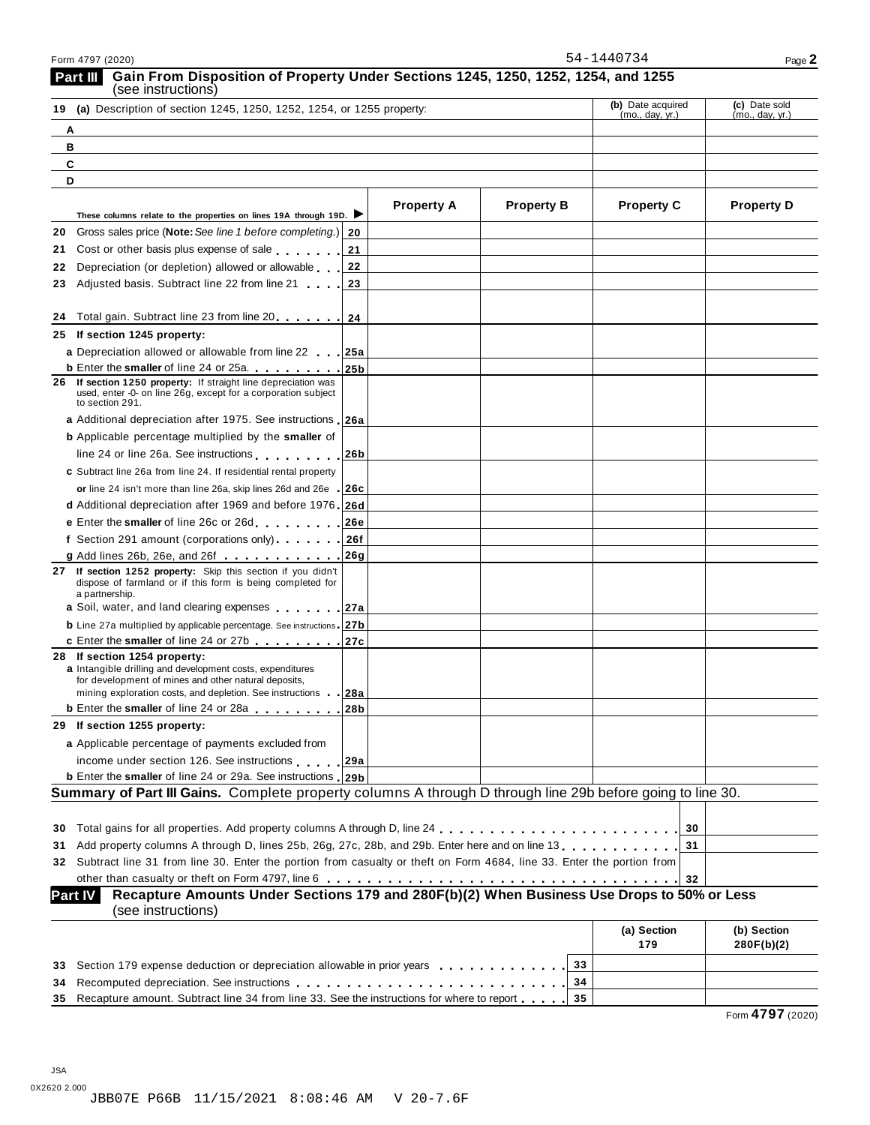### **Gain From Disposition of Property Under Sections 1245, 1250, 1252, 1254, and 1255** (see instructions) **Part III**

| 19 (a) Description of section 1245, 1250, 1252, 1254, or 1255 property: |                                                                                                                                                                                                                     |            |                   |                   |    | (b) Date acquired<br>(mo., day, yr.) | (c) Date sold<br>(mo., day, yr.) |
|-------------------------------------------------------------------------|---------------------------------------------------------------------------------------------------------------------------------------------------------------------------------------------------------------------|------------|-------------------|-------------------|----|--------------------------------------|----------------------------------|
|                                                                         | A                                                                                                                                                                                                                   |            |                   |                   |    |                                      |                                  |
|                                                                         | в                                                                                                                                                                                                                   |            |                   |                   |    |                                      |                                  |
|                                                                         | C                                                                                                                                                                                                                   |            |                   |                   |    |                                      |                                  |
|                                                                         | D                                                                                                                                                                                                                   |            |                   |                   |    |                                      |                                  |
|                                                                         |                                                                                                                                                                                                                     |            |                   |                   |    |                                      |                                  |
|                                                                         | These columns relate to the properties on lines 19A through 19D.                                                                                                                                                    |            | <b>Property A</b> | <b>Property B</b> |    | <b>Property C</b>                    | <b>Property D</b>                |
| 20                                                                      | Gross sales price (Note: See line 1 before completing.)                                                                                                                                                             | 20         |                   |                   |    |                                      |                                  |
| 21                                                                      | Cost or other basis plus expense of sale                                                                                                                                                                            | 21         |                   |                   |    |                                      |                                  |
| 22                                                                      | Depreciation (or depletion) allowed or allowable                                                                                                                                                                    | 22         |                   |                   |    |                                      |                                  |
| 23                                                                      | Adjusted basis. Subtract line 22 from line 21                                                                                                                                                                       | 23         |                   |                   |    |                                      |                                  |
|                                                                         |                                                                                                                                                                                                                     |            |                   |                   |    |                                      |                                  |
| 24                                                                      | Total gain. Subtract line 23 from line 20.                                                                                                                                                                          | 24         |                   |                   |    |                                      |                                  |
|                                                                         | 25 If section 1245 property:                                                                                                                                                                                        |            |                   |                   |    |                                      |                                  |
|                                                                         | a Depreciation allowed or allowable from line 22 25a                                                                                                                                                                |            |                   |                   |    |                                      |                                  |
|                                                                         | <b>b</b> Enter the smaller of line 24 or 25a. 25b                                                                                                                                                                   |            |                   |                   |    |                                      |                                  |
| 26                                                                      | If section 1250 property: If straight line depreciation was<br>used, enter -0- on line 26g, except for a corporation subject                                                                                        |            |                   |                   |    |                                      |                                  |
|                                                                         | to section 291.                                                                                                                                                                                                     |            |                   |                   |    |                                      |                                  |
|                                                                         | a Additional depreciation after 1975. See instructions 26a                                                                                                                                                          |            |                   |                   |    |                                      |                                  |
|                                                                         | <b>b</b> Applicable percentage multiplied by the smaller of                                                                                                                                                         |            |                   |                   |    |                                      |                                  |
|                                                                         | line 24 or line 26a. See instructions                                                                                                                                                                               | 26b        |                   |                   |    |                                      |                                  |
|                                                                         | c Subtract line 26a from line 24. If residential rental property                                                                                                                                                    |            |                   |                   |    |                                      |                                  |
|                                                                         | or line 24 isn't more than line 26a, skip lines 26d and 26e $\sqrt{26c}$                                                                                                                                            |            |                   |                   |    |                                      |                                  |
|                                                                         | d Additional depreciation after 1969 and before 1976 26d                                                                                                                                                            |            |                   |                   |    |                                      |                                  |
|                                                                         | e Enter the smaller of line 26c or 26d                                                                                                                                                                              | <b>26e</b> |                   |                   |    |                                      |                                  |
|                                                                         | f Section 291 amount (corporations only)                                                                                                                                                                            | 26f        |                   |                   |    |                                      |                                  |
|                                                                         |                                                                                                                                                                                                                     |            |                   |                   |    |                                      |                                  |
|                                                                         | 27 If section 1252 property: Skip this section if you didn't<br>dispose of farmland or if this form is being completed for<br>a partnership.                                                                        |            |                   |                   |    |                                      |                                  |
|                                                                         | a Soil, water, and land clearing expenses 27a                                                                                                                                                                       |            |                   |                   |    |                                      |                                  |
|                                                                         | <b>b</b> Line 27a multiplied by applicable percentage. See instructions 27b                                                                                                                                         |            |                   |                   |    |                                      |                                  |
|                                                                         | c Enter the smaller of line 24 or 27b 27c                                                                                                                                                                           |            |                   |                   |    |                                      |                                  |
|                                                                         | 28 If section 1254 property:<br>a Intangible drilling and development costs, expenditures<br>for development of mines and other natural deposits,<br>mining exploration costs, and depletion. See instructions  28a |            |                   |                   |    |                                      |                                  |
|                                                                         | <b>b</b> Enter the smaller of line 24 or 28a                                                                                                                                                                        | 28b        |                   |                   |    |                                      |                                  |
|                                                                         | 29 If section 1255 property:                                                                                                                                                                                        |            |                   |                   |    |                                      |                                  |
|                                                                         | a Applicable percentage of payments excluded from                                                                                                                                                                   |            |                   |                   |    |                                      |                                  |
|                                                                         | income under section 126. See instructions   29a                                                                                                                                                                    |            |                   |                   |    |                                      |                                  |
|                                                                         | <b>b</b> Enter the smaller of line 24 or 29a. See instructions 29b                                                                                                                                                  |            |                   |                   |    |                                      |                                  |
|                                                                         | Summary of Part III Gains. Complete property columns A through D through line 29b before going to line 30.                                                                                                          |            |                   |                   |    |                                      |                                  |
|                                                                         |                                                                                                                                                                                                                     |            |                   |                   |    |                                      |                                  |
| 30                                                                      |                                                                                                                                                                                                                     |            |                   |                   |    | 30                                   |                                  |
| 31                                                                      | Add property columns A through D, lines 25b, 26g, 27c, 28b, and 29b. Enter here and on line 13                                                                                                                      |            |                   |                   |    | 31                                   |                                  |
|                                                                         | 32 Subtract line 31 from line 30. Enter the portion from casualty or theft on Form 4684, line 33. Enter the portion from                                                                                            |            |                   |                   |    |                                      |                                  |
|                                                                         |                                                                                                                                                                                                                     |            |                   |                   |    | 32                                   |                                  |
|                                                                         | Recapture Amounts Under Sections 179 and 280F(b)(2) When Business Use Drops to 50% or Less<br><b>Part IV</b><br>(see instructions)                                                                                  |            |                   |                   |    |                                      |                                  |
|                                                                         |                                                                                                                                                                                                                     |            |                   |                   |    | (a) Section<br>179                   | (b) Section<br>280F(b)(2)        |
| 33                                                                      | Section 179 expense deduction or depreciation allowable in prior years                                                                                                                                              |            |                   |                   | 33 |                                      |                                  |
| 34                                                                      | Recomputed depreciation. See instructions entering in the computed depreciation. See instructions                                                                                                                   |            |                   |                   | 34 |                                      |                                  |
|                                                                         |                                                                                                                                                                                                                     |            |                   |                   |    |                                      |                                  |

**35** Recapture amount. Subtract line 34 from line 33. See the instructions for where to report **manual** m m  $\frac{1}{35}$ 

Form **4797** (2020)